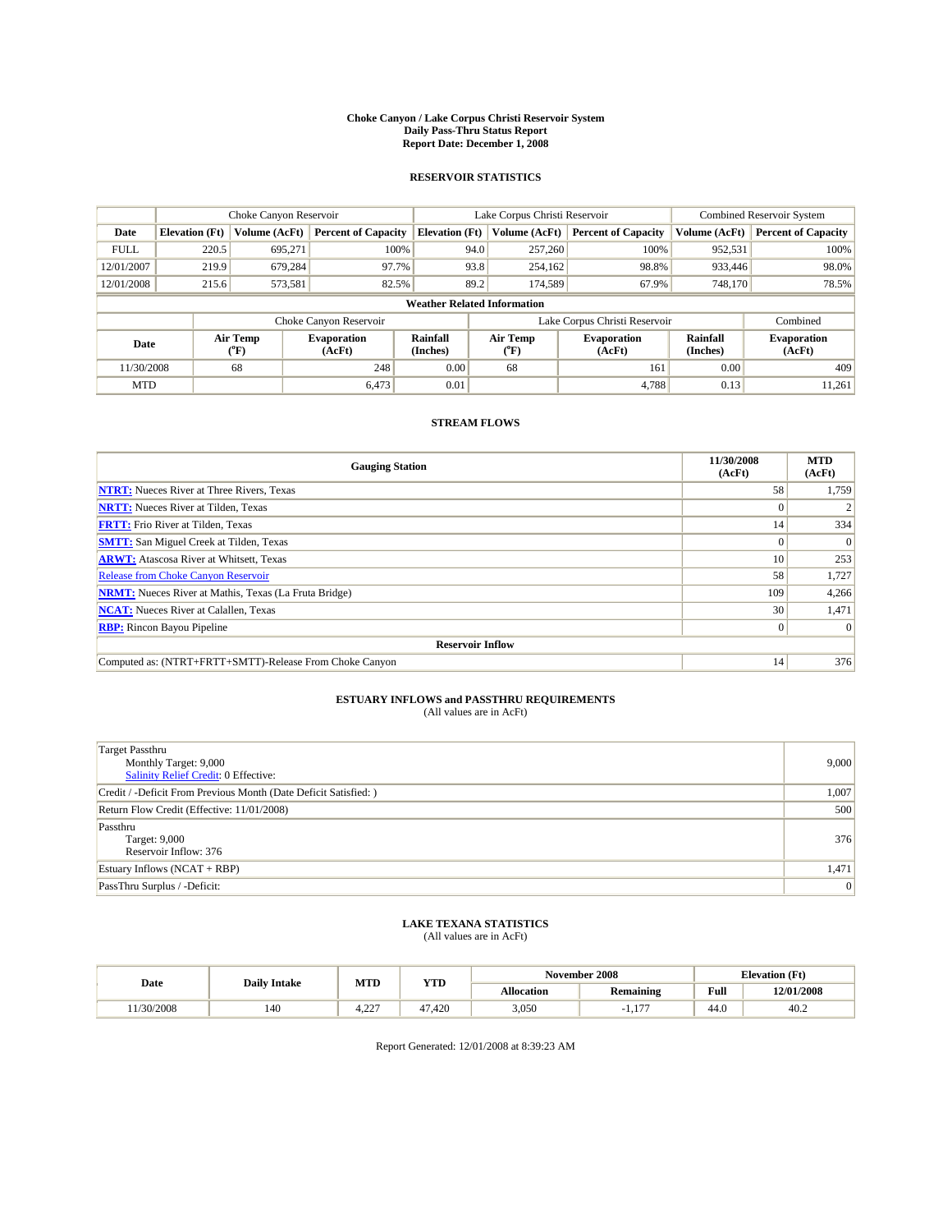#### **Choke Canyon / Lake Corpus Christi Reservoir System Daily Pass-Thru Status Report Report Date: December 1, 2008**

### **RESERVOIR STATISTICS**

|             |                                    | Choke Canyon Reservoir      |                              |                             | Lake Corpus Christi Reservoir | <b>Combined Reservoir System</b> |                      |                              |  |
|-------------|------------------------------------|-----------------------------|------------------------------|-----------------------------|-------------------------------|----------------------------------|----------------------|------------------------------|--|
| Date        | <b>Elevation</b> (Ft)              | Volume (AcFt)               | <b>Percent of Capacity</b>   | <b>Elevation</b> (Ft)       | Volume (AcFt)                 | <b>Percent of Capacity</b>       | Volume (AcFt)        | <b>Percent of Capacity</b>   |  |
| <b>FULL</b> | 220.5                              | 695,271                     | 100%                         |                             | 257,260<br>94.0               | 100%                             | 952,531              | 100%                         |  |
| 12/01/2007  | 219.9                              | 679,284                     | 97.7%                        |                             | 93.8<br>254,162               | 98.8%                            | 933,446              | 98.0%                        |  |
| 12/01/2008  | 215.6                              | 573,581                     | 82.5%                        |                             | 89.2<br>174.589               | 67.9%                            | 748.170              | 78.5%                        |  |
|             | <b>Weather Related Information</b> |                             |                              |                             |                               |                                  |                      |                              |  |
|             |                                    |                             | Choke Canyon Reservoir       |                             |                               | Lake Corpus Christi Reservoir    |                      | Combined                     |  |
| Date        |                                    | Air Temp<br>${}^{\circ}$ F) | <b>Evaporation</b><br>(AcFt) | <b>Rainfall</b><br>(Inches) | Air Temp<br>(°F)              | <b>Evaporation</b><br>(AcFt)     | Rainfall<br>(Inches) | <b>Evaporation</b><br>(AcFt) |  |
| 11/30/2008  |                                    | 68                          | 248                          | 0.00                        | 68                            | 161                              | 0.00                 | 409                          |  |
| <b>MTD</b>  |                                    |                             | 6,473                        | 0.01                        |                               | 4.788                            | 0.13                 | 11,261                       |  |

## **STREAM FLOWS**

| <b>Gauging Station</b>                                       | 11/30/2008<br>(AcFt) | <b>MTD</b><br>(AcFt) |  |  |  |  |  |
|--------------------------------------------------------------|----------------------|----------------------|--|--|--|--|--|
| <b>NTRT:</b> Nueces River at Three Rivers, Texas             | 58                   | 1,759                |  |  |  |  |  |
| <b>NRTT:</b> Nueces River at Tilden, Texas                   | $\Omega$             |                      |  |  |  |  |  |
| <b>FRTT:</b> Frio River at Tilden, Texas                     | 14                   | 334                  |  |  |  |  |  |
| <b>SMTT:</b> San Miguel Creek at Tilden, Texas               | $\Omega$             | $\Omega$             |  |  |  |  |  |
| <b>ARWT:</b> Atascosa River at Whitsett, Texas               | 10 <sup>1</sup>      | 253                  |  |  |  |  |  |
| <b>Release from Choke Canyon Reservoir</b>                   | 58                   | 1,727                |  |  |  |  |  |
| <b>NRMT:</b> Nueces River at Mathis, Texas (La Fruta Bridge) | 109                  | 4,266                |  |  |  |  |  |
| <b>NCAT:</b> Nueces River at Calallen, Texas                 | 30                   | 1,471                |  |  |  |  |  |
| <b>RBP:</b> Rincon Bayou Pipeline                            |                      |                      |  |  |  |  |  |
| <b>Reservoir Inflow</b>                                      |                      |                      |  |  |  |  |  |
| Computed as: (NTRT+FRTT+SMTT)-Release From Choke Canyon      | 14                   | 376                  |  |  |  |  |  |

# **ESTUARY INFLOWS and PASSTHRU REQUIREMENTS**<br>(All values are in AcFt)

| <b>Target Passthru</b><br>Monthly Target: 9,000<br>Salinity Relief Credit: 0 Effective: | 9,000 |
|-----------------------------------------------------------------------------------------|-------|
| Credit / -Deficit From Previous Month (Date Deficit Satisfied: )                        | 1,007 |
| Return Flow Credit (Effective: 11/01/2008)                                              | 500   |
| Passthru<br>Target: 9,000<br>Reservoir Inflow: 376                                      | 376   |
| Estuary Inflows $(NCAT + RBP)$                                                          | 1,471 |
| PassThru Surplus / -Deficit:                                                            | 0     |

## **LAKE TEXANA STATISTICS** (All values are in AcFt)

|          | <b>Daily Intake</b> | MTD               | <b>YTD</b> |            | November 2008    | <b>Elevation</b> (Ft) |            |
|----------|---------------------|-------------------|------------|------------|------------------|-----------------------|------------|
| Date     |                     |                   |            | Allocation | <b>Remaining</b> | Full                  | 12/01/2008 |
| /30/2008 | 140                 | $\sim$<br><i></i> | 47.420     | 3,050      | ---<br>1.1.      | 44.0                  | 40.2       |

Report Generated: 12/01/2008 at 8:39:23 AM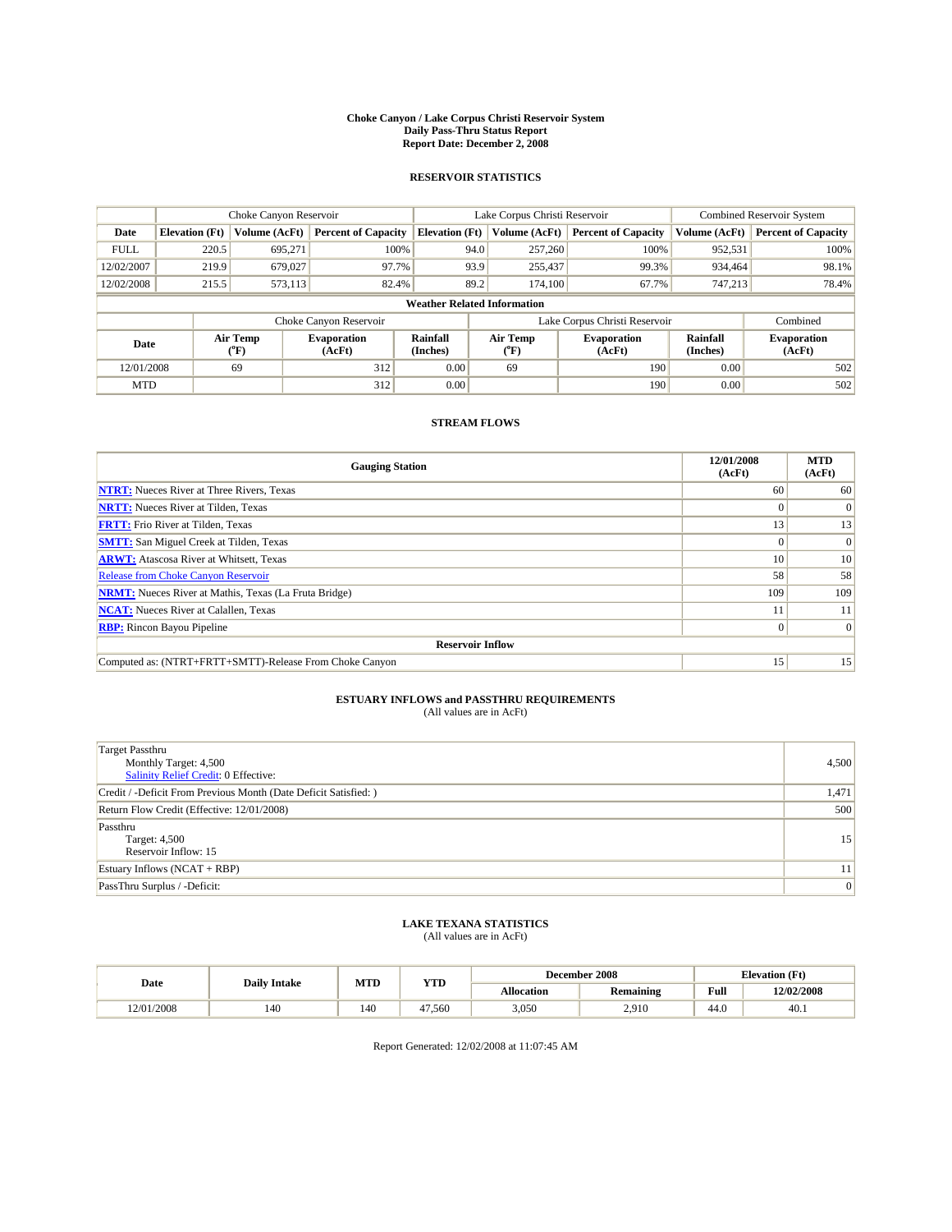#### **Choke Canyon / Lake Corpus Christi Reservoir System Daily Pass-Thru Status Report Report Date: December 2, 2008**

### **RESERVOIR STATISTICS**

|             |                                    | Choke Canyon Reservoir |                              |                             | Lake Corpus Christi Reservoir | <b>Combined Reservoir System</b> |                      |                              |  |
|-------------|------------------------------------|------------------------|------------------------------|-----------------------------|-------------------------------|----------------------------------|----------------------|------------------------------|--|
| Date        | <b>Elevation</b> (Ft)              | Volume (AcFt)          | <b>Percent of Capacity</b>   | <b>Elevation</b> (Ft)       | Volume (AcFt)                 | <b>Percent of Capacity</b>       | Volume (AcFt)        | <b>Percent of Capacity</b>   |  |
| <b>FULL</b> | 220.5                              | 695,271                | 100%                         | 94.0                        | 257,260                       | 100%                             | 952,531              | 100%                         |  |
| 12/02/2007  | 219.9                              | 679,027                | 97.7%                        | 93.9                        | 255,437                       | 99.3%                            | 934,464              | 98.1%                        |  |
| 12/02/2008  | 215.5                              | 573,113                | 82.4%                        | 89.2                        | 174,100                       | 67.7%                            | 747,213              | 78.4%                        |  |
|             | <b>Weather Related Information</b> |                        |                              |                             |                               |                                  |                      |                              |  |
|             |                                    |                        | Choke Canyon Reservoir       |                             |                               | Lake Corpus Christi Reservoir    |                      | Combined                     |  |
| Date        |                                    | Air Temp<br>(°F)       | <b>Evaporation</b><br>(AcFt) | <b>Rainfall</b><br>(Inches) | Air Temp<br>(°F)              | <b>Evaporation</b><br>(AcFt)     | Rainfall<br>(Inches) | <b>Evaporation</b><br>(AcFt) |  |
| 12/01/2008  |                                    | 69                     | 312                          | 0.00                        | 69                            | 190                              | 0.00                 | 502                          |  |
| <b>MTD</b>  |                                    |                        | 312                          | 0.00                        |                               | 190                              | 0.00                 | 502                          |  |

## **STREAM FLOWS**

| <b>Gauging Station</b>                                       | 12/01/2008<br>(AcFt) | <b>MTD</b><br>(AcFt) |  |  |  |  |  |
|--------------------------------------------------------------|----------------------|----------------------|--|--|--|--|--|
| <b>NTRT:</b> Nueces River at Three Rivers, Texas             | 60                   | 60                   |  |  |  |  |  |
| <b>NRTT:</b> Nueces River at Tilden, Texas                   | $\Omega$             | $\Omega$             |  |  |  |  |  |
| <b>FRTT:</b> Frio River at Tilden, Texas                     | 13                   | 13                   |  |  |  |  |  |
| <b>SMTT:</b> San Miguel Creek at Tilden, Texas               | $\theta$             | $\Omega$             |  |  |  |  |  |
| <b>ARWT:</b> Atascosa River at Whitsett, Texas               | 10 <sup>1</sup>      | 10                   |  |  |  |  |  |
| <b>Release from Choke Canyon Reservoir</b>                   | 58                   | 58                   |  |  |  |  |  |
| <b>NRMT:</b> Nueces River at Mathis, Texas (La Fruta Bridge) | 109                  | 109                  |  |  |  |  |  |
| <b>NCAT:</b> Nueces River at Calallen, Texas                 |                      | 11                   |  |  |  |  |  |
| <b>RBP:</b> Rincon Bayou Pipeline                            | $\overline{0}$       | $\Omega$             |  |  |  |  |  |
| <b>Reservoir Inflow</b>                                      |                      |                      |  |  |  |  |  |
| Computed as: (NTRT+FRTT+SMTT)-Release From Choke Canyon      | 15'                  | 15                   |  |  |  |  |  |

# **ESTUARY INFLOWS and PASSTHRU REQUIREMENTS**<br>(All values are in AcFt)

| <b>Target Passthru</b><br>Monthly Target: 4,500<br>Salinity Relief Credit: 0 Effective: | 4,500 |
|-----------------------------------------------------------------------------------------|-------|
| Credit / -Deficit From Previous Month (Date Deficit Satisfied: )                        | 1,471 |
| Return Flow Credit (Effective: 12/01/2008)                                              | 500   |
| Passthru<br>Target: 4,500<br>Reservoir Inflow: 15                                       | 15    |
| Estuary Inflows (NCAT + RBP)                                                            | 11    |
| PassThru Surplus / -Deficit:                                                            | 0     |

## **LAKE TEXANA STATISTICS** (All values are in AcFt)

| Date       | <b>Daily Intake</b> | MTD | <b>YTD</b> |            | December 2008    | <b>Elevation</b> (Ft)                       |            |
|------------|---------------------|-----|------------|------------|------------------|---------------------------------------------|------------|
|            |                     |     |            | Allocation | <b>Remaining</b> | Full<br>the contract of the contract of the | 12/02/2008 |
| 12/01/2008 | 140                 | 140 | 47.560     | 3,050      | 2.910            | 44.0                                        | 40.1       |

Report Generated: 12/02/2008 at 11:07:45 AM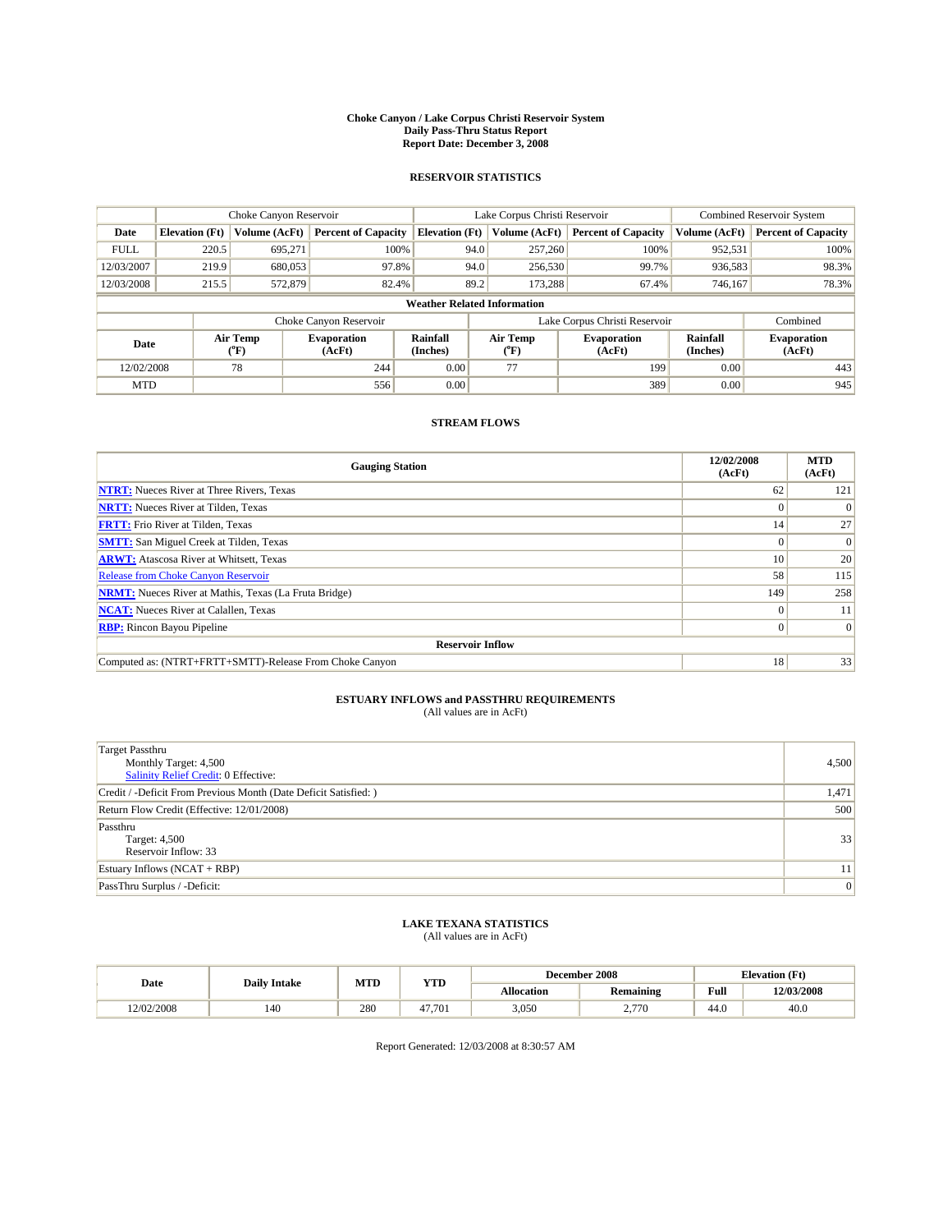#### **Choke Canyon / Lake Corpus Christi Reservoir System Daily Pass-Thru Status Report Report Date: December 3, 2008**

### **RESERVOIR STATISTICS**

|             |                                    | Choke Canyon Reservoir |                              |                             | Lake Corpus Christi Reservoir | Combined Reservoir System     |                      |                              |  |
|-------------|------------------------------------|------------------------|------------------------------|-----------------------------|-------------------------------|-------------------------------|----------------------|------------------------------|--|
| Date        | <b>Elevation</b> (Ft)              | Volume (AcFt)          | <b>Percent of Capacity</b>   | <b>Elevation</b> (Ft)       | Volume (AcFt)                 | <b>Percent of Capacity</b>    | Volume (AcFt)        | <b>Percent of Capacity</b>   |  |
| <b>FULL</b> | 220.5                              | 695,271                | 100%                         | 94.0                        | 257,260                       | 100%                          | 952,531              | 100%                         |  |
| 12/03/2007  | 219.9                              | 680,053                | 97.8%                        | 94.0                        | 256,530                       | 99.7%                         | 936,583              | 98.3%                        |  |
| 12/03/2008  | 215.5                              | 572,879                | 82.4%                        | 89.2                        | 173.288                       | 67.4%                         | 746,167              | 78.3%                        |  |
|             | <b>Weather Related Information</b> |                        |                              |                             |                               |                               |                      |                              |  |
|             |                                    |                        | Choke Canyon Reservoir       |                             |                               | Lake Corpus Christi Reservoir |                      | Combined                     |  |
| Date        |                                    | Air Temp<br>(°F)       | <b>Evaporation</b><br>(AcFt) | <b>Rainfall</b><br>(Inches) | Air Temp<br>(°F)              | <b>Evaporation</b><br>(AcFt)  | Rainfall<br>(Inches) | <b>Evaporation</b><br>(AcFt) |  |
| 12/02/2008  |                                    | 78                     | 244                          | 0.00                        | 77                            | 199                           | 0.00                 | 443                          |  |
| <b>MTD</b>  |                                    |                        | 556                          | 0.00                        |                               | 389                           | 0.00                 | 945                          |  |

## **STREAM FLOWS**

| <b>Gauging Station</b>                                       | 12/02/2008<br>(AcFt) | <b>MTD</b><br>(AcFt) |  |  |  |  |  |
|--------------------------------------------------------------|----------------------|----------------------|--|--|--|--|--|
| <b>NTRT:</b> Nueces River at Three Rivers, Texas             | 62                   | 121                  |  |  |  |  |  |
| <b>NRTT:</b> Nueces River at Tilden, Texas                   | $\theta$             |                      |  |  |  |  |  |
| <b>FRTT:</b> Frio River at Tilden, Texas                     | 14                   | 27                   |  |  |  |  |  |
| <b>SMTT:</b> San Miguel Creek at Tilden, Texas               | $\Omega$             | $\Omega$             |  |  |  |  |  |
| <b>ARWT:</b> Atascosa River at Whitsett, Texas               | 10 <sup>1</sup>      | 20                   |  |  |  |  |  |
| <b>Release from Choke Canyon Reservoir</b>                   | 58                   | 115                  |  |  |  |  |  |
| <b>NRMT:</b> Nueces River at Mathis, Texas (La Fruta Bridge) | 149                  | 258                  |  |  |  |  |  |
| <b>NCAT:</b> Nueces River at Calallen, Texas                 | $\Omega$             | 11                   |  |  |  |  |  |
| <b>RBP:</b> Rincon Bayou Pipeline                            | $\Omega$             | $\Omega$             |  |  |  |  |  |
| <b>Reservoir Inflow</b>                                      |                      |                      |  |  |  |  |  |
| Computed as: (NTRT+FRTT+SMTT)-Release From Choke Canyon      | 18                   | 33                   |  |  |  |  |  |

# **ESTUARY INFLOWS and PASSTHRU REQUIREMENTS**<br>(All values are in AcFt)

| <b>Target Passthru</b><br>Monthly Target: 4,500<br>Salinity Relief Credit: 0 Effective: | 4,500           |
|-----------------------------------------------------------------------------------------|-----------------|
| Credit / -Deficit From Previous Month (Date Deficit Satisfied: )                        | 1,471           |
| Return Flow Credit (Effective: 12/01/2008)                                              | 500             |
| Passthru<br>Target: 4,500<br>Reservoir Inflow: 33                                       | 33              |
| Estuary Inflows $(NCAT + RBP)$                                                          | 11 <sup>1</sup> |
| PassThru Surplus / -Deficit:                                                            | 0               |

## **LAKE TEXANA STATISTICS** (All values are in AcFt)

|            | <b>Daily Intake</b> | MTD | <b>YTD</b> |            | December 2008    | <b>Elevation</b> (Ft)                       |            |
|------------|---------------------|-----|------------|------------|------------------|---------------------------------------------|------------|
| Date       |                     |     |            | Allocation | <b>Remaining</b> | Full<br>the contract of the contract of the | 12/03/2008 |
| 12/02/2008 | 140                 | 280 | 47.701     | 3,050      | 770<br><u>.</u>  | 44.0                                        | 40.0       |

Report Generated: 12/03/2008 at 8:30:57 AM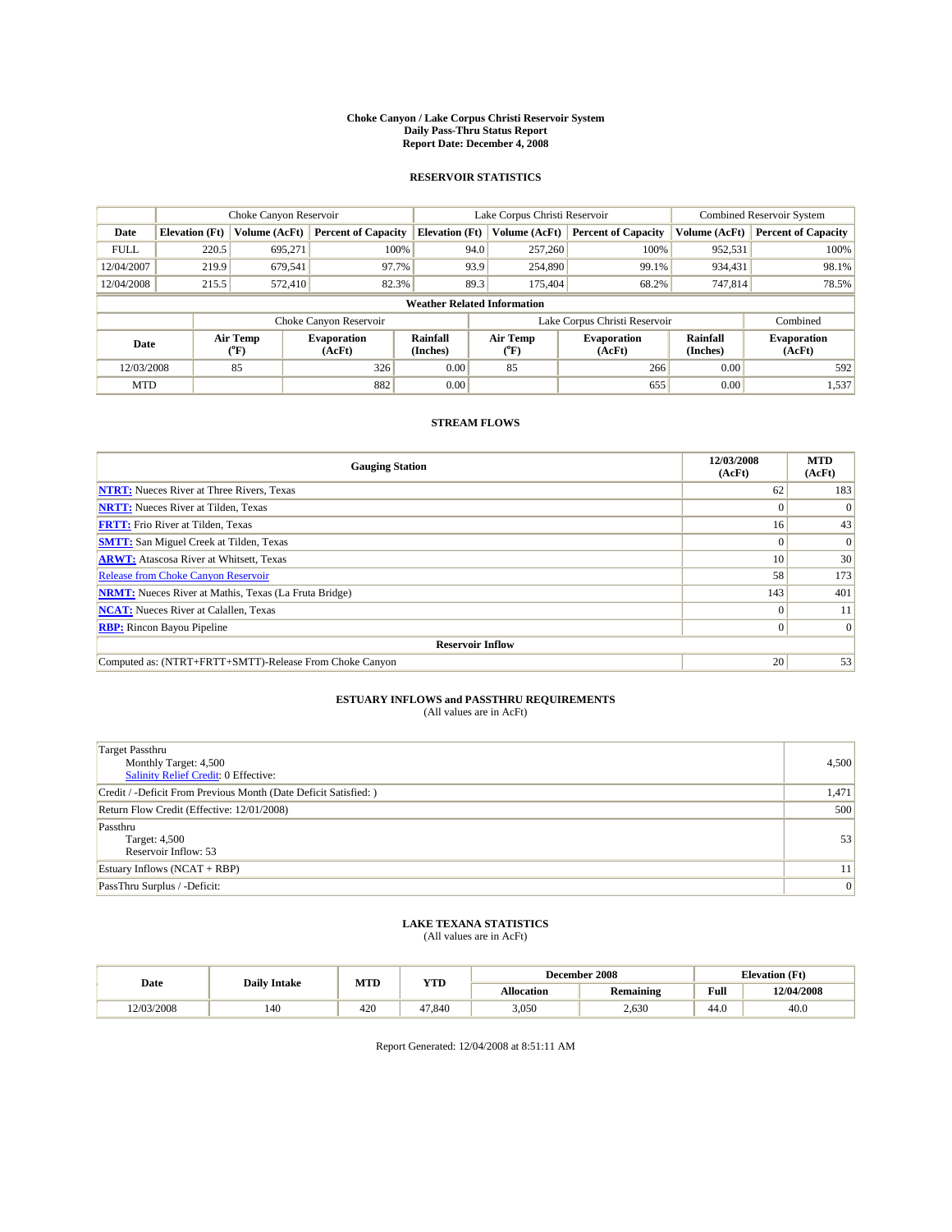#### **Choke Canyon / Lake Corpus Christi Reservoir System Daily Pass-Thru Status Report Report Date: December 4, 2008**

### **RESERVOIR STATISTICS**

|                                    |                       | Choke Canyon Reservoir |                              |                             | Lake Corpus Christi Reservoir | <b>Combined Reservoir System</b> |                      |                              |
|------------------------------------|-----------------------|------------------------|------------------------------|-----------------------------|-------------------------------|----------------------------------|----------------------|------------------------------|
| Date                               | <b>Elevation</b> (Ft) | Volume (AcFt)          | <b>Percent of Capacity</b>   | <b>Elevation</b> (Ft)       | Volume (AcFt)                 | <b>Percent of Capacity</b>       | Volume (AcFt)        | <b>Percent of Capacity</b>   |
| <b>FULL</b>                        | 220.5                 | 695,271                | 100%                         | 94.0                        | 257,260                       | 100%                             | 952,531              | 100%                         |
| 12/04/2007                         | 219.9                 | 679,541                | 97.7%                        | 93.9                        | 254,890                       | 99.1%                            | 934,431              | 98.1%                        |
| 12/04/2008                         | 215.5                 | 572,410                | 82.3%                        | 89.3                        | 175,404                       | 68.2%                            | 747,814              | 78.5%                        |
| <b>Weather Related Information</b> |                       |                        |                              |                             |                               |                                  |                      |                              |
|                                    |                       |                        | Choke Canyon Reservoir       |                             |                               | Lake Corpus Christi Reservoir    |                      | Combined                     |
| Date                               |                       | Air Temp<br>(°F)       | <b>Evaporation</b><br>(AcFt) | <b>Rainfall</b><br>(Inches) | Air Temp<br>(°F)              | <b>Evaporation</b><br>(AcFt)     | Rainfall<br>(Inches) | <b>Evaporation</b><br>(AcFt) |
| 12/03/2008                         |                       | 85                     | 326                          | 0.00                        | 85                            | 266                              | 0.00                 | 592                          |
| <b>MTD</b>                         |                       |                        | 882                          | 0.00                        |                               | 655                              | 0.00                 | 1,537                        |

## **STREAM FLOWS**

| <b>Gauging Station</b>                                       | 12/03/2008<br>(AcFt) | <b>MTD</b><br>(AcFt) |  |  |  |  |  |
|--------------------------------------------------------------|----------------------|----------------------|--|--|--|--|--|
| <b>NTRT:</b> Nueces River at Three Rivers, Texas             | 62                   | 183                  |  |  |  |  |  |
| <b>NRTT:</b> Nueces River at Tilden, Texas                   |                      |                      |  |  |  |  |  |
| <b>FRTT:</b> Frio River at Tilden, Texas                     | 16                   | 43                   |  |  |  |  |  |
| <b>SMTT:</b> San Miguel Creek at Tilden, Texas               |                      | $\vert 0 \vert$      |  |  |  |  |  |
| <b>ARWT:</b> Atascosa River at Whitsett, Texas               | 10                   | 30 <sub>1</sub>      |  |  |  |  |  |
| <b>Release from Choke Canyon Reservoir</b>                   | 58                   | 173                  |  |  |  |  |  |
| <b>NRMT:</b> Nueces River at Mathis, Texas (La Fruta Bridge) | 143                  | 401                  |  |  |  |  |  |
| <b>NCAT:</b> Nueces River at Calallen, Texas                 |                      | 11                   |  |  |  |  |  |
| <b>RBP:</b> Rincon Bayou Pipeline                            | 0                    | $\Omega$             |  |  |  |  |  |
| <b>Reservoir Inflow</b>                                      |                      |                      |  |  |  |  |  |
| Computed as: (NTRT+FRTT+SMTT)-Release From Choke Canyon      | 20                   | 53                   |  |  |  |  |  |

# **ESTUARY INFLOWS and PASSTHRU REQUIREMENTS**<br>(All values are in AcFt)

| <b>Target Passthru</b><br>Monthly Target: 4,500<br><b>Salinity Relief Credit: 0 Effective:</b> | 4,500           |
|------------------------------------------------------------------------------------------------|-----------------|
| Credit / -Deficit From Previous Month (Date Deficit Satisfied: )                               | 1,471           |
| Return Flow Credit (Effective: 12/01/2008)                                                     | 500             |
| Passthru<br>Target: 4,500<br>Reservoir Inflow: 53                                              | 53              |
| Estuary Inflows $(NCAT + RBP)$                                                                 | 11 <sup>1</sup> |
| PassThru Surplus / -Deficit:                                                                   | 0               |

## **LAKE TEXANA STATISTICS** (All values are in AcFt)

|            | <b>Daily Intake</b> | MTD | <b>YTD</b> |            | December 2008    | <b>Elevation</b> (Ft)                       |            |
|------------|---------------------|-----|------------|------------|------------------|---------------------------------------------|------------|
| Date       |                     |     |            | Allocation | <b>Remaining</b> | Full<br>the contract of the contract of the | 12/04/2008 |
| 12/03/2008 | 140                 | 420 | 47.840     | 3,050      | 2.630            | 44.0                                        | 40.0       |

Report Generated: 12/04/2008 at 8:51:11 AM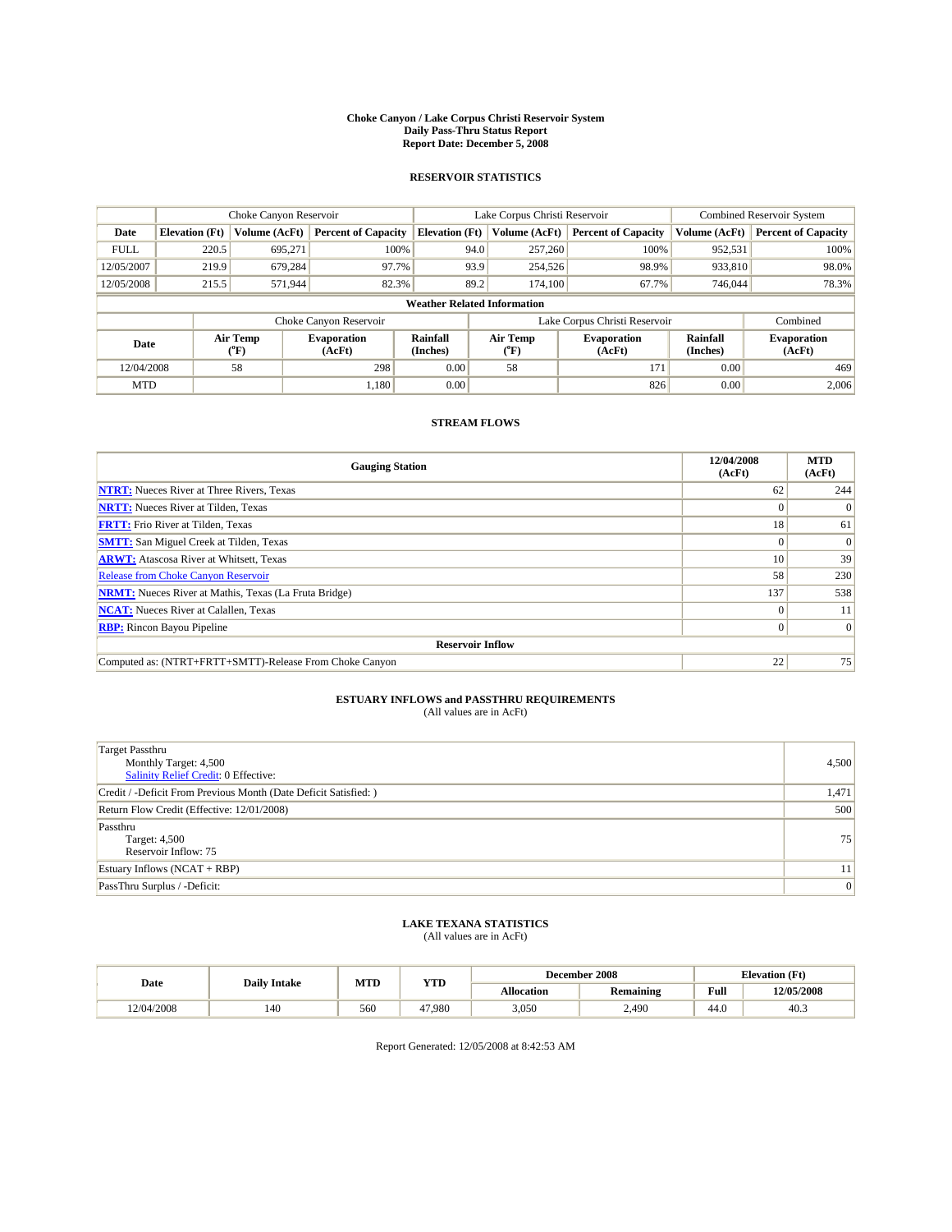#### **Choke Canyon / Lake Corpus Christi Reservoir System Daily Pass-Thru Status Report Report Date: December 5, 2008**

### **RESERVOIR STATISTICS**

|             |                                    | Choke Canyon Reservoir |                              |                       | Lake Corpus Christi Reservoir | <b>Combined Reservoir System</b> |                      |                              |  |
|-------------|------------------------------------|------------------------|------------------------------|-----------------------|-------------------------------|----------------------------------|----------------------|------------------------------|--|
| Date        | <b>Elevation</b> (Ft)              | Volume (AcFt)          | <b>Percent of Capacity</b>   | <b>Elevation</b> (Ft) | Volume (AcFt)                 | <b>Percent of Capacity</b>       | Volume (AcFt)        | <b>Percent of Capacity</b>   |  |
| <b>FULL</b> | 220.5                              | 695,271                | 100%                         | 94.0                  | 257,260                       | 100%                             | 952,531              | 100%                         |  |
| 12/05/2007  | 219.9                              | 679,284                | 97.7%                        | 93.9                  | 254,526                       | 98.9%                            | 933,810              | 98.0%                        |  |
| 12/05/2008  | 215.5                              | 571,944                | 82.3%                        | 89.2                  | 174,100                       | 67.7%                            | 746,044              | 78.3%                        |  |
|             | <b>Weather Related Information</b> |                        |                              |                       |                               |                                  |                      |                              |  |
|             |                                    |                        | Choke Canyon Reservoir       |                       |                               | Lake Corpus Christi Reservoir    |                      | Combined                     |  |
| Date        |                                    | Air Temp<br>(°F)       | <b>Evaporation</b><br>(AcFt) | Rainfall<br>(Inches)  | Air Temp<br>("F)              | <b>Evaporation</b><br>(AcFt)     | Rainfall<br>(Inches) | <b>Evaporation</b><br>(AcFt) |  |
| 12/04/2008  |                                    | 58                     | 298                          | 0.00                  | 58                            | 171                              | 0.00                 | 469                          |  |
| <b>MTD</b>  |                                    |                        | 1.180                        | 0.00                  |                               | 826                              | 0.00                 | 2,006                        |  |

## **STREAM FLOWS**

| <b>Gauging Station</b>                                       | 12/04/2008<br>(AcFt) | <b>MTD</b><br>(AcFt) |  |  |  |  |  |
|--------------------------------------------------------------|----------------------|----------------------|--|--|--|--|--|
| <b>NTRT:</b> Nueces River at Three Rivers, Texas             | 62                   | 244                  |  |  |  |  |  |
| <b>NRTT:</b> Nueces River at Tilden, Texas                   | $\Omega$             |                      |  |  |  |  |  |
| <b>FRTT:</b> Frio River at Tilden, Texas                     | 18                   | 61                   |  |  |  |  |  |
| <b>SMTT:</b> San Miguel Creek at Tilden, Texas               | $\Omega$             | $\Omega$             |  |  |  |  |  |
| <b>ARWT:</b> Atascosa River at Whitsett, Texas               | 10 <sup>1</sup>      | 39                   |  |  |  |  |  |
| <b>Release from Choke Canyon Reservoir</b>                   | 58                   | 230                  |  |  |  |  |  |
| <b>NRMT:</b> Nueces River at Mathis, Texas (La Fruta Bridge) | 137                  | 538                  |  |  |  |  |  |
| <b>NCAT:</b> Nueces River at Calallen, Texas                 | $\Omega$             | 11                   |  |  |  |  |  |
| <b>RBP:</b> Rincon Bayou Pipeline                            | $\Omega$             | $\Omega$             |  |  |  |  |  |
| <b>Reservoir Inflow</b>                                      |                      |                      |  |  |  |  |  |
| Computed as: (NTRT+FRTT+SMTT)-Release From Choke Canyon      | 22                   | 75                   |  |  |  |  |  |

# **ESTUARY INFLOWS and PASSTHRU REQUIREMENTS**<br>(All values are in AcFt)

| <b>Target Passthru</b><br>Monthly Target: 4,500<br><b>Salinity Relief Credit: 0 Effective:</b> | 4,500 |
|------------------------------------------------------------------------------------------------|-------|
| Credit / -Deficit From Previous Month (Date Deficit Satisfied: )                               | 1,471 |
| Return Flow Credit (Effective: 12/01/2008)                                                     | 500   |
| Passthru<br>Target: 4,500<br>Reservoir Inflow: 75                                              | 75    |
| Estuary Inflows (NCAT + RBP)                                                                   | 11    |
| PassThru Surplus / -Deficit:                                                                   | 0     |

## **LAKE TEXANA STATISTICS** (All values are in AcFt)

|            | <b>Daily Intake</b> | MTD | <b>YTD</b> |            | December 2008    | <b>Elevation</b> (Ft)                       |            |
|------------|---------------------|-----|------------|------------|------------------|---------------------------------------------|------------|
| Date       |                     |     |            | Allocation | <b>Remaining</b> | Full<br>the contract of the contract of the | 12/05/2008 |
| 12/04/2008 | 140                 | 560 | 47.980     | 3,050      | 2.490            | 44.0                                        | 40.3       |

Report Generated: 12/05/2008 at 8:42:53 AM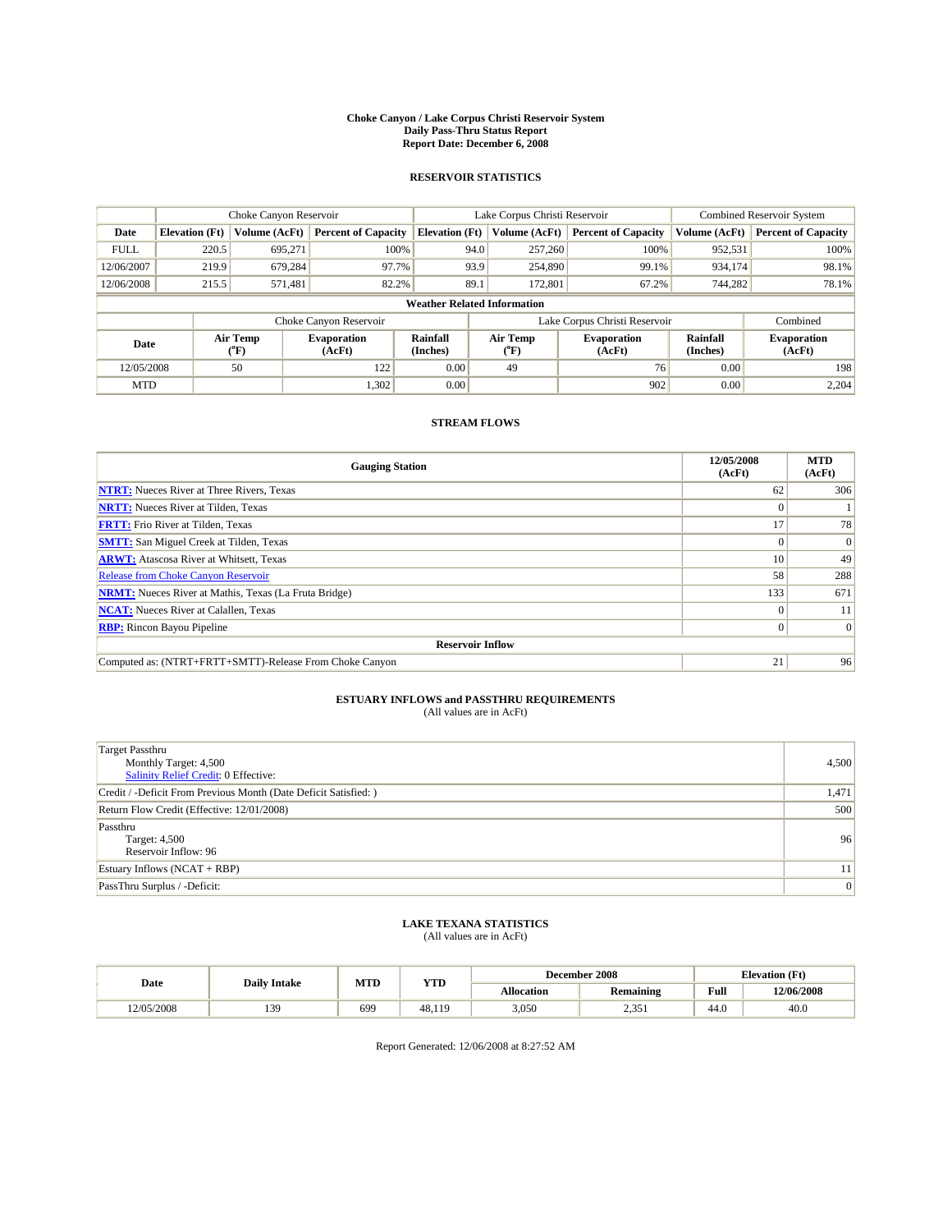#### **Choke Canyon / Lake Corpus Christi Reservoir System Daily Pass-Thru Status Report Report Date: December 6, 2008**

### **RESERVOIR STATISTICS**

|             |                                    | Choke Canyon Reservoir   |                              |                       | Lake Corpus Christi Reservoir | <b>Combined Reservoir System</b> |                      |                              |  |
|-------------|------------------------------------|--------------------------|------------------------------|-----------------------|-------------------------------|----------------------------------|----------------------|------------------------------|--|
| Date        | <b>Elevation</b> (Ft)              | Volume (AcFt)            | <b>Percent of Capacity</b>   | <b>Elevation (Ft)</b> | Volume (AcFt)                 | <b>Percent of Capacity</b>       | Volume (AcFt)        | <b>Percent of Capacity</b>   |  |
| <b>FULL</b> | 220.5                              | 695,271                  | 100%                         |                       | 257,260<br>94.0               | 100%                             | 952,531              | 100%                         |  |
| 12/06/2007  | 219.9                              | 679,284                  | 97.7%                        |                       | 93.9<br>254,890               | 99.1%                            | 934,174              | 98.1%                        |  |
| 12/06/2008  | 215.5                              | 571,481                  | 82.2%                        | 89.1                  | 172,801                       | 67.2%                            | 744,282              | 78.1%                        |  |
|             | <b>Weather Related Information</b> |                          |                              |                       |                               |                                  |                      |                              |  |
|             |                                    |                          | Choke Canyon Reservoir       |                       |                               | Lake Corpus Christi Reservoir    |                      | Combined                     |  |
| Date        |                                    | Air Temp<br>$\rm ^{o}F)$ | <b>Evaporation</b><br>(AcFt) | Rainfall<br>(Inches)  | Air Temp<br>("F)              | <b>Evaporation</b><br>(AcFt)     | Rainfall<br>(Inches) | <b>Evaporation</b><br>(AcFt) |  |
| 12/05/2008  |                                    | 50                       | 122                          | 0.00                  | 49                            | 76                               | 0.00                 | 198                          |  |
| <b>MTD</b>  |                                    |                          | 1,302                        | 0.00                  |                               | 902                              | 0.00                 | 2,204                        |  |

## **STREAM FLOWS**

| <b>Gauging Station</b>                                       | 12/05/2008<br>(AcFt) | <b>MTD</b><br>(AcFt) |  |  |  |  |  |
|--------------------------------------------------------------|----------------------|----------------------|--|--|--|--|--|
| <b>NTRT:</b> Nueces River at Three Rivers, Texas             | 62                   | 306                  |  |  |  |  |  |
| <b>NRTT:</b> Nueces River at Tilden, Texas                   |                      |                      |  |  |  |  |  |
| <b>FRTT:</b> Frio River at Tilden, Texas                     | 17                   | 78                   |  |  |  |  |  |
| <b>SMTT:</b> San Miguel Creek at Tilden, Texas               |                      | $\vert 0 \vert$      |  |  |  |  |  |
| <b>ARWT:</b> Atascosa River at Whitsett, Texas               | 10                   | 49                   |  |  |  |  |  |
| <b>Release from Choke Canyon Reservoir</b>                   | 58                   | 288                  |  |  |  |  |  |
| <b>NRMT:</b> Nueces River at Mathis, Texas (La Fruta Bridge) | 133                  | 671                  |  |  |  |  |  |
| <b>NCAT:</b> Nueces River at Calallen, Texas                 |                      | 11                   |  |  |  |  |  |
| <b>RBP:</b> Rincon Bayou Pipeline                            | 0                    | $\Omega$             |  |  |  |  |  |
| <b>Reservoir Inflow</b>                                      |                      |                      |  |  |  |  |  |
| Computed as: (NTRT+FRTT+SMTT)-Release From Choke Canyon      | 21                   | 96                   |  |  |  |  |  |

# **ESTUARY INFLOWS and PASSTHRU REQUIREMENTS**<br>(All values are in AcFt)

| <b>Target Passthru</b><br>Monthly Target: 4,500<br>Salinity Relief Credit: 0 Effective: | 4,500 |
|-----------------------------------------------------------------------------------------|-------|
| Credit / -Deficit From Previous Month (Date Deficit Satisfied: )                        | 1,471 |
| Return Flow Credit (Effective: 12/01/2008)                                              | 500   |
| Passthru<br>Target: 4,500<br>Reservoir Inflow: 96                                       | 96    |
| Estuary Inflows (NCAT + RBP)                                                            | 11    |
| PassThru Surplus / -Deficit:                                                            | 0     |

## **LAKE TEXANA STATISTICS** (All values are in AcFt)

|           | <b>Daily Intake</b> | MTD | <b>YTD</b>   |            | December 2008    | <b>Elevation</b> (Ft)                       |            |
|-----------|---------------------|-----|--------------|------------|------------------|---------------------------------------------|------------|
| Date      |                     |     |              | Allocation | <b>Remaining</b> | Full<br>the contract of the contract of the | 12/06/2008 |
| 2/05/2008 | 139                 | 699 | 48.1<br>11 G | 3,050      | 1.25<br>⊥ ب∠د ک  | 44.0                                        | 40.0       |

Report Generated: 12/06/2008 at 8:27:52 AM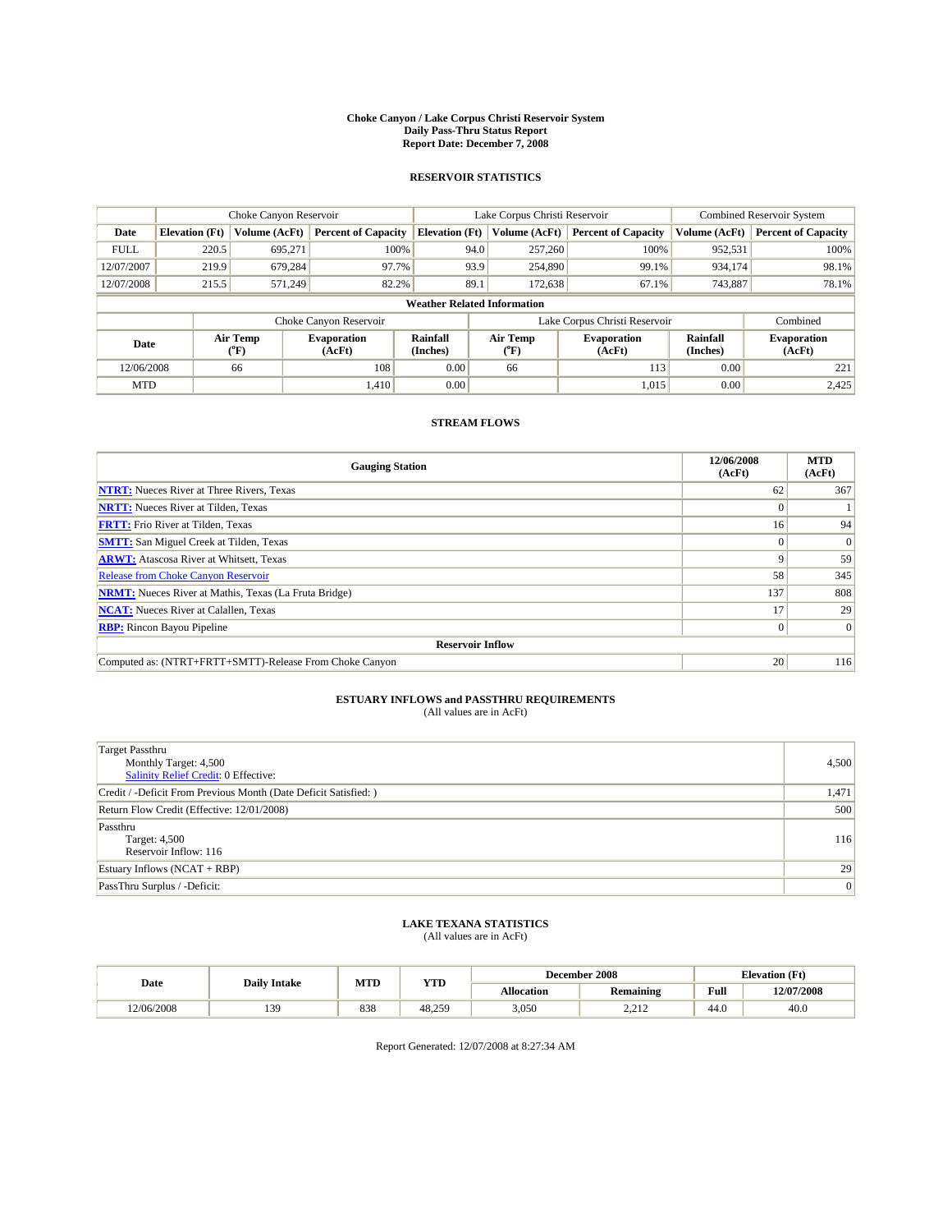#### **Choke Canyon / Lake Corpus Christi Reservoir System Daily Pass-Thru Status Report Report Date: December 7, 2008**

### **RESERVOIR STATISTICS**

|             |                                    | Choke Canyon Reservoir |                              |                             | Lake Corpus Christi Reservoir | Combined Reservoir System     |                      |                              |  |
|-------------|------------------------------------|------------------------|------------------------------|-----------------------------|-------------------------------|-------------------------------|----------------------|------------------------------|--|
| Date        | <b>Elevation</b> (Ft)              | Volume (AcFt)          | <b>Percent of Capacity</b>   | <b>Elevation</b> (Ft)       | Volume (AcFt)                 | <b>Percent of Capacity</b>    | Volume (AcFt)        | <b>Percent of Capacity</b>   |  |
| <b>FULL</b> | 220.5                              | 695,271                | 100%                         | 94.0                        | 257,260                       | 100%                          | 952,531              | 100%                         |  |
| 12/07/2007  | 219.9                              | 679,284                | 97.7%                        | 93.9                        | 254,890                       | 99.1%                         | 934,174              | 98.1%                        |  |
| 12/07/2008  | 215.5                              | 571,249                | 82.2%                        | 89.1                        | 172,638                       | 67.1%                         | 743,887              | 78.1%                        |  |
|             | <b>Weather Related Information</b> |                        |                              |                             |                               |                               |                      |                              |  |
|             |                                    |                        | Choke Canyon Reservoir       |                             |                               | Lake Corpus Christi Reservoir |                      | Combined                     |  |
| Date        |                                    | Air Temp<br>(°F)       | <b>Evaporation</b><br>(AcFt) | <b>Rainfall</b><br>(Inches) | Air Temp<br>(°F)              | <b>Evaporation</b><br>(AcFt)  | Rainfall<br>(Inches) | <b>Evaporation</b><br>(AcFt) |  |
| 12/06/2008  |                                    | 66                     | 108                          | 0.00                        | 66                            | 113                           | 0.00                 | 221                          |  |
| <b>MTD</b>  |                                    |                        | 1.410                        | 0.00                        |                               | 1,015                         | 0.00                 | 2,425                        |  |

## **STREAM FLOWS**

| <b>Gauging Station</b>                                       | 12/06/2008<br>(AcFt) | <b>MTD</b><br>(AcFt) |  |  |  |  |  |
|--------------------------------------------------------------|----------------------|----------------------|--|--|--|--|--|
| <b>NTRT:</b> Nueces River at Three Rivers, Texas             | 62                   | 367                  |  |  |  |  |  |
| <b>NRTT:</b> Nueces River at Tilden, Texas                   | $\Omega$             |                      |  |  |  |  |  |
| <b>FRTT:</b> Frio River at Tilden, Texas                     | 16 <sup>1</sup>      | 94                   |  |  |  |  |  |
| <b>SMTT:</b> San Miguel Creek at Tilden, Texas               | $\theta$             | $\Omega$             |  |  |  |  |  |
| <b>ARWT:</b> Atascosa River at Whitsett, Texas               | 9                    | 59                   |  |  |  |  |  |
| <b>Release from Choke Canyon Reservoir</b>                   | 58                   | 345                  |  |  |  |  |  |
| <b>NRMT:</b> Nueces River at Mathis, Texas (La Fruta Bridge) | 137                  | 808                  |  |  |  |  |  |
| <b>NCAT:</b> Nueces River at Calallen, Texas                 | 17                   | 29                   |  |  |  |  |  |
| <b>RBP:</b> Rincon Bayou Pipeline                            |                      |                      |  |  |  |  |  |
| <b>Reservoir Inflow</b>                                      |                      |                      |  |  |  |  |  |
| Computed as: (NTRT+FRTT+SMTT)-Release From Choke Canyon      | 20                   | 116                  |  |  |  |  |  |

# **ESTUARY INFLOWS and PASSTHRU REQUIREMENTS**<br>(All values are in AcFt)

| <b>Target Passthru</b><br>Monthly Target: 4,500<br>Salinity Relief Credit: 0 Effective: | 4,500 |
|-----------------------------------------------------------------------------------------|-------|
| Credit / -Deficit From Previous Month (Date Deficit Satisfied: )                        | 1,471 |
| Return Flow Credit (Effective: 12/01/2008)                                              | 500   |
| Passthru<br>Target: 4,500<br>Reservoir Inflow: 116                                      | 116   |
| Estuary Inflows (NCAT + RBP)                                                            | 29    |
| PassThru Surplus / -Deficit:                                                            | 0     |

## **LAKE TEXANA STATISTICS** (All values are in AcFt)

|            | <b>Daily Intake</b> | MTD | <b>YTD</b> |                   | December 2008    | <b>Elevation</b> (Ft) |            |
|------------|---------------------|-----|------------|-------------------|------------------|-----------------------|------------|
| Date       |                     |     |            | <b>Allocation</b> | <b>Remaining</b> | Full                  | 12/07/2008 |
| 12/06/2008 | 139                 | 838 | 48.259     | 3,050             | 0.010<br>----    | 44.0                  | 40.0       |

Report Generated: 12/07/2008 at 8:27:34 AM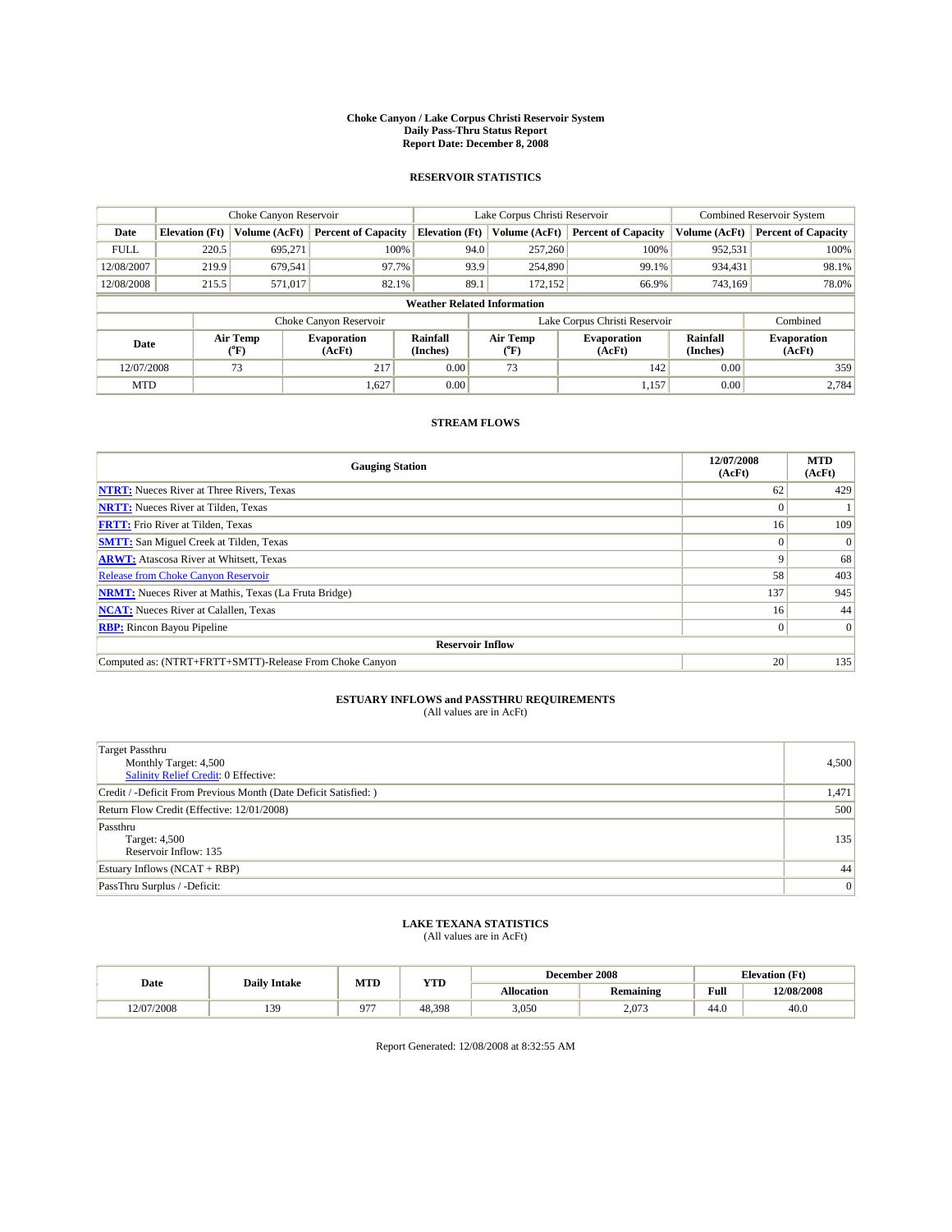#### **Choke Canyon / Lake Corpus Christi Reservoir System Daily Pass-Thru Status Report Report Date: December 8, 2008**

### **RESERVOIR STATISTICS**

|             |                                    | Choke Canyon Reservoir |                              |                             | Lake Corpus Christi Reservoir | Combined Reservoir System     |                      |                              |  |
|-------------|------------------------------------|------------------------|------------------------------|-----------------------------|-------------------------------|-------------------------------|----------------------|------------------------------|--|
| Date        | <b>Elevation</b> (Ft)              | Volume (AcFt)          | <b>Percent of Capacity</b>   | <b>Elevation</b> (Ft)       | Volume (AcFt)                 | <b>Percent of Capacity</b>    | Volume (AcFt)        | <b>Percent of Capacity</b>   |  |
| <b>FULL</b> | 220.5                              | 695,271                | 100%                         | 94.0                        | 257,260                       | 100%                          | 952,531              | 100%                         |  |
| 12/08/2007  | 219.9                              | 679,541                | 97.7%                        | 93.9                        | 254,890                       | 99.1%                         | 934,431              | 98.1%                        |  |
| 12/08/2008  | 215.5                              | 571,017                | 82.1%                        | 89.1                        | 172,152                       | 66.9%                         | 743,169              | 78.0%                        |  |
|             | <b>Weather Related Information</b> |                        |                              |                             |                               |                               |                      |                              |  |
|             |                                    |                        | Choke Canyon Reservoir       |                             |                               | Lake Corpus Christi Reservoir |                      | Combined                     |  |
| Date        |                                    | Air Temp<br>(°F)       | <b>Evaporation</b><br>(AcFt) | <b>Rainfall</b><br>(Inches) | Air Temp<br>(°F)              | <b>Evaporation</b><br>(AcFt)  | Rainfall<br>(Inches) | <b>Evaporation</b><br>(AcFt) |  |
| 12/07/2008  |                                    | 73                     | 217                          | 0.00                        | 73                            | 142                           | 0.00                 | 359                          |  |
| <b>MTD</b>  |                                    |                        | 1,627                        | 0.00                        |                               | 1,157                         | 0.00                 | 2.784                        |  |

## **STREAM FLOWS**

| <b>Gauging Station</b>                                       | 12/07/2008<br>(AcFt) | <b>MTD</b><br>(AcFt) |  |  |  |  |  |
|--------------------------------------------------------------|----------------------|----------------------|--|--|--|--|--|
| <b>NTRT:</b> Nueces River at Three Rivers, Texas             | 62                   | 429                  |  |  |  |  |  |
| <b>NRTT:</b> Nueces River at Tilden, Texas                   | $\Omega$             |                      |  |  |  |  |  |
| <b>FRTT:</b> Frio River at Tilden, Texas                     | 16 <sup>1</sup>      | 109                  |  |  |  |  |  |
| <b>SMTT:</b> San Miguel Creek at Tilden, Texas               | $\theta$             | $\Omega$             |  |  |  |  |  |
| <b>ARWT:</b> Atascosa River at Whitsett, Texas               | 9                    | 68                   |  |  |  |  |  |
| <b>Release from Choke Canyon Reservoir</b>                   | 58                   | 403                  |  |  |  |  |  |
| <b>NRMT:</b> Nueces River at Mathis, Texas (La Fruta Bridge) | 137                  | 945                  |  |  |  |  |  |
| <b>NCAT:</b> Nueces River at Calallen, Texas                 | 16 <sup>1</sup>      | 44                   |  |  |  |  |  |
| <b>RBP:</b> Rincon Bayou Pipeline                            | $\overline{0}$       | $\Omega$             |  |  |  |  |  |
| <b>Reservoir Inflow</b>                                      |                      |                      |  |  |  |  |  |
| Computed as: (NTRT+FRTT+SMTT)-Release From Choke Canyon      | 20                   | 135                  |  |  |  |  |  |

# **ESTUARY INFLOWS and PASSTHRU REQUIREMENTS**<br>(All values are in AcFt)

| <b>Target Passthru</b><br>Monthly Target: 4,500<br>Salinity Relief Credit: 0 Effective: | 4,500 |
|-----------------------------------------------------------------------------------------|-------|
| Credit / -Deficit From Previous Month (Date Deficit Satisfied: )                        | 1,471 |
| Return Flow Credit (Effective: 12/01/2008)                                              | 500   |
| Passthru<br>Target: 4,500<br>Reservoir Inflow: 135                                      | 135   |
| Estuary Inflows $(NCAT + RBP)$                                                          | 44    |
| PassThru Surplus / -Deficit:                                                            | 0     |

## **LAKE TEXANA STATISTICS** (All values are in AcFt)

|            | <b>Daily Intake</b> | MTD | <b>YTD</b> |            | December 2008    | <b>Elevation</b> (Ft)                       |            |
|------------|---------------------|-----|------------|------------|------------------|---------------------------------------------|------------|
| Date       |                     |     |            | Allocation | <b>Remaining</b> | Full<br>the contract of the contract of the | 12/08/2008 |
| 12/07/2008 | 139                 | 077 | 48.398     | 3,050      | 2,073            | 44.0                                        | 40.0       |

Report Generated: 12/08/2008 at 8:32:55 AM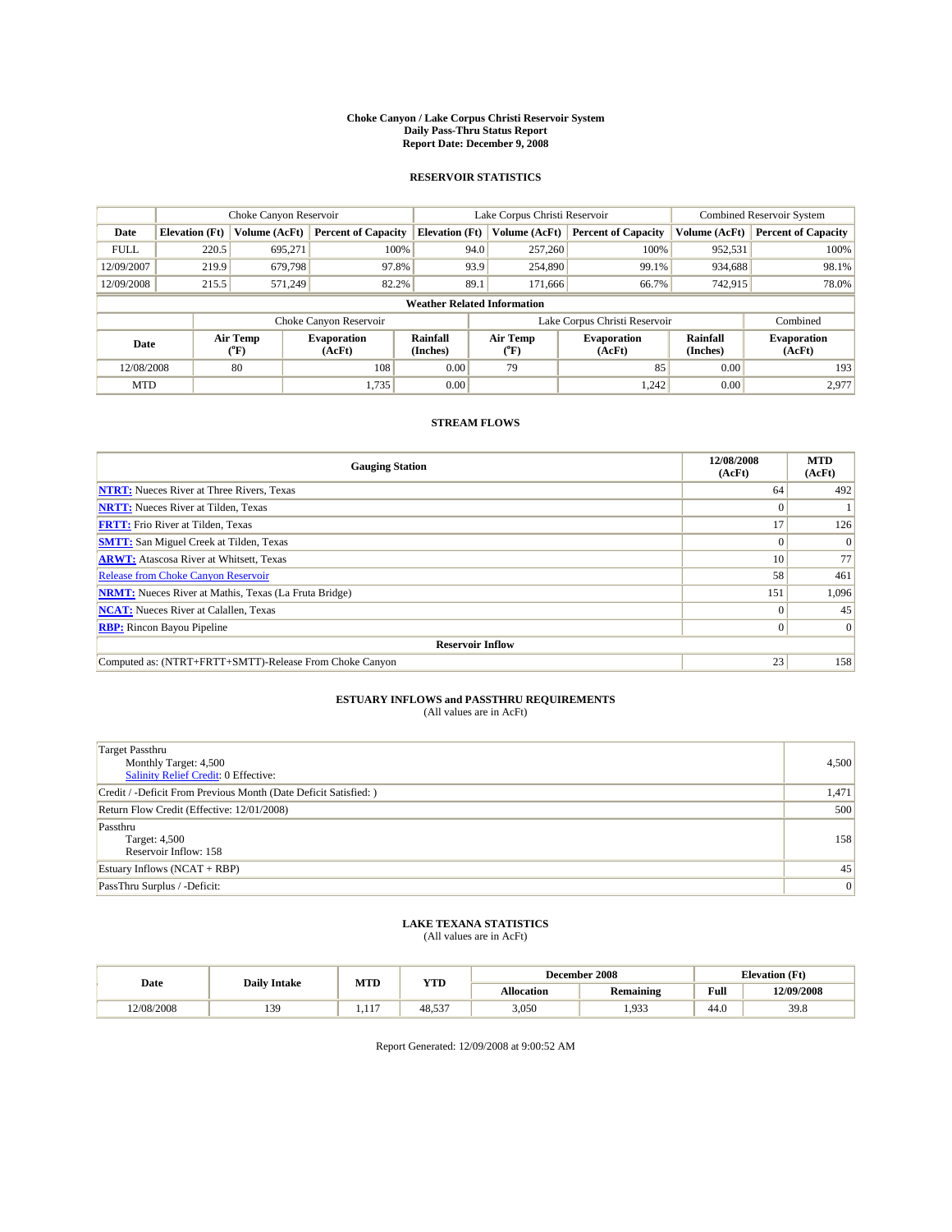#### **Choke Canyon / Lake Corpus Christi Reservoir System Daily Pass-Thru Status Report Report Date: December 9, 2008**

### **RESERVOIR STATISTICS**

|             |                                    | Choke Canyon Reservoir |                              |                             | Lake Corpus Christi Reservoir | Combined Reservoir System     |                      |                              |  |
|-------------|------------------------------------|------------------------|------------------------------|-----------------------------|-------------------------------|-------------------------------|----------------------|------------------------------|--|
| Date        | <b>Elevation</b> (Ft)              | Volume (AcFt)          | <b>Percent of Capacity</b>   | <b>Elevation</b> (Ft)       | Volume (AcFt)                 | <b>Percent of Capacity</b>    | Volume (AcFt)        | <b>Percent of Capacity</b>   |  |
| <b>FULL</b> | 220.5                              | 695,271                | 100%                         | 94.0                        | 257,260                       | 100%                          | 952,531              | 100%                         |  |
| 12/09/2007  | 219.9                              | 679,798                | 97.8%                        | 93.9                        | 254,890                       | 99.1%                         | 934,688              | 98.1%                        |  |
| 12/09/2008  | 215.5                              | 571,249                | 82.2%                        | 89.1                        | 171,666                       | 66.7%                         | 742,915              | 78.0%                        |  |
|             | <b>Weather Related Information</b> |                        |                              |                             |                               |                               |                      |                              |  |
|             |                                    |                        | Choke Canyon Reservoir       |                             |                               | Lake Corpus Christi Reservoir |                      | Combined                     |  |
| Date        |                                    | Air Temp<br>(°F)       | <b>Evaporation</b><br>(AcFt) | <b>Rainfall</b><br>(Inches) | Air Temp<br>(°F)              | <b>Evaporation</b><br>(AcFt)  | Rainfall<br>(Inches) | <b>Evaporation</b><br>(AcFt) |  |
| 12/08/2008  |                                    | 80                     | 108                          | 0.00                        | 79                            | 85                            | 0.00                 | 193                          |  |
| <b>MTD</b>  |                                    |                        | 1,735                        | 0.00                        |                               | 1,242                         | 0.00                 | 2.977                        |  |

## **STREAM FLOWS**

| <b>Gauging Station</b>                                       | 12/08/2008<br>(AcFt) | <b>MTD</b><br>(AcFt) |  |  |  |  |  |
|--------------------------------------------------------------|----------------------|----------------------|--|--|--|--|--|
| <b>NTRT:</b> Nueces River at Three Rivers, Texas             | 64                   | 492                  |  |  |  |  |  |
| <b>NRTT:</b> Nueces River at Tilden, Texas                   |                      |                      |  |  |  |  |  |
| <b>FRTT:</b> Frio River at Tilden, Texas                     | 17                   | 126                  |  |  |  |  |  |
| <b>SMTT:</b> San Miguel Creek at Tilden, Texas               | $\theta$             | $\Omega$             |  |  |  |  |  |
| <b>ARWT:</b> Atascosa River at Whitsett, Texas               | 10                   | 77                   |  |  |  |  |  |
| <b>Release from Choke Canyon Reservoir</b>                   | 58                   | 461                  |  |  |  |  |  |
| <b>NRMT:</b> Nueces River at Mathis, Texas (La Fruta Bridge) | 151                  | 1,096                |  |  |  |  |  |
| <b>NCAT:</b> Nueces River at Calallen, Texas                 | $\Omega$             | 45                   |  |  |  |  |  |
| <b>RBP:</b> Rincon Bayou Pipeline                            | $\overline{0}$       | $\Omega$             |  |  |  |  |  |
| <b>Reservoir Inflow</b>                                      |                      |                      |  |  |  |  |  |
| Computed as: (NTRT+FRTT+SMTT)-Release From Choke Canyon      | 23                   | 158                  |  |  |  |  |  |

# **ESTUARY INFLOWS and PASSTHRU REQUIREMENTS**<br>(All values are in AcFt)

| <b>Target Passthru</b><br>Monthly Target: 4,500<br>Salinity Relief Credit: 0 Effective: | 4,500          |
|-----------------------------------------------------------------------------------------|----------------|
| Credit / -Deficit From Previous Month (Date Deficit Satisfied: )                        | 1,471          |
| Return Flow Credit (Effective: 12/01/2008)                                              | 500            |
| Passthru<br>Target: 4,500<br>Reservoir Inflow: 158                                      | 158            |
| Estuary Inflows $(NCAT + RBP)$                                                          | 45             |
| PassThru Surplus / -Deficit:                                                            | $\overline{0}$ |

## **LAKE TEXANA STATISTICS** (All values are in AcFt)

|            | <b>Daily Intake</b> | MTD      | <b>YTD</b> |            | December 2008    | <b>Elevation</b> (Ft)                       |            |
|------------|---------------------|----------|------------|------------|------------------|---------------------------------------------|------------|
| Date       |                     |          |            | Allocation | <b>Remaining</b> | Full<br>the contract of the contract of the | 12/09/2008 |
| 12/08/2008 | 139                 | 117<br>. | 48.537     | 3,050      | .933             | 44.0                                        | 39.8       |

Report Generated: 12/09/2008 at 9:00:52 AM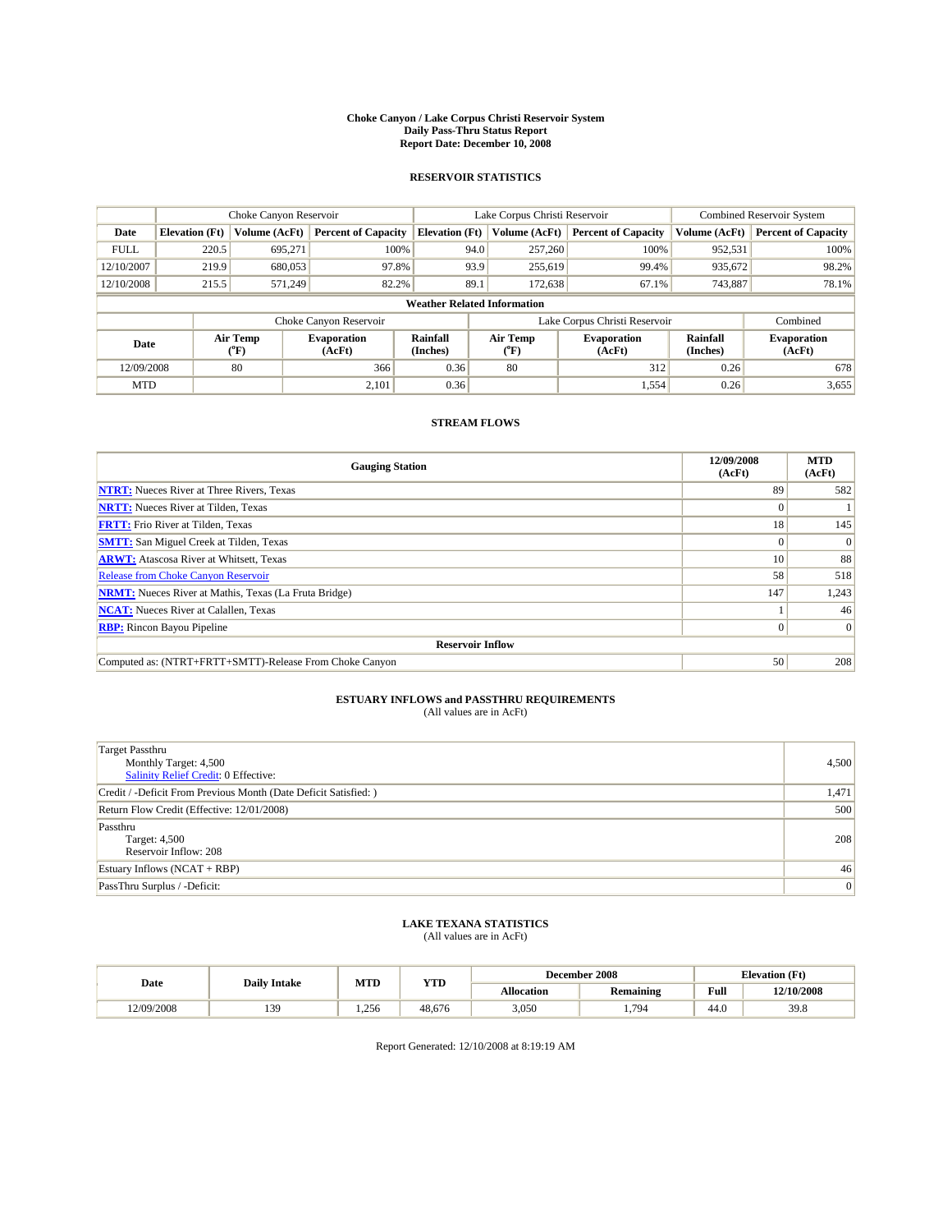#### **Choke Canyon / Lake Corpus Christi Reservoir System Daily Pass-Thru Status Report Report Date: December 10, 2008**

### **RESERVOIR STATISTICS**

|             | Choke Canyon Reservoir             |                          |                              |                       | Lake Corpus Christi Reservoir | <b>Combined Reservoir System</b> |                      |                              |  |
|-------------|------------------------------------|--------------------------|------------------------------|-----------------------|-------------------------------|----------------------------------|----------------------|------------------------------|--|
| Date        | <b>Elevation</b> (Ft)              | Volume (AcFt)            | <b>Percent of Capacity</b>   | <b>Elevation (Ft)</b> | Volume (AcFt)                 | <b>Percent of Capacity</b>       | Volume (AcFt)        | <b>Percent of Capacity</b>   |  |
| <b>FULL</b> | 220.5                              | 695,271                  | 100%                         | 94.0                  | 257,260                       | 100%                             | 952,531              | 100%                         |  |
| 12/10/2007  | 219.9                              | 680,053                  | 97.8%                        | 93.9                  | 255,619                       | 99.4%                            | 935,672              | 98.2%                        |  |
| 12/10/2008  | 215.5                              | 571.249                  | 82.2%                        | 89.1                  | 172,638                       | 67.1%                            | 743,887              | 78.1%                        |  |
|             | <b>Weather Related Information</b> |                          |                              |                       |                               |                                  |                      |                              |  |
|             |                                    |                          | Choke Canyon Reservoir       |                       | Lake Corpus Christi Reservoir |                                  | Combined             |                              |  |
| Date        |                                    | Air Temp<br>$\rm ^{o}F)$ | <b>Evaporation</b><br>(AcFt) | Rainfall<br>(Inches)  | Air Temp<br>("F)              | <b>Evaporation</b><br>(AcFt)     | Rainfall<br>(Inches) | <b>Evaporation</b><br>(AcFt) |  |
| 12/09/2008  |                                    | 80                       | 366                          | 0.36                  | 80                            | 312                              | 0.26                 | 678                          |  |
| <b>MTD</b>  |                                    |                          | 2,101                        | 0.36                  |                               | 1,554                            | 0.26                 | 3,655                        |  |

## **STREAM FLOWS**

| <b>Gauging Station</b>                                       | 12/09/2008<br>(AcFt) | <b>MTD</b><br>(AcFt) |  |  |  |  |  |
|--------------------------------------------------------------|----------------------|----------------------|--|--|--|--|--|
| <b>NTRT:</b> Nueces River at Three Rivers, Texas             | 89                   | 582                  |  |  |  |  |  |
| <b>NRTT:</b> Nueces River at Tilden, Texas                   |                      |                      |  |  |  |  |  |
| <b>FRTT:</b> Frio River at Tilden, Texas                     | 18                   | 145                  |  |  |  |  |  |
| <b>SMTT:</b> San Miguel Creek at Tilden, Texas               | $\Omega$             | $\Omega$             |  |  |  |  |  |
| <b>ARWT:</b> Atascosa River at Whitsett, Texas               | 10                   | 88                   |  |  |  |  |  |
| <b>Release from Choke Canyon Reservoir</b>                   | 58                   | 518                  |  |  |  |  |  |
| <b>NRMT:</b> Nueces River at Mathis, Texas (La Fruta Bridge) | 147                  | 1,243                |  |  |  |  |  |
| <b>NCAT:</b> Nueces River at Calallen, Texas                 |                      | 46                   |  |  |  |  |  |
| <b>RBP:</b> Rincon Bayou Pipeline                            | $\Omega$             | $\Omega$             |  |  |  |  |  |
| <b>Reservoir Inflow</b>                                      |                      |                      |  |  |  |  |  |
| Computed as: (NTRT+FRTT+SMTT)-Release From Choke Canyon      | 50                   | 208                  |  |  |  |  |  |

# **ESTUARY INFLOWS and PASSTHRU REQUIREMENTS**<br>(All values are in AcFt)

| <b>Target Passthru</b><br>Monthly Target: 4,500<br>Salinity Relief Credit: 0 Effective: | 4,500 |
|-----------------------------------------------------------------------------------------|-------|
| Credit / -Deficit From Previous Month (Date Deficit Satisfied: )                        | 1,471 |
| Return Flow Credit (Effective: 12/01/2008)                                              | 500   |
| Passthru<br>Target: 4,500<br>Reservoir Inflow: 208                                      | 208   |
| Estuary Inflows (NCAT + RBP)                                                            | 46    |
| PassThru Surplus / -Deficit:                                                            | 0     |

## **LAKE TEXANA STATISTICS** (All values are in AcFt)

|            | <b>Daily Intake</b> | MTD  | <b>YTD</b> |            | December 2008    | <b>Elevation</b> (Ft)                       |            |
|------------|---------------------|------|------------|------------|------------------|---------------------------------------------|------------|
| Date       |                     |      |            | Allocation | <b>Remaining</b> | Full<br>the contract of the contract of the | 12/10/2008 |
| 12/09/2008 | 139                 | .256 | 48.676     | 3,050      | 794              | 44.0                                        | 39.8       |

Report Generated: 12/10/2008 at 8:19:19 AM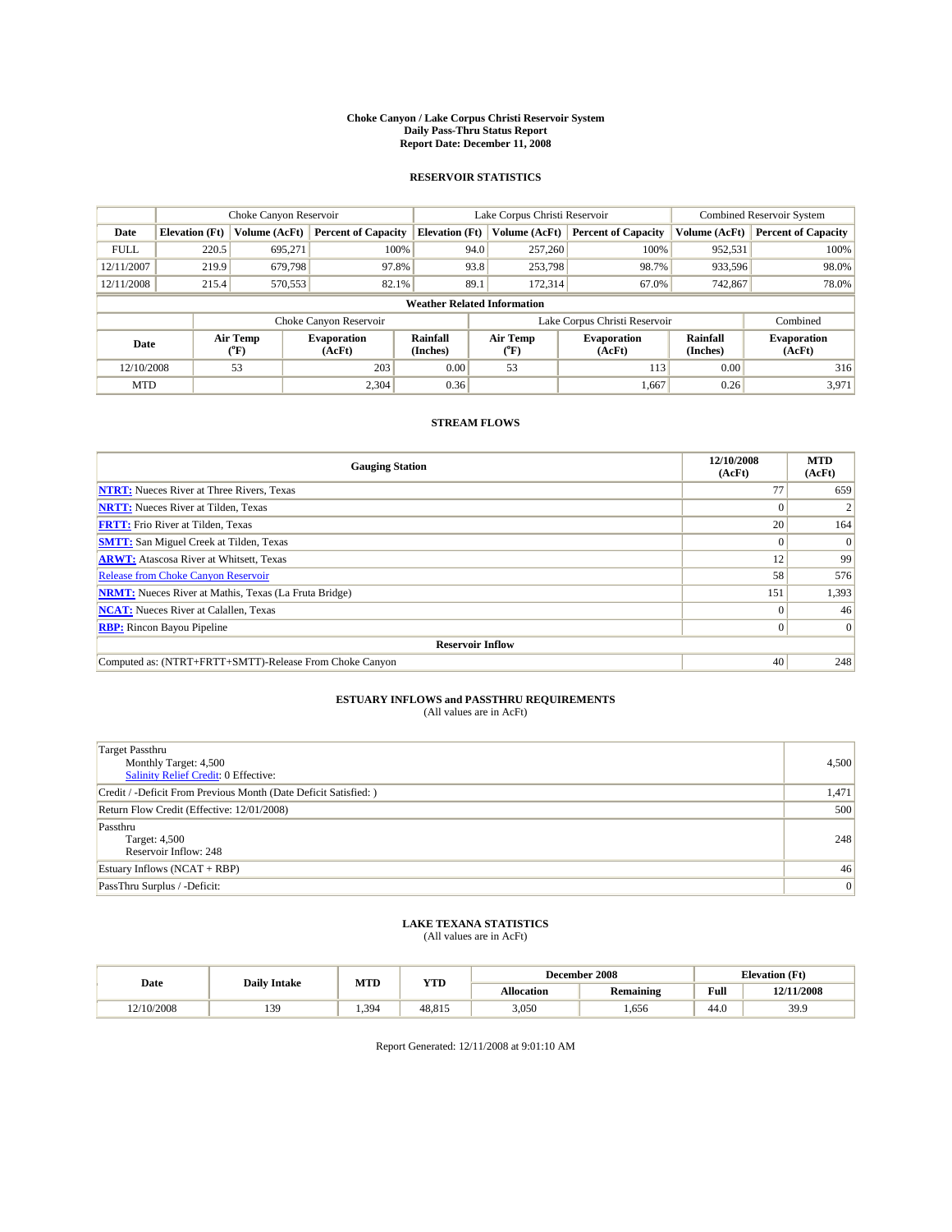#### **Choke Canyon / Lake Corpus Christi Reservoir System Daily Pass-Thru Status Report Report Date: December 11, 2008**

### **RESERVOIR STATISTICS**

|             |                                    | Choke Canyon Reservoir |                              |                             | Lake Corpus Christi Reservoir | <b>Combined Reservoir System</b> |                      |                              |  |
|-------------|------------------------------------|------------------------|------------------------------|-----------------------------|-------------------------------|----------------------------------|----------------------|------------------------------|--|
| Date        | <b>Elevation</b> (Ft)              | Volume (AcFt)          | <b>Percent of Capacity</b>   | <b>Elevation</b> (Ft)       | Volume (AcFt)                 | <b>Percent of Capacity</b>       | Volume (AcFt)        | <b>Percent of Capacity</b>   |  |
| <b>FULL</b> | 220.5                              | 695,271                | 100%                         | 94.0                        | 257,260                       | 100%                             | 952,531              | 100%                         |  |
| 12/11/2007  | 219.9                              | 679,798                | 97.8%                        | 93.8                        | 253,798                       | 98.7%                            | 933,596              | 98.0%                        |  |
| 12/11/2008  | 215.4                              | 570,553                | 82.1%                        | 89.1                        | 172,314                       | 67.0%                            | 742,867              | 78.0%                        |  |
|             | <b>Weather Related Information</b> |                        |                              |                             |                               |                                  |                      |                              |  |
|             |                                    |                        | Choke Canyon Reservoir       |                             |                               | Lake Corpus Christi Reservoir    |                      | Combined                     |  |
| Date        |                                    | Air Temp<br>(°F)       | <b>Evaporation</b><br>(AcFt) | <b>Rainfall</b><br>(Inches) | Air Temp<br>(°F)              | <b>Evaporation</b><br>(AcFt)     | Rainfall<br>(Inches) | <b>Evaporation</b><br>(AcFt) |  |
| 12/10/2008  |                                    | 53                     | 203                          | 0.00                        | 53                            | 113                              | 0.00                 | 316                          |  |
| <b>MTD</b>  |                                    |                        | 2.304                        | 0.36                        |                               | 1,667                            | 0.26                 | 3,971                        |  |

## **STREAM FLOWS**

| <b>Gauging Station</b>                                       | 12/10/2008<br>(AcFt) | <b>MTD</b><br>(AcFt) |  |  |  |  |  |
|--------------------------------------------------------------|----------------------|----------------------|--|--|--|--|--|
| <b>NTRT:</b> Nueces River at Three Rivers, Texas             | 77                   | 659                  |  |  |  |  |  |
| <b>NRTT:</b> Nueces River at Tilden, Texas                   |                      |                      |  |  |  |  |  |
| <b>FRTT:</b> Frio River at Tilden, Texas                     | 20                   | 164                  |  |  |  |  |  |
| <b>SMTT:</b> San Miguel Creek at Tilden, Texas               | $\theta$             | $\Omega$             |  |  |  |  |  |
| <b>ARWT:</b> Atascosa River at Whitsett, Texas               | 12                   | 99                   |  |  |  |  |  |
| <b>Release from Choke Canyon Reservoir</b>                   | 58                   | 576                  |  |  |  |  |  |
| <b>NRMT:</b> Nueces River at Mathis, Texas (La Fruta Bridge) | 151                  | 1,393                |  |  |  |  |  |
| <b>NCAT:</b> Nueces River at Calallen, Texas                 | $\Omega$             | 46                   |  |  |  |  |  |
| <b>RBP:</b> Rincon Bayou Pipeline                            | $\overline{0}$       | $\Omega$             |  |  |  |  |  |
| <b>Reservoir Inflow</b>                                      |                      |                      |  |  |  |  |  |
| Computed as: (NTRT+FRTT+SMTT)-Release From Choke Canyon      | 40                   | 248                  |  |  |  |  |  |

# **ESTUARY INFLOWS and PASSTHRU REQUIREMENTS**<br>(All values are in AcFt)

| <b>Target Passthru</b><br>Monthly Target: 4,500<br>Salinity Relief Credit: 0 Effective: | 4,500 |
|-----------------------------------------------------------------------------------------|-------|
| Credit / -Deficit From Previous Month (Date Deficit Satisfied: )                        | 1,471 |
| Return Flow Credit (Effective: 12/01/2008)                                              | 500   |
| Passthru<br>Target: 4,500<br>Reservoir Inflow: 248                                      | 248   |
| Estuary Inflows $(NCAT + RBP)$                                                          | 46    |
| PassThru Surplus / -Deficit:                                                            | 0     |

## **LAKE TEXANA STATISTICS** (All values are in AcFt)

|            | <b>Daily Intake</b> | MTD  | <b>YTD</b> |            | December 2008    | <b>Elevation</b> (Ft)                       |            |
|------------|---------------------|------|------------|------------|------------------|---------------------------------------------|------------|
| Date       |                     |      |            | Allocation | <b>Remaining</b> | Full<br>the contract of the contract of the | 12/11/2008 |
| 12/10/2008 | 139                 | .394 | 48.815     | 3,050      | .656             | 44.0                                        | 39.9       |

Report Generated: 12/11/2008 at 9:01:10 AM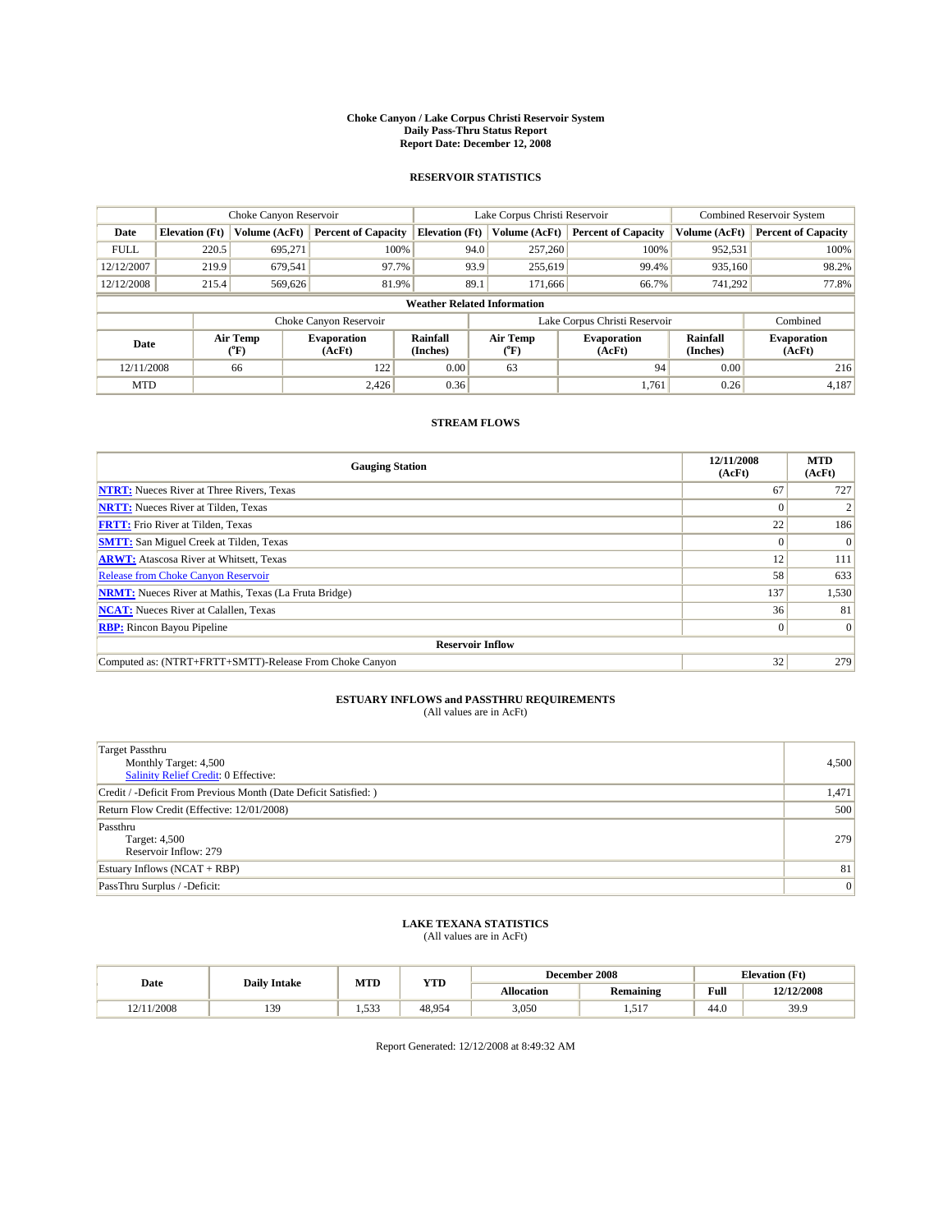#### **Choke Canyon / Lake Corpus Christi Reservoir System Daily Pass-Thru Status Report Report Date: December 12, 2008**

### **RESERVOIR STATISTICS**

|             |                                    | Choke Canyon Reservoir |                              |                             | Lake Corpus Christi Reservoir | <b>Combined Reservoir System</b> |                      |                              |  |
|-------------|------------------------------------|------------------------|------------------------------|-----------------------------|-------------------------------|----------------------------------|----------------------|------------------------------|--|
| Date        | <b>Elevation</b> (Ft)              | Volume (AcFt)          | <b>Percent of Capacity</b>   | <b>Elevation</b> (Ft)       | Volume (AcFt)                 | <b>Percent of Capacity</b>       | Volume (AcFt)        | <b>Percent of Capacity</b>   |  |
| <b>FULL</b> | 220.5                              | 695,271                | 100%                         | 94.0                        | 257,260                       | 100%                             | 952,531              | 100%                         |  |
| 12/12/2007  | 219.9                              | 679,541                | 97.7%                        | 93.9                        | 255,619                       | 99.4%                            | 935,160              | 98.2%                        |  |
| 12/12/2008  | 215.4                              | 569,626                | 81.9%                        | 89.1                        | 171,666                       | 66.7%                            | 741,292              | 77.8%                        |  |
|             | <b>Weather Related Information</b> |                        |                              |                             |                               |                                  |                      |                              |  |
|             |                                    |                        | Choke Canyon Reservoir       |                             |                               | Lake Corpus Christi Reservoir    |                      | Combined                     |  |
| Date        |                                    | Air Temp<br>(°F)       | <b>Evaporation</b><br>(AcFt) | <b>Rainfall</b><br>(Inches) | Air Temp<br>(°F)              | <b>Evaporation</b><br>(AcFt)     | Rainfall<br>(Inches) | <b>Evaporation</b><br>(AcFt) |  |
| 12/11/2008  |                                    | 66                     | 122                          | 0.00                        | 63                            | 94                               | 0.00                 | 216                          |  |
| <b>MTD</b>  |                                    |                        | 2.426                        | 0.36                        |                               | 1.761                            | 0.26                 | 4,187                        |  |

## **STREAM FLOWS**

| <b>Gauging Station</b>                                       | 12/11/2008<br>(AcFt) | <b>MTD</b><br>(AcFt) |  |  |  |  |  |
|--------------------------------------------------------------|----------------------|----------------------|--|--|--|--|--|
| <b>NTRT:</b> Nueces River at Three Rivers, Texas             | 67                   | 727                  |  |  |  |  |  |
| <b>NRTT:</b> Nueces River at Tilden, Texas                   | $\Omega$             |                      |  |  |  |  |  |
| <b>FRTT:</b> Frio River at Tilden, Texas                     | 22                   | 186                  |  |  |  |  |  |
| <b>SMTT:</b> San Miguel Creek at Tilden, Texas               | $\Omega$             | $\Omega$             |  |  |  |  |  |
| <b>ARWT:</b> Atascosa River at Whitsett, Texas               | 12                   | 111                  |  |  |  |  |  |
| <b>Release from Choke Canyon Reservoir</b>                   | 58                   | 633                  |  |  |  |  |  |
| <b>NRMT:</b> Nueces River at Mathis, Texas (La Fruta Bridge) | 137                  | 1,530                |  |  |  |  |  |
| <b>NCAT:</b> Nueces River at Calallen, Texas                 | 36                   | 81                   |  |  |  |  |  |
| <b>RBP:</b> Rincon Bayou Pipeline                            | $\overline{0}$       | $\Omega$             |  |  |  |  |  |
| <b>Reservoir Inflow</b>                                      |                      |                      |  |  |  |  |  |
| Computed as: (NTRT+FRTT+SMTT)-Release From Choke Canyon      | 32                   | 279                  |  |  |  |  |  |

# **ESTUARY INFLOWS and PASSTHRU REQUIREMENTS**<br>(All values are in AcFt)

| <b>Target Passthru</b><br>Monthly Target: 4,500<br>Salinity Relief Credit: 0 Effective: | 4,500 |
|-----------------------------------------------------------------------------------------|-------|
| Credit / -Deficit From Previous Month (Date Deficit Satisfied: )                        | 1,471 |
| Return Flow Credit (Effective: 12/01/2008)                                              | 500   |
| Passthru<br>Target: 4,500<br>Reservoir Inflow: 279                                      | 279   |
| Estuary Inflows $(NCAT + RBP)$                                                          | 81    |
| PassThru Surplus / -Deficit:                                                            | 0     |

## **LAKE TEXANA STATISTICS** (All values are in AcFt)

|            | <b>Daily Intake</b> | MTD   | <b>YTD</b> |                   | December 2008    | <b>Elevation</b> (Ft)                       |            |
|------------|---------------------|-------|------------|-------------------|------------------|---------------------------------------------|------------|
| Date       |                     |       |            | <b>Allocation</b> | <b>Remaining</b> | Full<br>the contract of the contract of the | 12/12/2008 |
| 12/11/2008 | 139                 | 1.533 | 48.954     | 3,050             | 517<br>.         | 44.0                                        | 39.9       |

Report Generated: 12/12/2008 at 8:49:32 AM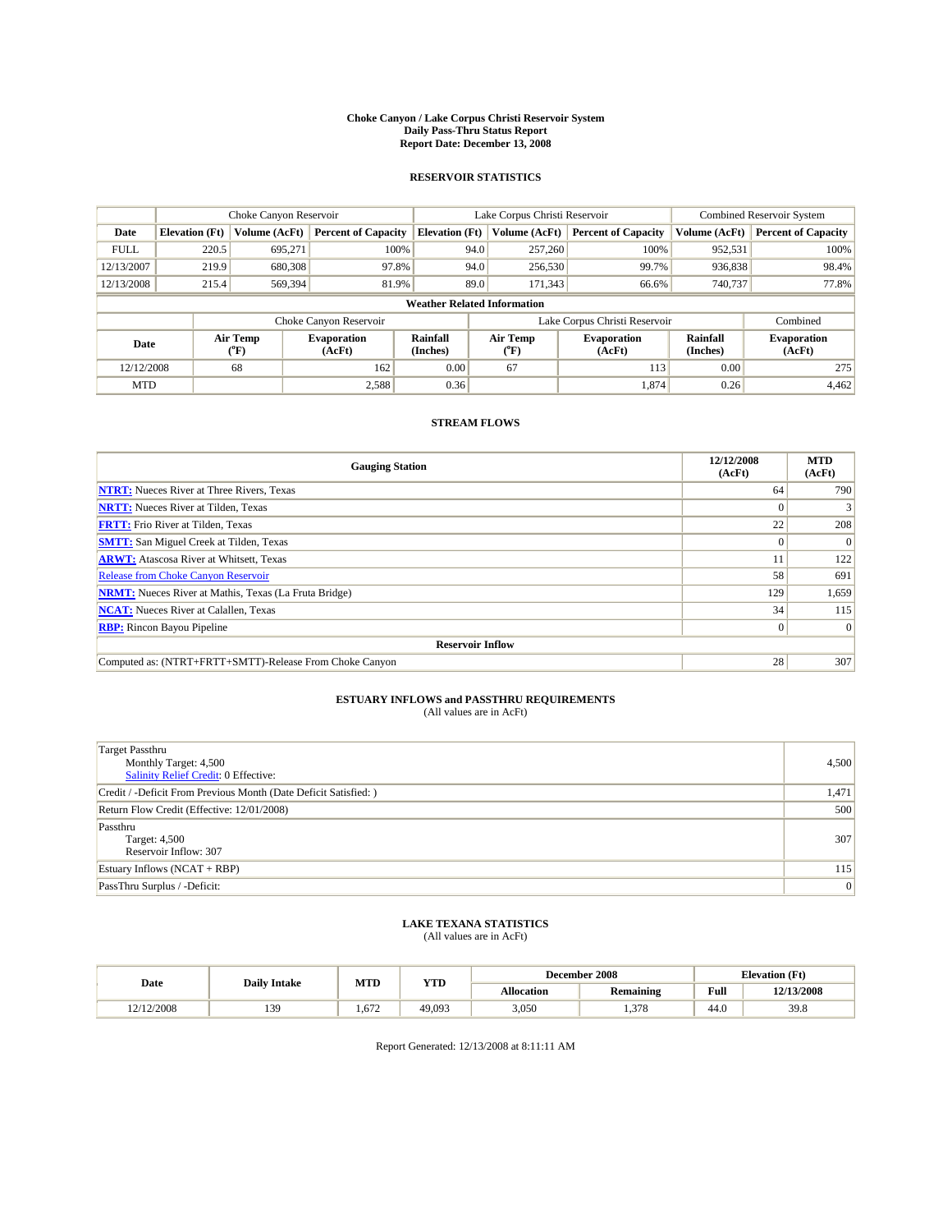#### **Choke Canyon / Lake Corpus Christi Reservoir System Daily Pass-Thru Status Report Report Date: December 13, 2008**

### **RESERVOIR STATISTICS**

|             | Choke Canyon Reservoir             |                  |                              |                             | Lake Corpus Christi Reservoir | <b>Combined Reservoir System</b> |                      |                              |  |
|-------------|------------------------------------|------------------|------------------------------|-----------------------------|-------------------------------|----------------------------------|----------------------|------------------------------|--|
| Date        | <b>Elevation</b> (Ft)              | Volume (AcFt)    | <b>Percent of Capacity</b>   | <b>Elevation (Ft)</b>       | Volume (AcFt)                 | <b>Percent of Capacity</b>       | Volume (AcFt)        | <b>Percent of Capacity</b>   |  |
| <b>FULL</b> | 220.5                              | 695,271          | 100%                         |                             | 257,260<br>94.0               | 100%                             | 952,531              | 100%                         |  |
| 12/13/2007  | 219.9                              | 680,308          | 97.8%                        |                             | 94.0<br>256,530               | 99.7%                            | 936,838              | 98.4%                        |  |
| 12/13/2008  | 215.4                              | 569,394          | 81.9%                        |                             | 89.0<br>171,343               | 66.6%                            | 740,737              | 77.8%                        |  |
|             | <b>Weather Related Information</b> |                  |                              |                             |                               |                                  |                      |                              |  |
|             |                                    |                  | Choke Canyon Reservoir       |                             |                               | Lake Corpus Christi Reservoir    |                      | Combined                     |  |
| Date        |                                    | Air Temp<br>(°F) | <b>Evaporation</b><br>(AcFt) | <b>Rainfall</b><br>(Inches) | Air Temp<br>(°F)              | <b>Evaporation</b><br>(AcFt)     | Rainfall<br>(Inches) | <b>Evaporation</b><br>(AcFt) |  |
| 12/12/2008  |                                    | 68               | 162                          | 0.00                        | 67                            | 113                              | 0.00                 | 275                          |  |
| <b>MTD</b>  |                                    |                  | 2,588                        | 0.36                        |                               | 1,874                            | 0.26                 | 4.462                        |  |

## **STREAM FLOWS**

| <b>Gauging Station</b>                                       | 12/12/2008<br>(AcFt) | <b>MTD</b><br>(AcFt) |
|--------------------------------------------------------------|----------------------|----------------------|
| <b>NTRT:</b> Nueces River at Three Rivers, Texas             | 64                   | 790                  |
| <b>NRTT:</b> Nueces River at Tilden, Texas                   | $\Omega$             |                      |
| <b>FRTT:</b> Frio River at Tilden, Texas                     | 22                   | 208                  |
| <b>SMTT:</b> San Miguel Creek at Tilden, Texas               | $\Omega$             | $\Omega$             |
| <b>ARWT:</b> Atascosa River at Whitsett, Texas               |                      | 122                  |
| <b>Release from Choke Canyon Reservoir</b>                   | 58                   | 691                  |
| <b>NRMT:</b> Nueces River at Mathis, Texas (La Fruta Bridge) | 129                  | 1,659                |
| <b>NCAT:</b> Nueces River at Calallen, Texas                 | 34                   | 115                  |
| <b>RBP:</b> Rincon Bayou Pipeline                            | $\overline{0}$       | $\Omega$             |
| <b>Reservoir Inflow</b>                                      |                      |                      |
| Computed as: (NTRT+FRTT+SMTT)-Release From Choke Canyon      | 28                   | 307                  |

# **ESTUARY INFLOWS and PASSTHRU REQUIREMENTS**<br>(All values are in AcFt)

| <b>Target Passthru</b><br>Monthly Target: 4,500<br>Salinity Relief Credit: 0 Effective: | 4,500 |
|-----------------------------------------------------------------------------------------|-------|
| Credit / -Deficit From Previous Month (Date Deficit Satisfied: )                        | 1,471 |
| Return Flow Credit (Effective: 12/01/2008)                                              | 500   |
| Passthru<br>Target: 4,500<br>Reservoir Inflow: 307                                      | 307   |
| Estuary Inflows $(NCAT + RBP)$                                                          | 115   |
| PassThru Surplus / -Deficit:                                                            | 0     |

## **LAKE TEXANA STATISTICS** (All values are in AcFt)

|            | <b>Daily Intake</b> | MTD   | <b>YTD</b> |            | December 2008    | <b>Elevation</b> (Ft)                       |            |
|------------|---------------------|-------|------------|------------|------------------|---------------------------------------------|------------|
| Date       |                     |       |            | Allocation | <b>Remaining</b> | Full<br>the contract of the contract of the | 12/13/2008 |
| 12/12/2008 | 139                 | 1.672 | 49.093     | 3,050      | 270<br>. 0       | 44.0                                        | 39.8       |

Report Generated: 12/13/2008 at 8:11:11 AM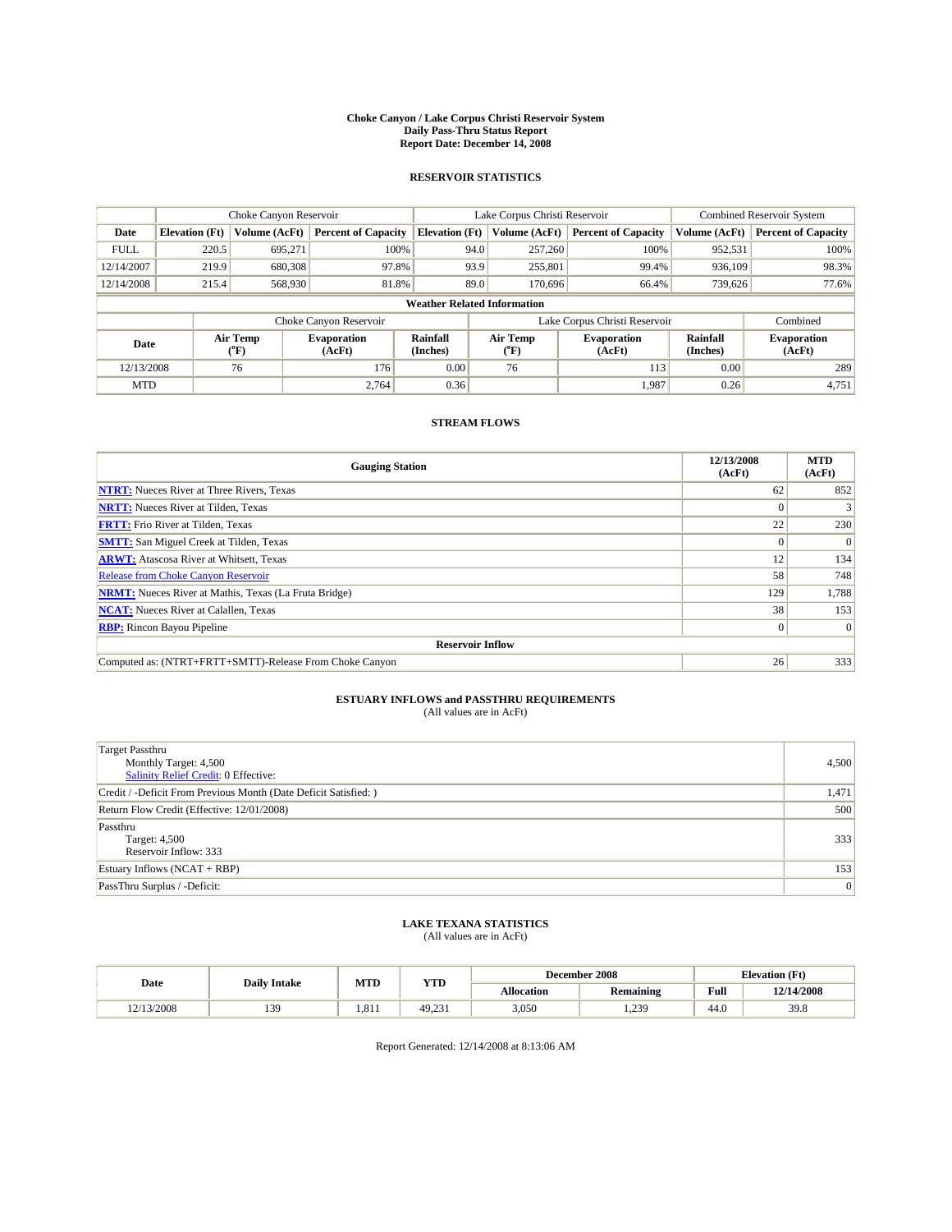#### **Choke Canyon / Lake Corpus Christi Reservoir System Daily Pass-Thru Status Report Report Date: December 14, 2008**

### **RESERVOIR STATISTICS**

|                                    | Choke Canyon Reservoir |                             |                              |                             | Lake Corpus Christi Reservoir |                  |                               |                      | Combined Reservoir System    |  |
|------------------------------------|------------------------|-----------------------------|------------------------------|-----------------------------|-------------------------------|------------------|-------------------------------|----------------------|------------------------------|--|
| Date                               | <b>Elevation</b> (Ft)  | Volume (AcFt)               | <b>Percent of Capacity</b>   | <b>Elevation</b> (Ft)       |                               | Volume (AcFt)    | <b>Percent of Capacity</b>    | Volume (AcFt)        | <b>Percent of Capacity</b>   |  |
| <b>FULL</b>                        | 220.5                  | 695,271                     | 100%                         |                             | 94.0                          | 257,260          | 100%                          | 952,531              | 100%                         |  |
| 12/14/2007                         | 219.9                  | 680,308                     | 97.8%                        |                             | 93.9                          | 255,801          | 99.4%                         | 936.109              | 98.3%                        |  |
| 12/14/2008                         | 215.4                  | 568,930                     | 81.8%                        |                             | 89.0                          | 170,696          | 66.4%                         | 739,626              | 77.6%                        |  |
| <b>Weather Related Information</b> |                        |                             |                              |                             |                               |                  |                               |                      |                              |  |
|                                    |                        |                             | Choke Canyon Reservoir       |                             |                               |                  | Lake Corpus Christi Reservoir |                      | Combined                     |  |
| Date                               |                        | Air Temp<br>${}^{\circ}$ F) | <b>Evaporation</b><br>(AcFt) | <b>Rainfall</b><br>(Inches) |                               | Air Temp<br>(°F) | <b>Evaporation</b><br>(AcFt)  | Rainfall<br>(Inches) | <b>Evaporation</b><br>(AcFt) |  |
| 12/13/2008                         |                        | 76                          | 176                          | 0.00                        |                               | 76               | 113                           | 0.00                 | 289                          |  |
| <b>MTD</b>                         |                        |                             | 2.764                        | 0.36                        |                               |                  | 1,987                         | 0.26                 | 4,751                        |  |

## **STREAM FLOWS**

| <b>Gauging Station</b>                                       | 12/13/2008<br>(AcFt) | <b>MTD</b><br>(AcFt) |  |  |  |  |  |
|--------------------------------------------------------------|----------------------|----------------------|--|--|--|--|--|
| <b>NTRT:</b> Nueces River at Three Rivers, Texas             | 62                   | 852                  |  |  |  |  |  |
| <b>NRTT:</b> Nueces River at Tilden, Texas                   |                      |                      |  |  |  |  |  |
| <b>FRTT:</b> Frio River at Tilden, Texas                     | 22                   | 230                  |  |  |  |  |  |
| <b>SMTT:</b> San Miguel Creek at Tilden, Texas               | $\Omega$             | $\Omega$             |  |  |  |  |  |
| <b>ARWT:</b> Atascosa River at Whitsett, Texas               | 12                   | 134                  |  |  |  |  |  |
| <b>Release from Choke Canyon Reservoir</b>                   | 58                   | 748                  |  |  |  |  |  |
| <b>NRMT:</b> Nueces River at Mathis, Texas (La Fruta Bridge) | 129                  | 1,788                |  |  |  |  |  |
| <b>NCAT:</b> Nueces River at Calallen, Texas                 | 38                   | 153                  |  |  |  |  |  |
| <b>RBP:</b> Rincon Bayou Pipeline                            | $\overline{0}$       | $\Omega$             |  |  |  |  |  |
| <b>Reservoir Inflow</b>                                      |                      |                      |  |  |  |  |  |
| Computed as: (NTRT+FRTT+SMTT)-Release From Choke Canyon      | 26                   | 333                  |  |  |  |  |  |

# **ESTUARY INFLOWS and PASSTHRU REQUIREMENTS**<br>(All values are in AcFt)

| <b>Target Passthru</b><br>Monthly Target: 4,500<br>Salinity Relief Credit: 0 Effective: | 4,500 |
|-----------------------------------------------------------------------------------------|-------|
| Credit / -Deficit From Previous Month (Date Deficit Satisfied: )                        | 1,471 |
| Return Flow Credit (Effective: 12/01/2008)                                              | 500   |
| Passthru<br>Target: 4,500<br>Reservoir Inflow: 333                                      | 333   |
| Estuary Inflows $(NCAT + RBP)$                                                          | 153   |
| PassThru Surplus / -Deficit:                                                            | 0     |

## **LAKE TEXANA STATISTICS** (All values are in AcFt)

|            | <b>Daily Intake</b> | MTD   | <b>YTD</b> |            | December 2008       | <b>Elevation</b> (Ft)                       |            |
|------------|---------------------|-------|------------|------------|---------------------|---------------------------------------------|------------|
| Date       |                     |       |            | Allocation | <b>Remaining</b>    | Full<br>the contract of the contract of the | 12/14/2008 |
| 12/13/2008 | 139                 | 1.811 | 49.231     | 3,050      | 230<br>. <i>.</i> . | 44.0                                        | 39.8       |

Report Generated: 12/14/2008 at 8:13:06 AM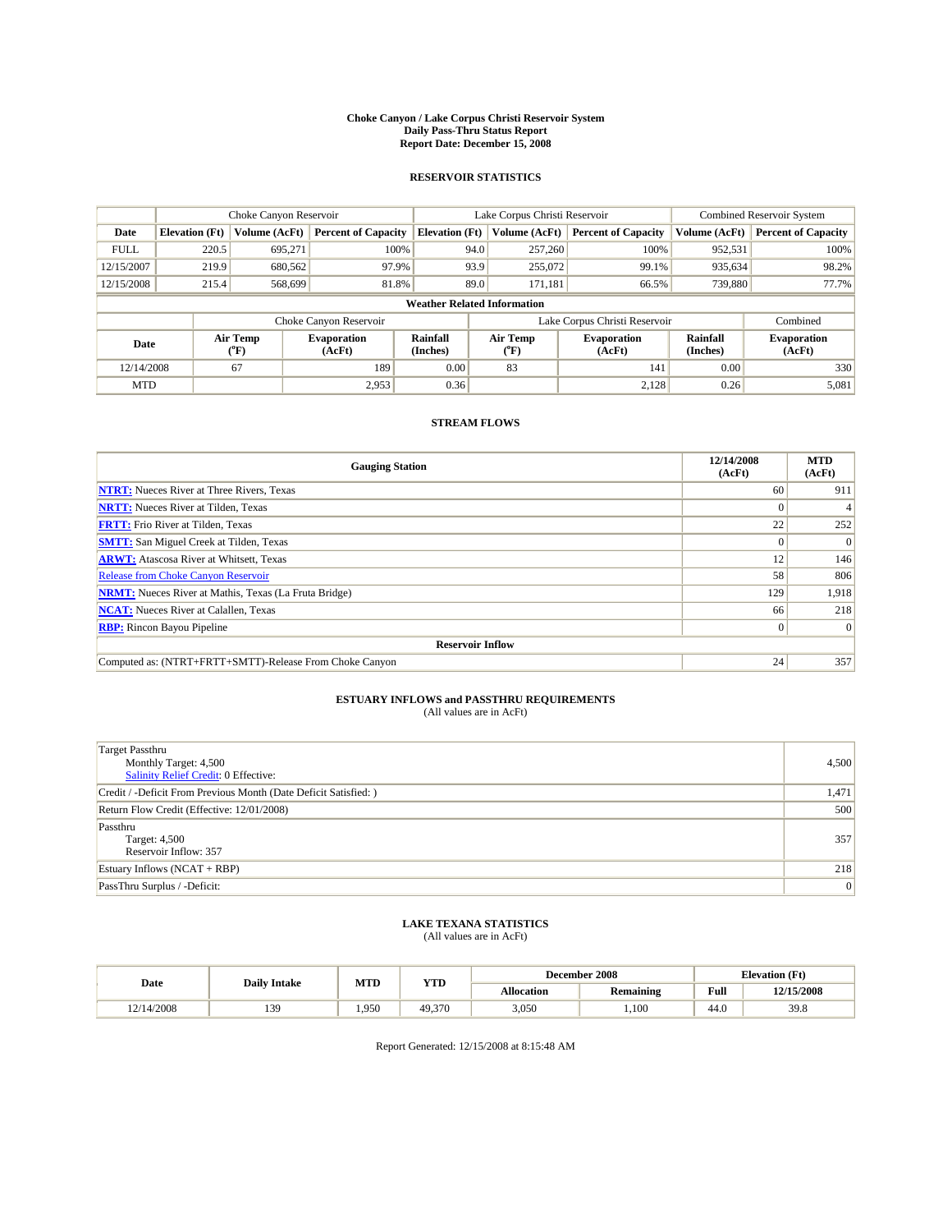#### **Choke Canyon / Lake Corpus Christi Reservoir System Daily Pass-Thru Status Report Report Date: December 15, 2008**

### **RESERVOIR STATISTICS**

|             | Choke Canyon Reservoir             |                  |                              |                       | Lake Corpus Christi Reservoir | <b>Combined Reservoir System</b> |                             |                              |  |
|-------------|------------------------------------|------------------|------------------------------|-----------------------|-------------------------------|----------------------------------|-----------------------------|------------------------------|--|
| Date        | <b>Elevation</b> (Ft)              | Volume (AcFt)    | <b>Percent of Capacity</b>   | <b>Elevation (Ft)</b> | Volume (AcFt)                 | <b>Percent of Capacity</b>       | Volume (AcFt)               | <b>Percent of Capacity</b>   |  |
| <b>FULL</b> | 220.5                              | 695,271          | 100%                         |                       | 94.0<br>257,260               | 100%                             | 952,531                     | 100%                         |  |
| 12/15/2007  | 219.9                              | 680,562          | 97.9%                        |                       | 93.9<br>255,072               | 99.1%                            | 935,634                     | 98.2%                        |  |
| 12/15/2008  | 215.4                              | 568,699          | 81.8%                        |                       | 89.0<br>171,181               | 66.5%                            | 739,880                     | 77.7%                        |  |
|             | <b>Weather Related Information</b> |                  |                              |                       |                               |                                  |                             |                              |  |
|             |                                    |                  | Choke Canyon Reservoir       |                       |                               | Lake Corpus Christi Reservoir    |                             | Combined                     |  |
| Date        |                                    | Air Temp<br>(°F) | <b>Evaporation</b><br>(AcFt) | Rainfall<br>(Inches)  | Air Temp<br>("F)              | <b>Evaporation</b><br>(AcFt)     | <b>Rainfall</b><br>(Inches) | <b>Evaporation</b><br>(AcFt) |  |
| 12/14/2008  |                                    | 67               | 189                          | 0.00                  | 83                            | 141                              | 0.00                        | 330                          |  |
| <b>MTD</b>  |                                    |                  | 2.953                        | 0.36                  |                               | 2,128                            | 0.26                        | 5,081                        |  |

## **STREAM FLOWS**

| <b>Gauging Station</b>                                       | 12/14/2008<br>(AcFt) | <b>MTD</b><br>(AcFt) |
|--------------------------------------------------------------|----------------------|----------------------|
| <b>NTRT:</b> Nueces River at Three Rivers, Texas             | 60                   | 911                  |
| <b>NRTT:</b> Nueces River at Tilden, Texas                   |                      |                      |
| <b>FRTT:</b> Frio River at Tilden, Texas                     | 22                   | 252                  |
| <b>SMTT:</b> San Miguel Creek at Tilden, Texas               |                      | $\Omega$             |
| <b>ARWT:</b> Atascosa River at Whitsett, Texas               | 12                   | 146                  |
| Release from Choke Canyon Reservoir                          | 58                   | 806                  |
| <b>NRMT:</b> Nueces River at Mathis, Texas (La Fruta Bridge) | 129                  | 1,918                |
| <b>NCAT:</b> Nueces River at Calallen, Texas                 | 66                   | 218                  |
| <b>RBP:</b> Rincon Bayou Pipeline                            | $\overline{0}$       | $\Omega$             |
| <b>Reservoir Inflow</b>                                      |                      |                      |
| Computed as: (NTRT+FRTT+SMTT)-Release From Choke Canyon      | 24                   | 357                  |

# **ESTUARY INFLOWS and PASSTHRU REQUIREMENTS**<br>(All values are in AcFt)

| <b>Target Passthru</b><br>Monthly Target: 4,500<br>Salinity Relief Credit: 0 Effective: | 4,500 |
|-----------------------------------------------------------------------------------------|-------|
| Credit / -Deficit From Previous Month (Date Deficit Satisfied: )                        | 1,471 |
| Return Flow Credit (Effective: 12/01/2008)                                              | 500   |
| Passthru<br>Target: 4,500<br>Reservoir Inflow: 357                                      | 357   |
| Estuary Inflows (NCAT + RBP)                                                            | 218   |
| PassThru Surplus / -Deficit:                                                            | 0     |

## **LAKE TEXANA STATISTICS** (All values are in AcFt)

|            | <b>Daily Intake</b> | MTD  | <b>YTD</b> |            | December 2008    | <b>Elevation</b> (Ft)                       |            |
|------------|---------------------|------|------------|------------|------------------|---------------------------------------------|------------|
| Date       |                     |      |            | Allocation | <b>Remaining</b> | Full<br>the contract of the contract of the | 12/15/2008 |
| 12/14/2008 | 139                 | .950 | 49.370     | 3,050      | .100             | 44.0                                        | 39.8       |

Report Generated: 12/15/2008 at 8:15:48 AM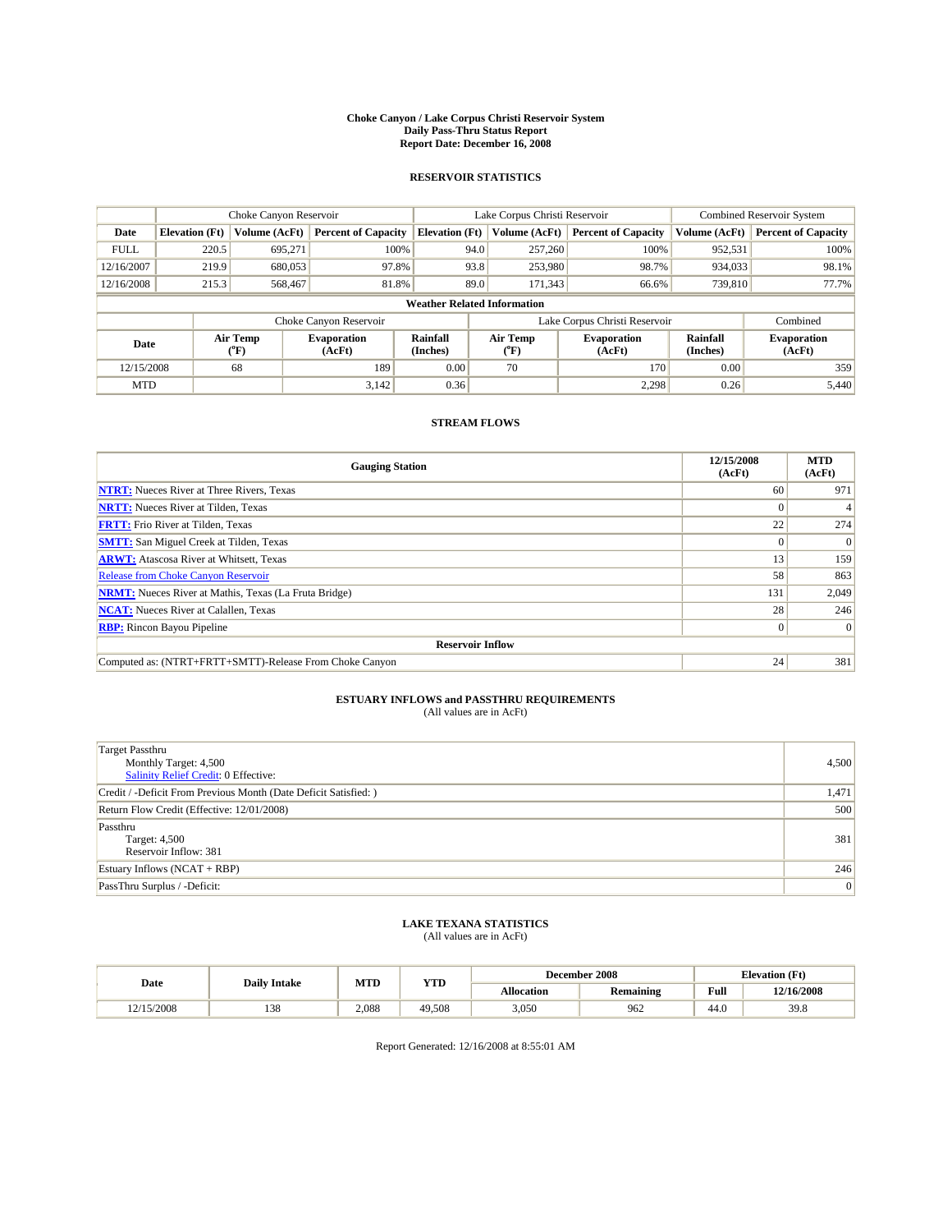#### **Choke Canyon / Lake Corpus Christi Reservoir System Daily Pass-Thru Status Report Report Date: December 16, 2008**

### **RESERVOIR STATISTICS**

|             | Choke Canyon Reservoir             |                  |                              |                             | Lake Corpus Christi Reservoir | <b>Combined Reservoir System</b> |                      |                              |  |
|-------------|------------------------------------|------------------|------------------------------|-----------------------------|-------------------------------|----------------------------------|----------------------|------------------------------|--|
| Date        | <b>Elevation</b> (Ft)              | Volume (AcFt)    | <b>Percent of Capacity</b>   | <b>Elevation</b> (Ft)       | Volume (AcFt)                 | <b>Percent of Capacity</b>       | Volume (AcFt)        | <b>Percent of Capacity</b>   |  |
| <b>FULL</b> | 220.5                              | 695,271          | 100%                         | 94.0                        | 257,260                       | 100%                             | 952,531              | 100%                         |  |
| 12/16/2007  | 219.9                              | 680,053          | 97.8%                        | 93.8                        | 253,980                       | 98.7%                            | 934,033              | 98.1%                        |  |
| 12/16/2008  | 215.3                              | 568,467          | 81.8%                        | 89.0                        | 171,343                       | 66.6%                            | 739,810              | 77.7%                        |  |
|             | <b>Weather Related Information</b> |                  |                              |                             |                               |                                  |                      |                              |  |
|             |                                    |                  | Choke Canyon Reservoir       |                             |                               | Lake Corpus Christi Reservoir    |                      | Combined                     |  |
| Date        |                                    | Air Temp<br>(°F) | <b>Evaporation</b><br>(AcFt) | <b>Rainfall</b><br>(Inches) | Air Temp<br>(°F)              | <b>Evaporation</b><br>(AcFt)     | Rainfall<br>(Inches) | <b>Evaporation</b><br>(AcFt) |  |
| 12/15/2008  |                                    | 68               | 189                          | 0.00                        | 70                            | 170                              | 0.00                 | 359                          |  |
| <b>MTD</b>  |                                    |                  | 3,142                        | 0.36                        |                               | 2.298                            | 0.26                 | 5.440                        |  |

## **STREAM FLOWS**

| <b>Gauging Station</b>                                       | 12/15/2008<br>(AcFt) | <b>MTD</b><br>(AcFt) |  |  |  |  |
|--------------------------------------------------------------|----------------------|----------------------|--|--|--|--|
| <b>NTRT:</b> Nueces River at Three Rivers, Texas             | 60                   | 971                  |  |  |  |  |
| <b>NRTT:</b> Nueces River at Tilden, Texas                   |                      |                      |  |  |  |  |
| <b>FRTT:</b> Frio River at Tilden, Texas                     | 22                   | 274                  |  |  |  |  |
| <b>SMTT:</b> San Miguel Creek at Tilden, Texas               | $\Omega$             | $\Omega$             |  |  |  |  |
| <b>ARWT:</b> Atascosa River at Whitsett, Texas               | 13                   | 159                  |  |  |  |  |
| <b>Release from Choke Canyon Reservoir</b>                   | 58                   | 863                  |  |  |  |  |
| <b>NRMT:</b> Nueces River at Mathis, Texas (La Fruta Bridge) | 131                  | 2,049                |  |  |  |  |
| <b>NCAT:</b> Nueces River at Calallen, Texas                 | 28                   | 246                  |  |  |  |  |
| <b>RBP:</b> Rincon Bayou Pipeline                            | $\overline{0}$       |                      |  |  |  |  |
| <b>Reservoir Inflow</b>                                      |                      |                      |  |  |  |  |
| Computed as: (NTRT+FRTT+SMTT)-Release From Choke Canyon      | 24                   | 381                  |  |  |  |  |

# **ESTUARY INFLOWS and PASSTHRU REQUIREMENTS**<br>(All values are in AcFt)

| <b>Target Passthru</b><br>Monthly Target: 4,500<br>Salinity Relief Credit: 0 Effective: | 4,500 |
|-----------------------------------------------------------------------------------------|-------|
| Credit / -Deficit From Previous Month (Date Deficit Satisfied: )                        | 1,471 |
| Return Flow Credit (Effective: 12/01/2008)                                              | 500   |
| Passthru<br>Target: 4,500<br>Reservoir Inflow: 381                                      | 381   |
| Estuary Inflows $(NCAT + RBP)$                                                          | 246   |
| PassThru Surplus / -Deficit:                                                            | 0     |

## **LAKE TEXANA STATISTICS** (All values are in AcFt)

|           | <b>Daily Intake</b> | MTD   | <b>YTD</b> |            | December 2008    | <b>Elevation</b> (Ft)                       |            |
|-----------|---------------------|-------|------------|------------|------------------|---------------------------------------------|------------|
| Date      |                     |       |            | Allocation | <b>Remaining</b> | Full<br>the contract of the contract of the | 12/16/2008 |
| 2/15/2008 | 138                 | 2.088 | 49.508     | 3,050      | 962              | 44.0                                        | 39.8       |

Report Generated: 12/16/2008 at 8:55:01 AM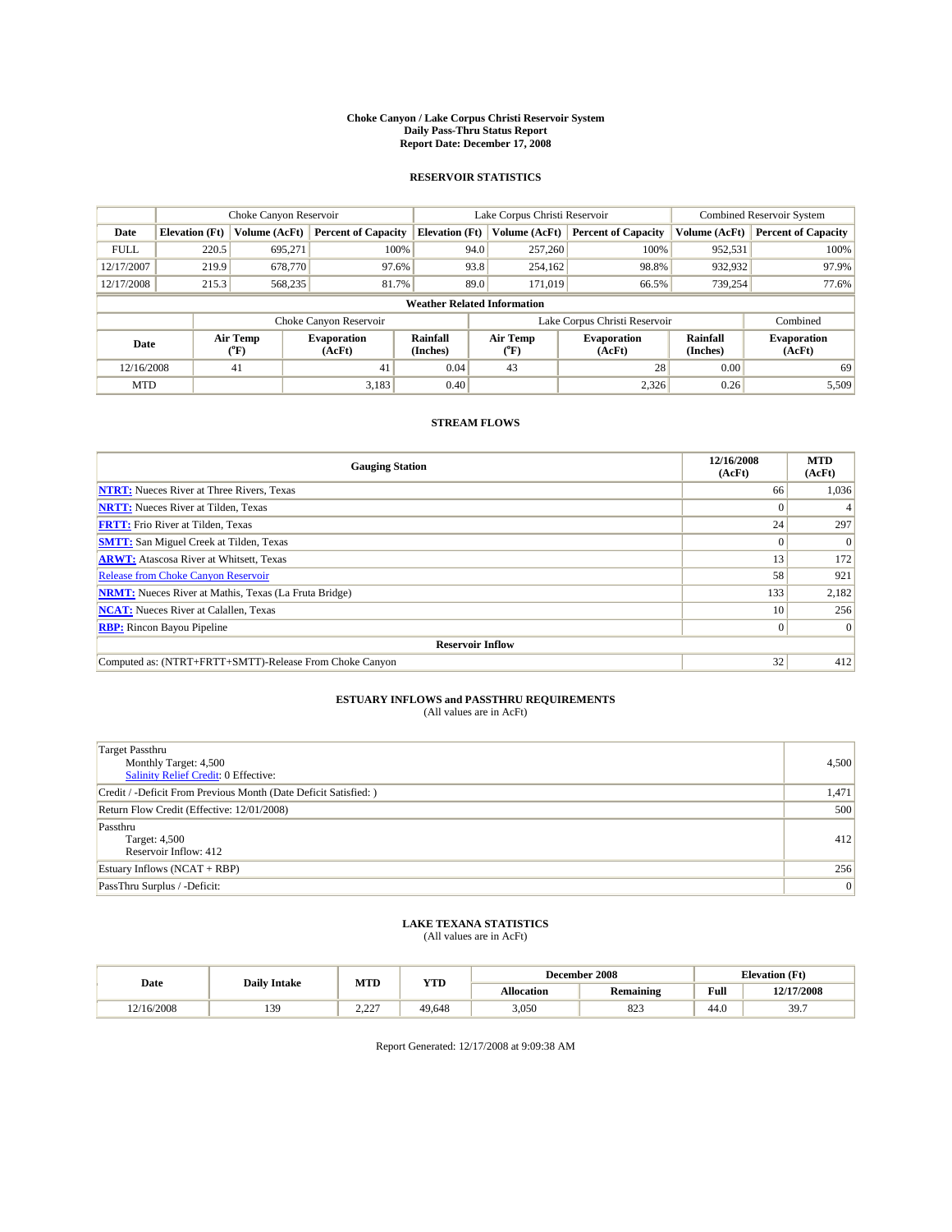#### **Choke Canyon / Lake Corpus Christi Reservoir System Daily Pass-Thru Status Report Report Date: December 17, 2008**

### **RESERVOIR STATISTICS**

|             | Choke Canyon Reservoir             |                  |                              |                             | Lake Corpus Christi Reservoir |                  |                               |                      | <b>Combined Reservoir System</b> |  |
|-------------|------------------------------------|------------------|------------------------------|-----------------------------|-------------------------------|------------------|-------------------------------|----------------------|----------------------------------|--|
| Date        | <b>Elevation</b> (Ft)              | Volume (AcFt)    | <b>Percent of Capacity</b>   | <b>Elevation</b> (Ft)       |                               | Volume (AcFt)    | <b>Percent of Capacity</b>    | Volume (AcFt)        | <b>Percent of Capacity</b>       |  |
| <b>FULL</b> | 220.5                              | 695,271          | 100%                         |                             | 94.0                          | 257,260          | 100%                          | 952,531              | 100%                             |  |
| 12/17/2007  | 219.9                              | 678,770          | 97.6%                        |                             | 93.8                          | 254,162          | 98.8%                         | 932,932              | 97.9%                            |  |
| 12/17/2008  | 215.3                              | 568,235          | 81.7%                        |                             | 89.0                          | 171,019          | 66.5%                         | 739,254              | 77.6%                            |  |
|             | <b>Weather Related Information</b> |                  |                              |                             |                               |                  |                               |                      |                                  |  |
|             |                                    |                  | Choke Canyon Reservoir       |                             |                               |                  | Lake Corpus Christi Reservoir |                      | Combined                         |  |
| Date        |                                    | Air Temp<br>(°F) | <b>Evaporation</b><br>(AcFt) | <b>Rainfall</b><br>(Inches) |                               | Air Temp<br>(°F) | <b>Evaporation</b><br>(AcFt)  | Rainfall<br>(Inches) | <b>Evaporation</b><br>(AcFt)     |  |
| 12/16/2008  |                                    | 41               | 41                           | 0.04                        |                               | 43               | 28                            | 0.00                 | 69                               |  |
| <b>MTD</b>  |                                    |                  | 3,183                        | 0.40                        |                               |                  | 2.326                         | 0.26                 | 5,509                            |  |

## **STREAM FLOWS**

| <b>Gauging Station</b>                                       | 12/16/2008<br>(AcFt) | <b>MTD</b><br>(AcFt) |  |  |  |  |
|--------------------------------------------------------------|----------------------|----------------------|--|--|--|--|
| <b>NTRT:</b> Nueces River at Three Rivers, Texas             | 66                   | 1,036                |  |  |  |  |
| <b>NRTT:</b> Nueces River at Tilden, Texas                   |                      |                      |  |  |  |  |
| <b>FRTT:</b> Frio River at Tilden, Texas                     | 24                   | 297                  |  |  |  |  |
| <b>SMTT:</b> San Miguel Creek at Tilden, Texas               | $\Omega$             | $\Omega$             |  |  |  |  |
| <b>ARWT:</b> Atascosa River at Whitsett, Texas               | 13                   | 172                  |  |  |  |  |
| <b>Release from Choke Canyon Reservoir</b>                   | 58                   | 921                  |  |  |  |  |
| <b>NRMT:</b> Nueces River at Mathis, Texas (La Fruta Bridge) | 133                  | 2,182                |  |  |  |  |
| <b>NCAT:</b> Nueces River at Calallen, Texas                 | 10                   | 256                  |  |  |  |  |
| <b>RBP:</b> Rincon Bayou Pipeline                            | $\overline{0}$       | $\Omega$             |  |  |  |  |
| <b>Reservoir Inflow</b>                                      |                      |                      |  |  |  |  |
| Computed as: (NTRT+FRTT+SMTT)-Release From Choke Canyon      | 32                   | 412                  |  |  |  |  |

# **ESTUARY INFLOWS and PASSTHRU REQUIREMENTS**<br>(All values are in AcFt)

| <b>Target Passthru</b><br>Monthly Target: 4,500<br>Salinity Relief Credit: 0 Effective: | 4,500 |
|-----------------------------------------------------------------------------------------|-------|
| Credit / -Deficit From Previous Month (Date Deficit Satisfied: )                        | 1,471 |
| Return Flow Credit (Effective: 12/01/2008)                                              | 500   |
| Passthru<br>Target: 4,500<br>Reservoir Inflow: 412                                      | 412   |
| Estuary Inflows (NCAT + RBP)                                                            | 256   |
| PassThru Surplus / -Deficit:                                                            | 0     |

## **LAKE TEXANA STATISTICS** (All values are in AcFt)

| Date       | <b>Daily Intake</b> | MTD         | <b>YTD</b> | December 2008 |                   | <b>Elevation</b> (Ft) |                            |
|------------|---------------------|-------------|------------|---------------|-------------------|-----------------------|----------------------------|
|            |                     |             |            | Allocation    | <b>Remaining</b>  | Full                  | 12/17/2008                 |
| 12/16/2008 | 139<br>             | 0.22<br>___ | 49.648     | 3,050         | $Q \cap 2$<br>643 | 44.0                  | 30 <sup>7</sup><br><i></i> |

Report Generated: 12/17/2008 at 9:09:38 AM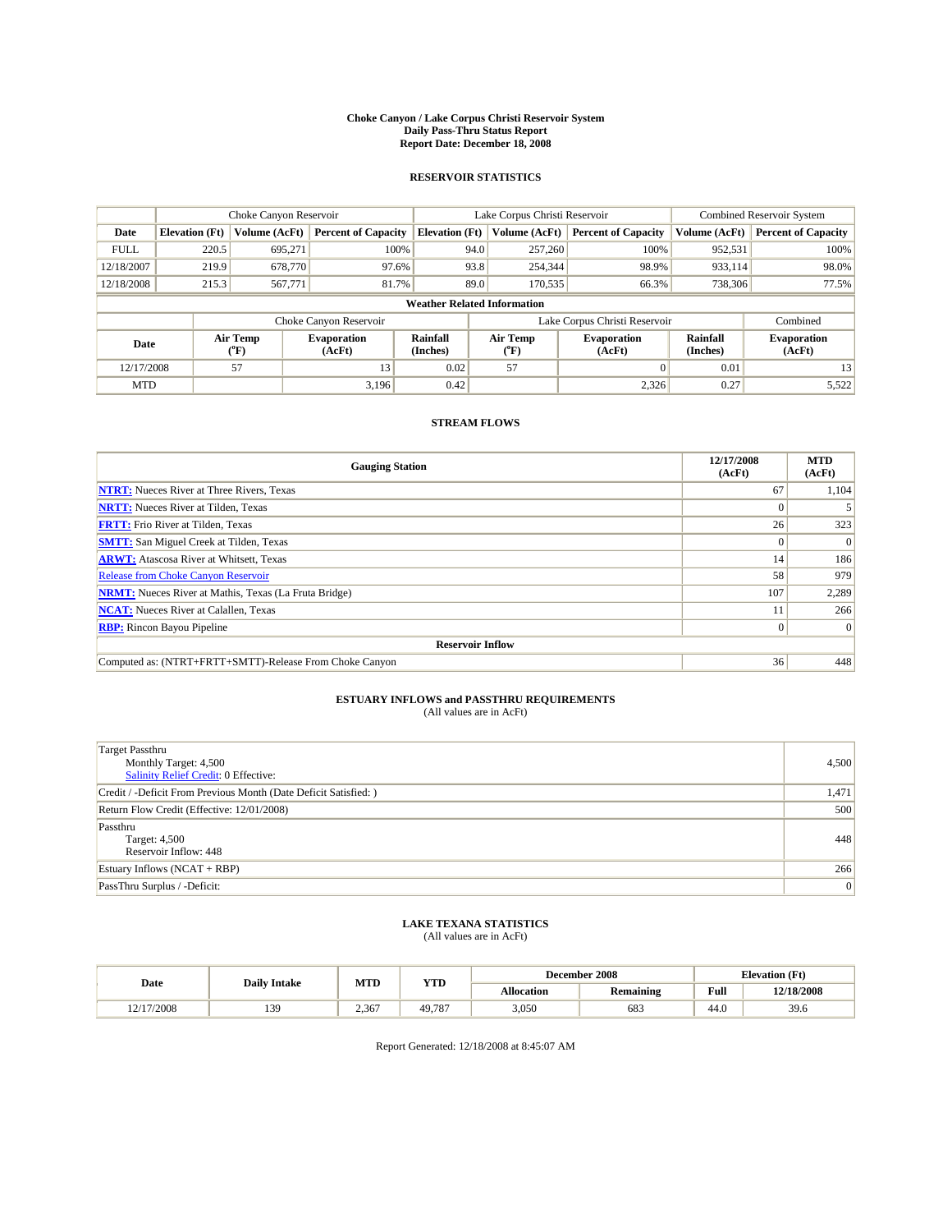#### **Choke Canyon / Lake Corpus Christi Reservoir System Daily Pass-Thru Status Report Report Date: December 18, 2008**

### **RESERVOIR STATISTICS**

|             | Choke Canyon Reservoir             |                  |                              |                             | Lake Corpus Christi Reservoir | <b>Combined Reservoir System</b> |                      |                              |  |
|-------------|------------------------------------|------------------|------------------------------|-----------------------------|-------------------------------|----------------------------------|----------------------|------------------------------|--|
| Date        | <b>Elevation</b> (Ft)              | Volume (AcFt)    | <b>Percent of Capacity</b>   | <b>Elevation</b> (Ft)       | Volume (AcFt)                 | <b>Percent of Capacity</b>       | Volume (AcFt)        | <b>Percent of Capacity</b>   |  |
| <b>FULL</b> | 220.5                              | 695,271          | 100%                         | 94.0                        | 257,260                       | 100%                             | 952,531              | 100%                         |  |
| 12/18/2007  | 219.9                              | 678,770          | 97.6%                        | 93.8                        | 254,344                       | 98.9%                            | 933,114              | 98.0%                        |  |
| 12/18/2008  | 215.3                              | 567,771          | 81.7%                        | 89.0                        | 170,535                       | 66.3%                            | 738,306              | 77.5%                        |  |
|             | <b>Weather Related Information</b> |                  |                              |                             |                               |                                  |                      |                              |  |
|             |                                    |                  | Choke Canyon Reservoir       |                             |                               | Lake Corpus Christi Reservoir    |                      | Combined                     |  |
| Date        |                                    | Air Temp<br>(°F) | <b>Evaporation</b><br>(AcFt) | <b>Rainfall</b><br>(Inches) | Air Temp<br>(°F)              | <b>Evaporation</b><br>(AcFt)     | Rainfall<br>(Inches) | <b>Evaporation</b><br>(AcFt) |  |
| 12/17/2008  |                                    | 57               | 13                           | 0.02                        | 57                            | $\Omega$                         | 0.01                 | 13                           |  |
| <b>MTD</b>  |                                    |                  | 3.196                        | 0.42                        |                               | 2.326                            | 0.27                 | 5,522                        |  |

## **STREAM FLOWS**

| <b>Gauging Station</b>                                       | 12/17/2008<br>(AcFt) | <b>MTD</b><br>(AcFt) |  |  |  |  |
|--------------------------------------------------------------|----------------------|----------------------|--|--|--|--|
| <b>NTRT:</b> Nueces River at Three Rivers, Texas             | 67                   | 1,104                |  |  |  |  |
| <b>NRTT:</b> Nueces River at Tilden, Texas                   | $\Omega$             |                      |  |  |  |  |
| <b>FRTT:</b> Frio River at Tilden, Texas                     | 26                   | 323                  |  |  |  |  |
| <b>SMTT:</b> San Miguel Creek at Tilden, Texas               | $\theta$             | $\Omega$             |  |  |  |  |
| <b>ARWT:</b> Atascosa River at Whitsett, Texas               | 14                   | 186                  |  |  |  |  |
| <b>Release from Choke Canyon Reservoir</b>                   | 58                   | 979                  |  |  |  |  |
| <b>NRMT:</b> Nueces River at Mathis, Texas (La Fruta Bridge) | 107                  | 2,289                |  |  |  |  |
| <b>NCAT:</b> Nueces River at Calallen, Texas                 |                      | 266                  |  |  |  |  |
| <b>RBP:</b> Rincon Bayou Pipeline                            | $\overline{0}$       | $\Omega$             |  |  |  |  |
| <b>Reservoir Inflow</b>                                      |                      |                      |  |  |  |  |
| Computed as: (NTRT+FRTT+SMTT)-Release From Choke Canyon      | 36                   | 448                  |  |  |  |  |

# **ESTUARY INFLOWS and PASSTHRU REQUIREMENTS**<br>(All values are in AcFt)

| <b>Target Passthru</b><br>Monthly Target: 4,500<br>Salinity Relief Credit: 0 Effective: | 4,500 |
|-----------------------------------------------------------------------------------------|-------|
| Credit / -Deficit From Previous Month (Date Deficit Satisfied: )                        | 1,471 |
| Return Flow Credit (Effective: 12/01/2008)                                              | 500   |
| Passthru<br>Target: 4,500<br>Reservoir Inflow: 448                                      | 448   |
| Estuary Inflows $(NCAT + RBP)$                                                          | 266   |
| PassThru Surplus / -Deficit:                                                            | 0     |

## **LAKE TEXANA STATISTICS** (All values are in AcFt)

|            | <b>Daily Intake</b> | MTD   | <b>YTD</b> |            | December 2008    | <b>Elevation</b> (Ft)                       |            |
|------------|---------------------|-------|------------|------------|------------------|---------------------------------------------|------------|
| Date       |                     |       |            | Allocation | <b>Remaining</b> | Full<br>the contract of the contract of the | 12/18/2008 |
| 12/17/2008 | 139                 | 2.367 | 49.787     | 3,050      | 683              | 44.0                                        | 39.6       |

Report Generated: 12/18/2008 at 8:45:07 AM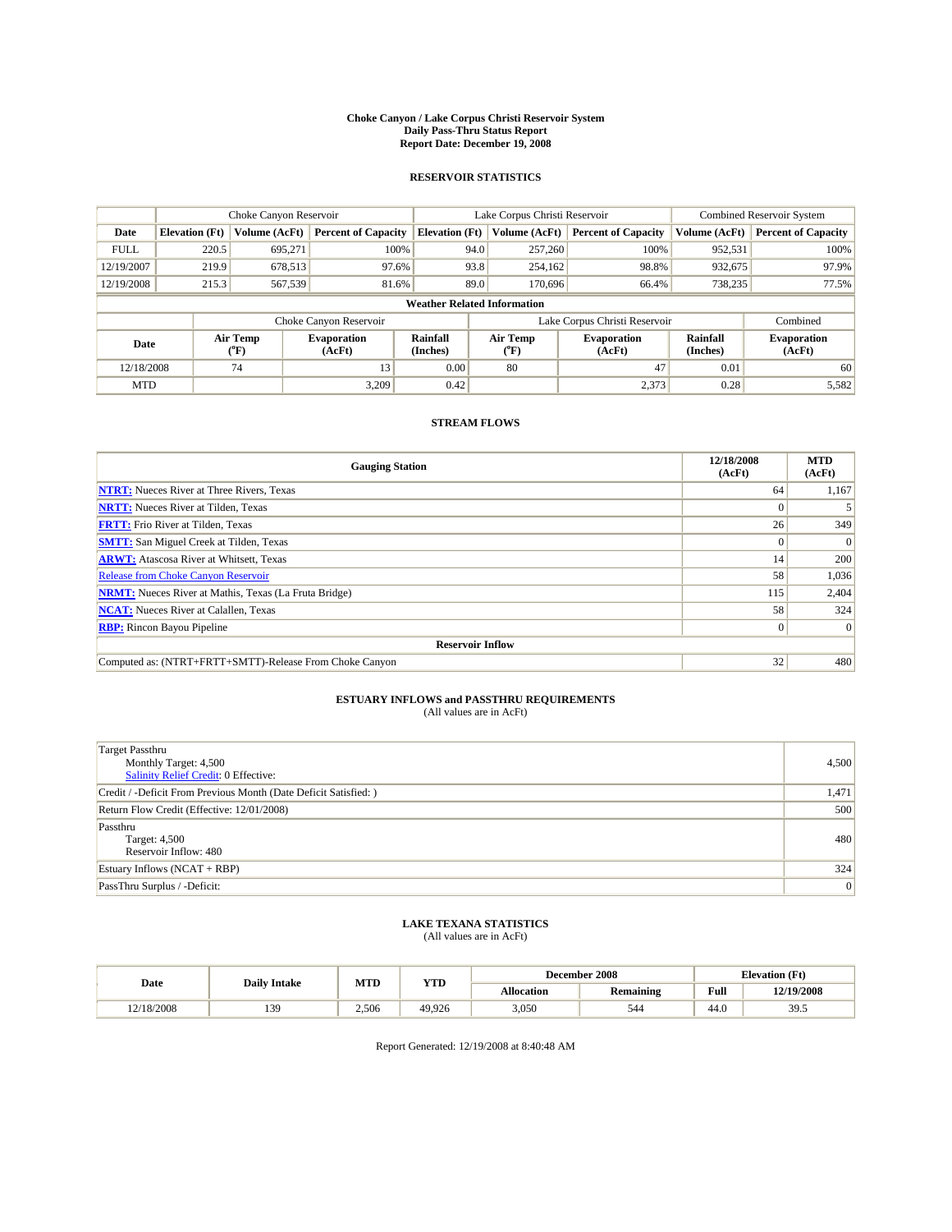#### **Choke Canyon / Lake Corpus Christi Reservoir System Daily Pass-Thru Status Report Report Date: December 19, 2008**

### **RESERVOIR STATISTICS**

|             | Choke Canyon Reservoir             |                  |                              |                             | Lake Corpus Christi Reservoir | <b>Combined Reservoir System</b> |                      |                              |  |
|-------------|------------------------------------|------------------|------------------------------|-----------------------------|-------------------------------|----------------------------------|----------------------|------------------------------|--|
| Date        | <b>Elevation</b> (Ft)              | Volume (AcFt)    | <b>Percent of Capacity</b>   | <b>Elevation</b> (Ft)       | Volume (AcFt)                 | <b>Percent of Capacity</b>       | Volume (AcFt)        | <b>Percent of Capacity</b>   |  |
| <b>FULL</b> | 220.5                              | 695,271          | 100%                         | 94.0                        | 257,260                       | 100%                             | 952,531              | 100%                         |  |
| 12/19/2007  | 219.9                              | 678,513          | 97.6%                        | 93.8                        | 254,162                       | 98.8%                            | 932,675              | 97.9%                        |  |
| 12/19/2008  | 215.3                              | 567,539          | 81.6%                        | 89.0                        | 170,696                       | 66.4%                            | 738,235              | 77.5%                        |  |
|             | <b>Weather Related Information</b> |                  |                              |                             |                               |                                  |                      |                              |  |
|             |                                    |                  | Choke Canyon Reservoir       |                             |                               | Lake Corpus Christi Reservoir    |                      | Combined                     |  |
| Date        |                                    | Air Temp<br>(°F) | <b>Evaporation</b><br>(AcFt) | <b>Rainfall</b><br>(Inches) | Air Temp<br>(°F)              | <b>Evaporation</b><br>(AcFt)     | Rainfall<br>(Inches) | <b>Evaporation</b><br>(AcFt) |  |
| 12/18/2008  |                                    | 74               | 13                           | 0.00                        | 80                            | 47                               | 0.01                 | 60                           |  |
| <b>MTD</b>  |                                    |                  | 3.209                        | 0.42                        |                               | 2,373                            | 0.28                 | 5,582                        |  |

## **STREAM FLOWS**

| <b>Gauging Station</b>                                       | 12/18/2008<br>(AcFt) | <b>MTD</b><br>(AcFt) |  |  |  |  |  |
|--------------------------------------------------------------|----------------------|----------------------|--|--|--|--|--|
| <b>NTRT:</b> Nueces River at Three Rivers, Texas             | 64                   | 1,167                |  |  |  |  |  |
| <b>NRTT:</b> Nueces River at Tilden, Texas                   | $\Omega$             |                      |  |  |  |  |  |
| <b>FRTT:</b> Frio River at Tilden, Texas                     | 26                   | 349                  |  |  |  |  |  |
| <b>SMTT:</b> San Miguel Creek at Tilden, Texas               | $\theta$             | $\Omega$             |  |  |  |  |  |
| <b>ARWT:</b> Atascosa River at Whitsett, Texas               | 14                   | 200                  |  |  |  |  |  |
| <b>Release from Choke Canyon Reservoir</b>                   | 58                   | 1,036                |  |  |  |  |  |
| <b>NRMT:</b> Nueces River at Mathis, Texas (La Fruta Bridge) | 115                  | 2,404                |  |  |  |  |  |
| <b>NCAT:</b> Nueces River at Calallen, Texas                 | 58                   | 324                  |  |  |  |  |  |
| <b>RBP:</b> Rincon Bayou Pipeline                            | $\overline{0}$       | $\Omega$             |  |  |  |  |  |
| <b>Reservoir Inflow</b>                                      |                      |                      |  |  |  |  |  |
| Computed as: (NTRT+FRTT+SMTT)-Release From Choke Canyon      | 32                   | 480                  |  |  |  |  |  |

# **ESTUARY INFLOWS and PASSTHRU REQUIREMENTS**<br>(All values are in AcFt)

| <b>Target Passthru</b><br>Monthly Target: 4,500<br><b>Salinity Relief Credit: 0 Effective:</b> | 4,500 |
|------------------------------------------------------------------------------------------------|-------|
| Credit / -Deficit From Previous Month (Date Deficit Satisfied: )                               | 1,471 |
| Return Flow Credit (Effective: 12/01/2008)                                                     | 500   |
| Passthru<br>Target: 4,500<br>Reservoir Inflow: 480                                             | 480   |
| Estuary Inflows (NCAT + RBP)                                                                   | 324   |
| PassThru Surplus / -Deficit:                                                                   | 0     |

## **LAKE TEXANA STATISTICS** (All values are in AcFt)

|            | <b>Daily Intake</b> | MTD   | <b>YTD</b> |            | December 2008    | <b>Elevation</b> (Ft)                       |            |
|------------|---------------------|-------|------------|------------|------------------|---------------------------------------------|------------|
| Date       |                     |       |            | Allocation | <b>Remaining</b> | Full<br>the contract of the contract of the | 12/19/2008 |
| 12/18/2008 | 139                 | 2.506 | 49.926     | 3,050      | 544              | 44.0                                        | 39.5       |

Report Generated: 12/19/2008 at 8:40:48 AM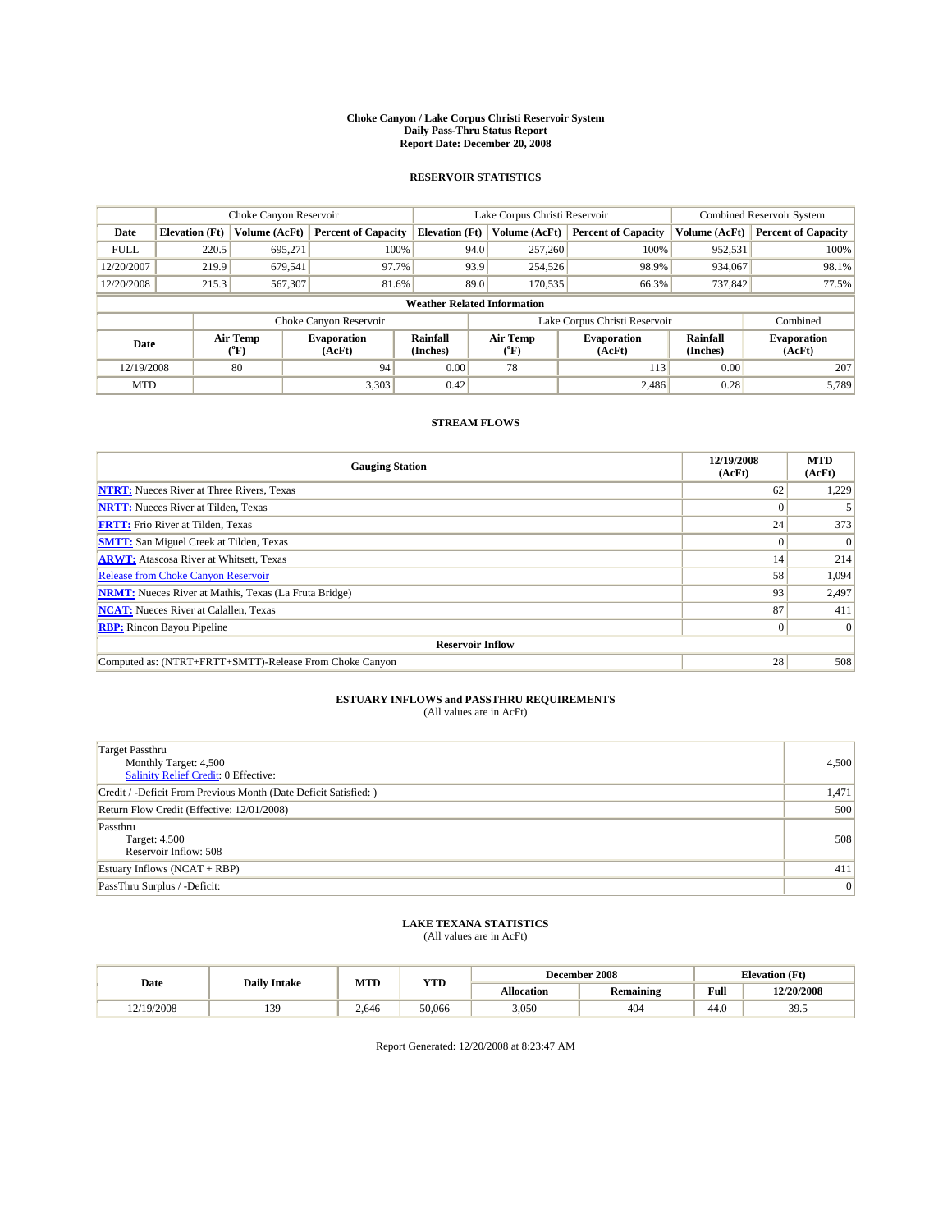#### **Choke Canyon / Lake Corpus Christi Reservoir System Daily Pass-Thru Status Report Report Date: December 20, 2008**

### **RESERVOIR STATISTICS**

|             | Choke Canyon Reservoir             |                  |                              |                             | Lake Corpus Christi Reservoir | <b>Combined Reservoir System</b> |                      |                              |  |
|-------------|------------------------------------|------------------|------------------------------|-----------------------------|-------------------------------|----------------------------------|----------------------|------------------------------|--|
| Date        | <b>Elevation</b> (Ft)              | Volume (AcFt)    | <b>Percent of Capacity</b>   | <b>Elevation</b> (Ft)       | Volume (AcFt)                 | <b>Percent of Capacity</b>       | Volume (AcFt)        | <b>Percent of Capacity</b>   |  |
| <b>FULL</b> | 220.5                              | 695,271          | 100%                         | 94.0                        | 257,260                       | 100%                             | 952,531              | 100%                         |  |
| 12/20/2007  | 219.9                              | 679,541          | 97.7%                        | 93.9                        | 254,526                       | 98.9%                            | 934,067              | 98.1%                        |  |
| 12/20/2008  | 215.3                              | 567,307          | 81.6%                        | 89.0                        | 170,535                       | 66.3%                            | 737,842              | 77.5%                        |  |
|             | <b>Weather Related Information</b> |                  |                              |                             |                               |                                  |                      |                              |  |
|             |                                    |                  | Choke Canyon Reservoir       |                             |                               | Lake Corpus Christi Reservoir    |                      | Combined                     |  |
| Date        |                                    | Air Temp<br>(°F) | <b>Evaporation</b><br>(AcFt) | <b>Rainfall</b><br>(Inches) | Air Temp<br>(°F)              | <b>Evaporation</b><br>(AcFt)     | Rainfall<br>(Inches) | <b>Evaporation</b><br>(AcFt) |  |
| 12/19/2008  |                                    | 80               | 94                           | 0.00                        | 78                            | 113                              | 0.00                 | 207                          |  |
| <b>MTD</b>  |                                    |                  | 3,303                        | 0.42                        |                               | 2.486                            | 0.28                 | 5.789                        |  |

## **STREAM FLOWS**

| <b>Gauging Station</b>                                       | 12/19/2008<br>(AcFt) | <b>MTD</b><br>(AcFt) |  |  |  |  |
|--------------------------------------------------------------|----------------------|----------------------|--|--|--|--|
| <b>NTRT:</b> Nueces River at Three Rivers, Texas             | 62                   | 1,229                |  |  |  |  |
| <b>NRTT:</b> Nueces River at Tilden, Texas                   | $\Omega$             |                      |  |  |  |  |
| <b>FRTT:</b> Frio River at Tilden, Texas                     | 24                   | 373                  |  |  |  |  |
| <b>SMTT:</b> San Miguel Creek at Tilden, Texas               | $\Omega$             | $\Omega$             |  |  |  |  |
| <b>ARWT:</b> Atascosa River at Whitsett, Texas               | 14 <sub>1</sub>      | 214                  |  |  |  |  |
| <b>Release from Choke Canyon Reservoir</b>                   | 58                   | 1,094                |  |  |  |  |
| <b>NRMT:</b> Nueces River at Mathis, Texas (La Fruta Bridge) | 93                   | 2,497                |  |  |  |  |
| <b>NCAT:</b> Nueces River at Calallen, Texas                 | 87                   | 411                  |  |  |  |  |
| <b>RBP:</b> Rincon Bayou Pipeline                            | $\overline{0}$       | $\Omega$             |  |  |  |  |
| <b>Reservoir Inflow</b>                                      |                      |                      |  |  |  |  |
| Computed as: (NTRT+FRTT+SMTT)-Release From Choke Canyon      | 28                   | 508                  |  |  |  |  |

# **ESTUARY INFLOWS and PASSTHRU REQUIREMENTS**<br>(All values are in AcFt)

| <b>Target Passthru</b><br>Monthly Target: 4,500<br>Salinity Relief Credit: 0 Effective: | 4,500 |
|-----------------------------------------------------------------------------------------|-------|
| Credit / -Deficit From Previous Month (Date Deficit Satisfied: )                        | 1,471 |
| Return Flow Credit (Effective: 12/01/2008)                                              | 500   |
| Passthru<br>Target: 4,500<br>Reservoir Inflow: 508                                      | 508   |
| Estuary Inflows $(NCAT + RBP)$                                                          | 411   |
| PassThru Surplus / -Deficit:                                                            | 0     |

## **LAKE TEXANA STATISTICS** (All values are in AcFt)

|            | <b>Daily Intake</b> | MTD   | <b>YTD</b> |                   | December 2008    | <b>Elevation</b> (Ft)                       |            |
|------------|---------------------|-------|------------|-------------------|------------------|---------------------------------------------|------------|
| Date       |                     |       |            | <b>Allocation</b> | <b>Remaining</b> | Full<br>the contract of the contract of the | 12/20/2008 |
| 12/19/2008 | 139                 | 2.646 | 50.066     | 3,050             | 404              | 44.0                                        | 39.5       |

Report Generated: 12/20/2008 at 8:23:47 AM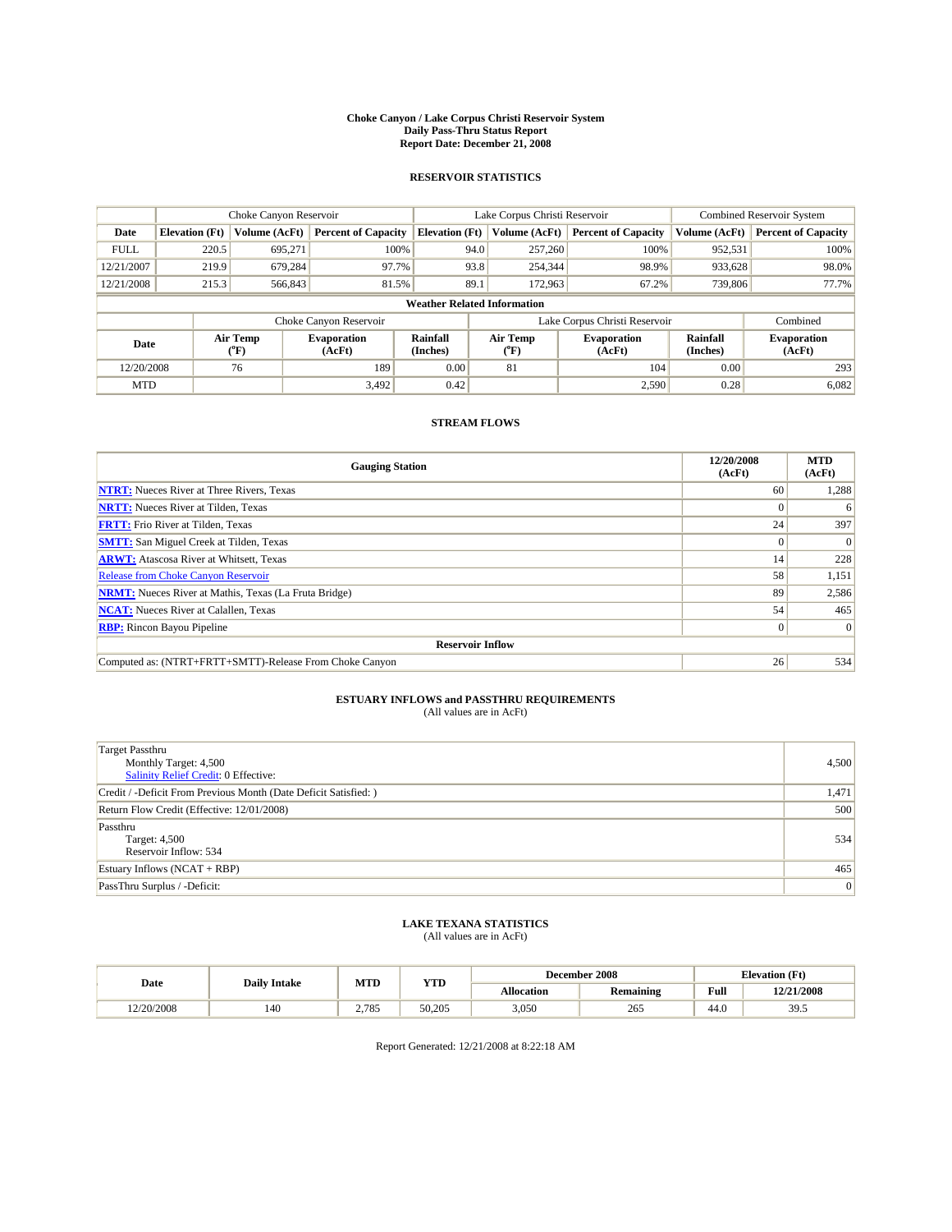#### **Choke Canyon / Lake Corpus Christi Reservoir System Daily Pass-Thru Status Report Report Date: December 21, 2008**

### **RESERVOIR STATISTICS**

|             | Choke Canyon Reservoir             |                  |                              |                       | Lake Corpus Christi Reservoir |                               | Combined Reservoir System |                              |  |
|-------------|------------------------------------|------------------|------------------------------|-----------------------|-------------------------------|-------------------------------|---------------------------|------------------------------|--|
| Date        | <b>Elevation</b> (Ft)              | Volume (AcFt)    | <b>Percent of Capacity</b>   | <b>Elevation</b> (Ft) | Volume (AcFt)                 | <b>Percent of Capacity</b>    | Volume (AcFt)             | <b>Percent of Capacity</b>   |  |
| <b>FULL</b> | 220.5                              | 695,271          | 100%                         |                       | 257,260<br>94.0               | 100%                          | 952,531                   | 100%                         |  |
| 12/21/2007  | 219.9                              | 679.284          | 97.7%                        |                       | 93.8<br>254,344               | 98.9%                         | 933,628                   | 98.0%                        |  |
| 12/21/2008  | 215.3                              | 566,843          | 81.5%                        | 89.1                  | 172,963                       | 67.2%                         | 739,806                   | 77.7%                        |  |
|             | <b>Weather Related Information</b> |                  |                              |                       |                               |                               |                           |                              |  |
|             |                                    |                  | Choke Canyon Reservoir       |                       |                               | Lake Corpus Christi Reservoir |                           | Combined                     |  |
| Date        |                                    | Air Temp<br>(°F) | <b>Evaporation</b><br>(AcFt) | Rainfall<br>(Inches)  | Air Temp<br>("F)              | <b>Evaporation</b><br>(AcFt)  | Rainfall<br>(Inches)      | <b>Evaporation</b><br>(AcFt) |  |
| 12/20/2008  |                                    | 76               | 189                          | 0.00                  | 81                            | 104                           | 0.00                      | 293                          |  |
| <b>MTD</b>  |                                    |                  | 3,492                        | 0.42                  |                               | 2,590                         | 0.28                      | 6,082                        |  |

## **STREAM FLOWS**

| <b>Gauging Station</b>                                       | 12/20/2008<br>(AcFt) | <b>MTD</b><br>(AcFt) |  |  |  |  |  |
|--------------------------------------------------------------|----------------------|----------------------|--|--|--|--|--|
| <b>NTRT:</b> Nueces River at Three Rivers, Texas             | 60                   | 1,288                |  |  |  |  |  |
| <b>NRTT:</b> Nueces River at Tilden, Texas                   |                      | 6                    |  |  |  |  |  |
| <b>FRTT:</b> Frio River at Tilden, Texas                     | 24                   | 397                  |  |  |  |  |  |
| <b>SMTT:</b> San Miguel Creek at Tilden, Texas               | $\Omega$             | $\Omega$             |  |  |  |  |  |
| <b>ARWT:</b> Atascosa River at Whitsett, Texas               | 14                   | 228                  |  |  |  |  |  |
| <b>Release from Choke Canyon Reservoir</b>                   | 58                   | 1,151                |  |  |  |  |  |
| <b>NRMT:</b> Nueces River at Mathis, Texas (La Fruta Bridge) | 89                   | 2,586                |  |  |  |  |  |
| <b>NCAT:</b> Nueces River at Calallen, Texas                 | 54                   | 465                  |  |  |  |  |  |
| <b>RBP:</b> Rincon Bayou Pipeline                            | $\overline{0}$       | $\Omega$             |  |  |  |  |  |
| <b>Reservoir Inflow</b>                                      |                      |                      |  |  |  |  |  |
| Computed as: (NTRT+FRTT+SMTT)-Release From Choke Canyon      | 26                   | 534                  |  |  |  |  |  |

# **ESTUARY INFLOWS and PASSTHRU REQUIREMENTS**<br>(All values are in AcFt)

| <b>Target Passthru</b><br>Monthly Target: 4,500<br><b>Salinity Relief Credit: 0 Effective:</b> | 4,500 |
|------------------------------------------------------------------------------------------------|-------|
| Credit / -Deficit From Previous Month (Date Deficit Satisfied: )                               | 1,471 |
| Return Flow Credit (Effective: 12/01/2008)                                                     | 500   |
| Passthru<br>Target: 4,500<br>Reservoir Inflow: 534                                             | 534   |
| Estuary Inflows $(NCAT + RBP)$                                                                 | 465   |
| PassThru Surplus / -Deficit:                                                                   | 0     |

## **LAKE TEXANA STATISTICS** (All values are in AcFt)

|            | <b>Daily Intake</b> | MTD   | <b>YTD</b> |            | December 2008    | <b>Elevation</b> (Ft)                       |            |
|------------|---------------------|-------|------------|------------|------------------|---------------------------------------------|------------|
| Date       |                     |       |            | Allocation | <b>Remaining</b> | Full<br>the contract of the contract of the | 12/21/2008 |
| 12/20/2008 | 140                 | 2.785 | 50.205     | 3,050      | 265              | 44.0                                        | 39.5       |

Report Generated: 12/21/2008 at 8:22:18 AM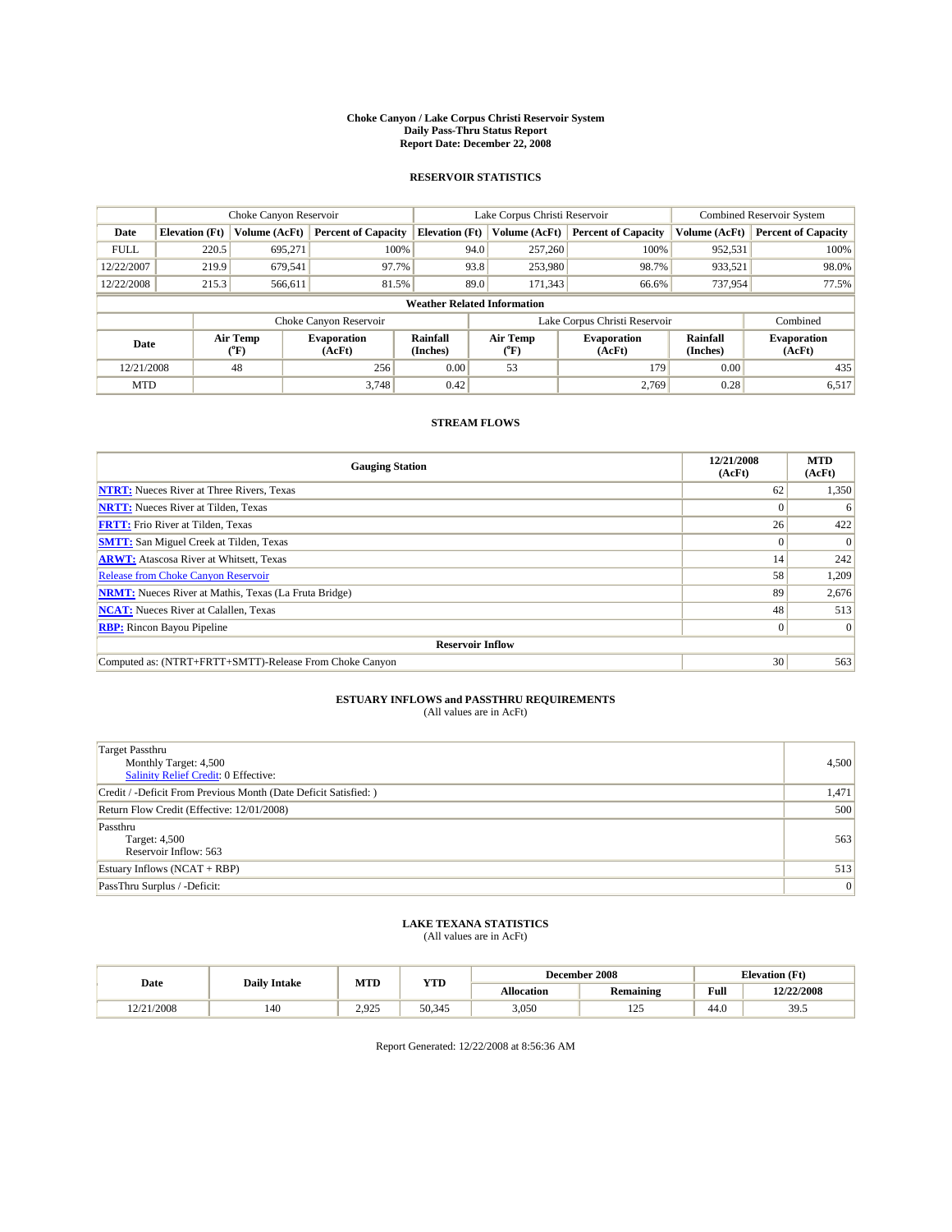#### **Choke Canyon / Lake Corpus Christi Reservoir System Daily Pass-Thru Status Report Report Date: December 22, 2008**

### **RESERVOIR STATISTICS**

|             | Choke Canyon Reservoir             |                  | Lake Corpus Christi Reservoir |                             |                  |  | <b>Combined Reservoir System</b> |                      |                              |  |
|-------------|------------------------------------|------------------|-------------------------------|-----------------------------|------------------|--|----------------------------------|----------------------|------------------------------|--|
| Date        | <b>Elevation</b> (Ft)              | Volume (AcFt)    | <b>Percent of Capacity</b>    | <b>Elevation</b> (Ft)       | Volume (AcFt)    |  | <b>Percent of Capacity</b>       | Volume (AcFt)        | <b>Percent of Capacity</b>   |  |
| <b>FULL</b> | 220.5                              | 695,271          | 100%                          |                             | 94.0<br>257,260  |  | 100%                             | 952,531              | 100%                         |  |
| 12/22/2007  | 219.9                              | 679,541          | 97.7%                         |                             | 93.8<br>253,980  |  | 98.7%                            | 933,521              | 98.0%                        |  |
| 12/22/2008  | 215.3                              | 566,611          | 81.5%                         |                             | 89.0<br>171,343  |  | 66.6%                            | 737,954              | 77.5%                        |  |
|             | <b>Weather Related Information</b> |                  |                               |                             |                  |  |                                  |                      |                              |  |
|             |                                    |                  | Choke Canyon Reservoir        |                             |                  |  | Lake Corpus Christi Reservoir    |                      | Combined                     |  |
| Date        |                                    | Air Temp<br>(°F) | <b>Evaporation</b><br>(AcFt)  | <b>Rainfall</b><br>(Inches) | Air Temp<br>(°F) |  | <b>Evaporation</b><br>(AcFt)     | Rainfall<br>(Inches) | <b>Evaporation</b><br>(AcFt) |  |
| 12/21/2008  |                                    | 48               | 256                           | 0.00                        | 53               |  | 179                              | 0.00                 | 435                          |  |
| <b>MTD</b>  |                                    |                  | 3.748                         | 0.42                        |                  |  | 2.769                            | 0.28                 | 6,517                        |  |

## **STREAM FLOWS**

| <b>Gauging Station</b>                                       | 12/21/2008<br>(AcFt) | <b>MTD</b><br>(AcFt) |  |  |  |  |  |
|--------------------------------------------------------------|----------------------|----------------------|--|--|--|--|--|
| <b>NTRT:</b> Nueces River at Three Rivers, Texas             | 62                   | 1,350                |  |  |  |  |  |
| <b>NRTT:</b> Nueces River at Tilden, Texas                   |                      | 6                    |  |  |  |  |  |
| <b>FRTT:</b> Frio River at Tilden, Texas                     | 26                   | 422                  |  |  |  |  |  |
| <b>SMTT:</b> San Miguel Creek at Tilden, Texas               | $\Omega$             | $\Omega$             |  |  |  |  |  |
| <b>ARWT:</b> Atascosa River at Whitsett, Texas               | 14                   | 242                  |  |  |  |  |  |
| <b>Release from Choke Canyon Reservoir</b>                   | 58                   | 1,209                |  |  |  |  |  |
| <b>NRMT:</b> Nueces River at Mathis, Texas (La Fruta Bridge) | 89                   | 2,676                |  |  |  |  |  |
| <b>NCAT:</b> Nueces River at Calallen, Texas                 | 48                   | 513                  |  |  |  |  |  |
| <b>RBP:</b> Rincon Bayou Pipeline                            | $\overline{0}$       | $\Omega$             |  |  |  |  |  |
| <b>Reservoir Inflow</b>                                      |                      |                      |  |  |  |  |  |
| Computed as: (NTRT+FRTT+SMTT)-Release From Choke Canyon      | 30                   | 563                  |  |  |  |  |  |

# **ESTUARY INFLOWS and PASSTHRU REQUIREMENTS**<br>(All values are in AcFt)

| <b>Target Passthru</b><br>Monthly Target: 4,500<br><b>Salinity Relief Credit: 0 Effective:</b> | 4,500 |
|------------------------------------------------------------------------------------------------|-------|
| Credit / -Deficit From Previous Month (Date Deficit Satisfied: )                               | 1,471 |
| Return Flow Credit (Effective: 12/01/2008)                                                     | 500   |
| Passthru<br>Target: 4,500<br>Reservoir Inflow: 563                                             | 563   |
| Estuary Inflows (NCAT + RBP)                                                                   | 513   |
| PassThru Surplus / -Deficit:                                                                   | 0     |

## **LAKE TEXANA STATISTICS** (All values are in AcFt)

|            | <b>Daily Intake</b> | MTD   | <b>YTD</b> |                   | December 2008    | <b>Elevation</b> (Ft)                       |            |
|------------|---------------------|-------|------------|-------------------|------------------|---------------------------------------------|------------|
| Date       |                     |       |            | <b>Allocation</b> | <b>Remaining</b> | Full<br>the contract of the contract of the | 12/22/2008 |
| 12/21/2008 | 140                 | 2.925 | 50.345     | 3,050             | ۵ - ۱<br>ل کے ا  | 44.0                                        | 39.5       |

Report Generated: 12/22/2008 at 8:56:36 AM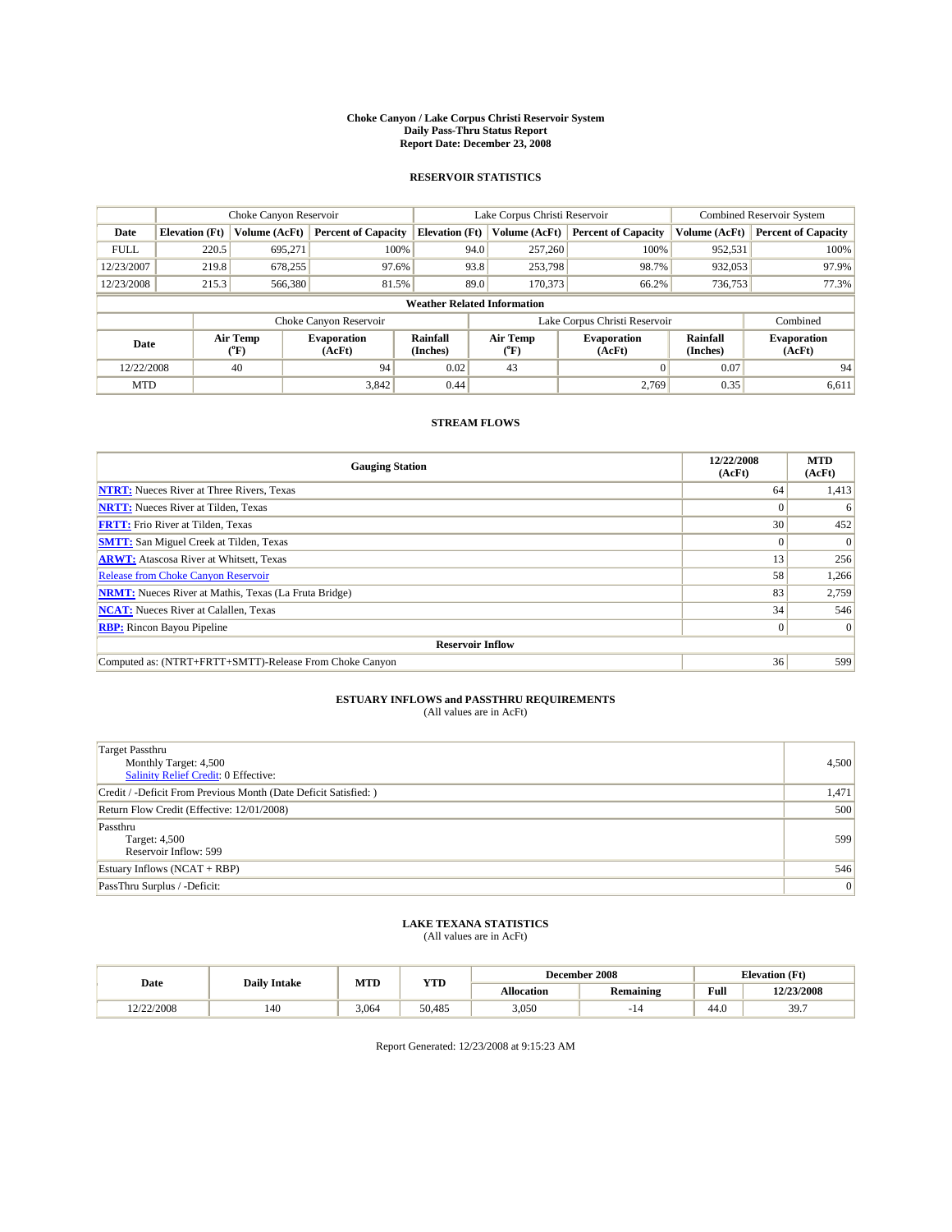#### **Choke Canyon / Lake Corpus Christi Reservoir System Daily Pass-Thru Status Report Report Date: December 23, 2008**

### **RESERVOIR STATISTICS**

|             |                                    | Choke Canyon Reservoir      |                              |                             | Lake Corpus Christi Reservoir | Combined Reservoir System     |                      |                              |  |
|-------------|------------------------------------|-----------------------------|------------------------------|-----------------------------|-------------------------------|-------------------------------|----------------------|------------------------------|--|
| Date        | <b>Elevation</b> (Ft)              | Volume (AcFt)               | <b>Percent of Capacity</b>   | <b>Elevation</b> (Ft)       | Volume (AcFt)                 | <b>Percent of Capacity</b>    | Volume (AcFt)        | <b>Percent of Capacity</b>   |  |
| <b>FULL</b> | 220.5                              | 695,271                     | 100%                         | 94.0                        | 257,260                       | 100%                          | 952,531              | 100%                         |  |
| 12/23/2007  | 219.8                              | 678,255                     | 97.6%                        |                             | 93.8<br>253,798               | 98.7%                         | 932,053              | 97.9%                        |  |
| 12/23/2008  | 215.3                              | 566,380                     | 81.5%                        |                             | 89.0<br>170,373               | 66.2%                         | 736,753              | 77.3%                        |  |
|             | <b>Weather Related Information</b> |                             |                              |                             |                               |                               |                      |                              |  |
|             |                                    |                             | Choke Canyon Reservoir       |                             |                               | Lake Corpus Christi Reservoir |                      | Combined                     |  |
| Date        |                                    | Air Temp<br>${}^{\circ}$ F) | <b>Evaporation</b><br>(AcFt) | <b>Rainfall</b><br>(Inches) | Air Temp<br>$(^oF)$           | <b>Evaporation</b><br>(AcFt)  | Rainfall<br>(Inches) | <b>Evaporation</b><br>(AcFt) |  |
| 12/22/2008  |                                    | 40                          | 94                           | 0.02                        | 43                            | $\Omega$                      | 0.07                 | 94                           |  |
| <b>MTD</b>  |                                    |                             | 3,842                        | 0.44                        |                               | 2.769                         | 0.35                 | 6,611                        |  |

## **STREAM FLOWS**

| <b>Gauging Station</b>                                       | 12/22/2008<br>(AcFt) | <b>MTD</b><br>(AcFt) |  |  |  |  |
|--------------------------------------------------------------|----------------------|----------------------|--|--|--|--|
| <b>NTRT:</b> Nueces River at Three Rivers, Texas             | 64                   | 1,413                |  |  |  |  |
| <b>NRTT:</b> Nueces River at Tilden, Texas                   | $\Omega$             | 6                    |  |  |  |  |
| <b>FRTT:</b> Frio River at Tilden, Texas                     | 30                   | 452                  |  |  |  |  |
| <b>SMTT:</b> San Miguel Creek at Tilden, Texas               | $\Omega$             | $\Omega$             |  |  |  |  |
| <b>ARWT:</b> Atascosa River at Whitsett, Texas               | 13                   | 256                  |  |  |  |  |
| <b>Release from Choke Canyon Reservoir</b>                   | 58                   | 1,266                |  |  |  |  |
| <b>NRMT:</b> Nueces River at Mathis, Texas (La Fruta Bridge) | 83                   | 2,759                |  |  |  |  |
| <b>NCAT:</b> Nueces River at Calallen, Texas                 | 34                   | 546                  |  |  |  |  |
| <b>RBP:</b> Rincon Bayou Pipeline                            | $\overline{0}$       | $\Omega$             |  |  |  |  |
| <b>Reservoir Inflow</b>                                      |                      |                      |  |  |  |  |
| Computed as: (NTRT+FRTT+SMTT)-Release From Choke Canyon      | 36                   | 599                  |  |  |  |  |

# **ESTUARY INFLOWS and PASSTHRU REQUIREMENTS**<br>(All values are in AcFt)

| <b>Target Passthru</b><br>Monthly Target: 4,500<br>Salinity Relief Credit: 0 Effective: | 4,500 |
|-----------------------------------------------------------------------------------------|-------|
| Credit / -Deficit From Previous Month (Date Deficit Satisfied: )                        | 1,471 |
| Return Flow Credit (Effective: 12/01/2008)                                              | 500   |
| Passthru<br>Target: 4,500<br>Reservoir Inflow: 599                                      | 599   |
| Estuary Inflows $(NCAT + RBP)$                                                          | 546   |
| PassThru Surplus / -Deficit:                                                            | 0     |

## **LAKE TEXANA STATISTICS** (All values are in AcFt)

|            | <b>Daily Intake</b> | MTD   | <b>YTD</b> |                   | December 2008    | <b>Elevation</b> (Ft)                       |            |
|------------|---------------------|-------|------------|-------------------|------------------|---------------------------------------------|------------|
| Date       |                     |       |            | <b>Allocation</b> | <b>Remaining</b> | Full<br>the contract of the contract of the | 12/23/2008 |
| 12/22/2008 | 140                 | 3.064 | 50.485     | 3,050             | . .              | 44.0                                        | 39.7       |

Report Generated: 12/23/2008 at 9:15:23 AM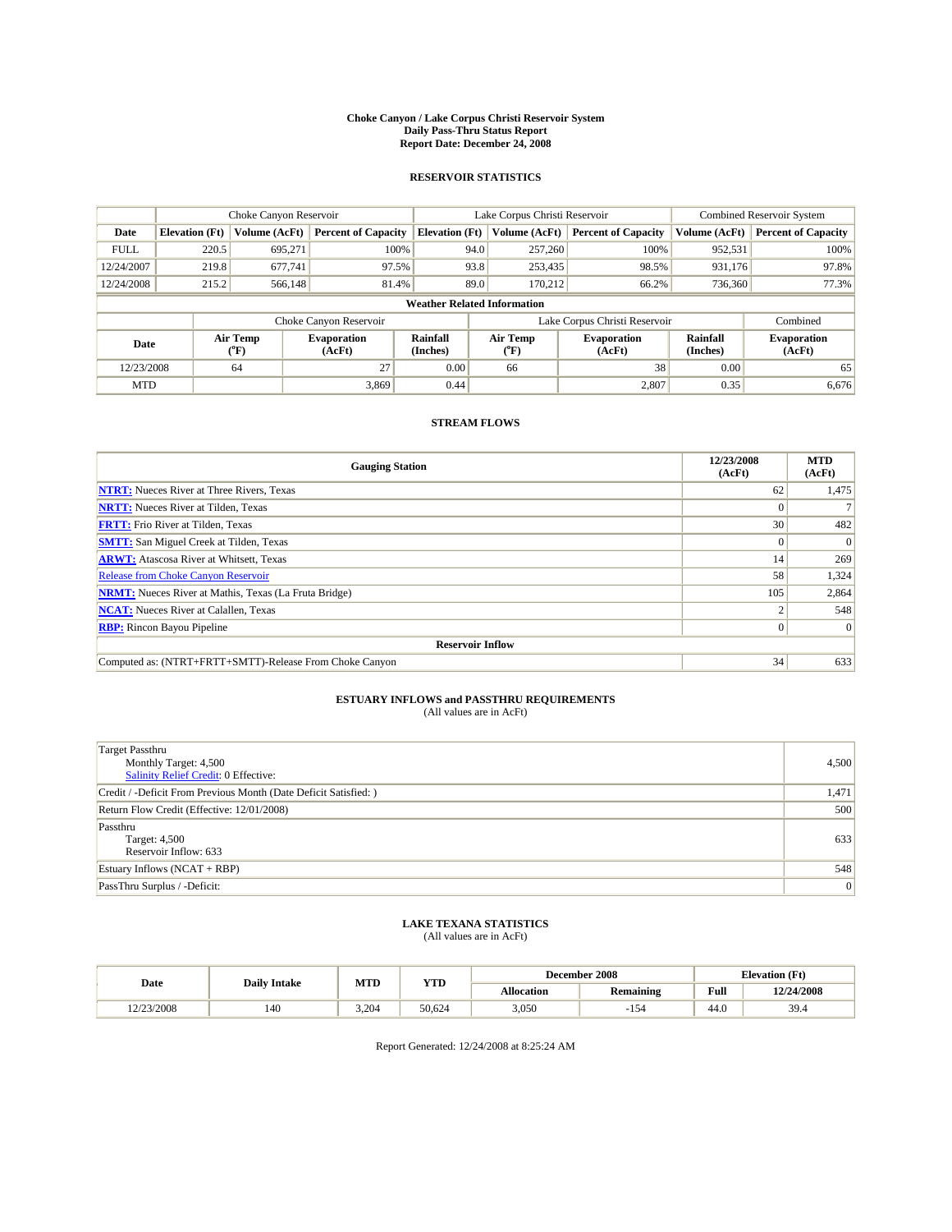#### **Choke Canyon / Lake Corpus Christi Reservoir System Daily Pass-Thru Status Report Report Date: December 24, 2008**

### **RESERVOIR STATISTICS**

|                                    | Choke Canyon Reservoir |                             |                              |                             | Lake Corpus Christi Reservoir | Combined Reservoir System     |                      |                              |
|------------------------------------|------------------------|-----------------------------|------------------------------|-----------------------------|-------------------------------|-------------------------------|----------------------|------------------------------|
| Date                               | <b>Elevation</b> (Ft)  | Volume (AcFt)               | <b>Percent of Capacity</b>   | <b>Elevation</b> (Ft)       | Volume (AcFt)                 | <b>Percent of Capacity</b>    | Volume (AcFt)        | <b>Percent of Capacity</b>   |
| <b>FULL</b>                        | 220.5                  | 695,271                     | 100%                         | 94.0                        | 257,260                       | 100%                          | 952,531              | 100%                         |
| 12/24/2007                         | 219.8                  | 677.741                     | 97.5%                        | 93.8                        | 253,435                       | 98.5%                         | 931,176              | 97.8%                        |
| 12/24/2008                         | 215.2                  | 566,148                     | 81.4%                        | 89.0                        | 170.212                       | 66.2%                         | 736,360              | 77.3%                        |
| <b>Weather Related Information</b> |                        |                             |                              |                             |                               |                               |                      |                              |
|                                    |                        |                             | Choke Canyon Reservoir       |                             |                               | Lake Corpus Christi Reservoir |                      | Combined                     |
| Date                               |                        | Air Temp<br>${}^{\circ}$ F) | <b>Evaporation</b><br>(AcFt) | <b>Rainfall</b><br>(Inches) | Air Temp<br>(°F)              | <b>Evaporation</b><br>(AcFt)  | Rainfall<br>(Inches) | <b>Evaporation</b><br>(AcFt) |
| 12/23/2008                         |                        | 64                          | 27                           | 0.00                        | 66                            | 38                            | 0.00                 | 65                           |
| <b>MTD</b>                         |                        |                             | 3,869                        | 0.44                        |                               | 2,807                         | 0.35                 | 6,676                        |

## **STREAM FLOWS**

| <b>Gauging Station</b>                                       | 12/23/2008<br>(AcFt) | <b>MTD</b><br>(AcFt) |  |  |  |  |  |
|--------------------------------------------------------------|----------------------|----------------------|--|--|--|--|--|
| <b>NTRT:</b> Nueces River at Three Rivers, Texas             | 62                   | 1,475                |  |  |  |  |  |
| <b>NRTT:</b> Nueces River at Tilden, Texas                   |                      |                      |  |  |  |  |  |
| <b>FRTT:</b> Frio River at Tilden, Texas                     | 30                   | 482                  |  |  |  |  |  |
| <b>SMTT:</b> San Miguel Creek at Tilden, Texas               | $\Omega$             | $\Omega$             |  |  |  |  |  |
| <b>ARWT:</b> Atascosa River at Whitsett, Texas               | 14                   | 269                  |  |  |  |  |  |
| <b>Release from Choke Canyon Reservoir</b>                   | 58                   | 1,324                |  |  |  |  |  |
| <b>NRMT:</b> Nueces River at Mathis, Texas (La Fruta Bridge) | 105                  | 2,864                |  |  |  |  |  |
| <b>NCAT:</b> Nueces River at Calallen, Texas                 |                      | 548                  |  |  |  |  |  |
| <b>RBP:</b> Rincon Bayou Pipeline                            | $\overline{0}$       | $\Omega$             |  |  |  |  |  |
| <b>Reservoir Inflow</b>                                      |                      |                      |  |  |  |  |  |
| Computed as: (NTRT+FRTT+SMTT)-Release From Choke Canyon      | 34                   | 633                  |  |  |  |  |  |

# **ESTUARY INFLOWS and PASSTHRU REQUIREMENTS**<br>(All values are in AcFt)

| <b>Target Passthru</b><br>Monthly Target: 4,500<br>Salinity Relief Credit: 0 Effective: | 4,500 |
|-----------------------------------------------------------------------------------------|-------|
| Credit / -Deficit From Previous Month (Date Deficit Satisfied: )                        | 1,471 |
| Return Flow Credit (Effective: 12/01/2008)                                              | 500   |
| Passthru<br>Target: 4,500<br>Reservoir Inflow: 633                                      | 633   |
| Estuary Inflows $(NCAT + RBP)$                                                          | 548   |
| PassThru Surplus / -Deficit:                                                            | 0     |

# **LAKE TEXANA STATISTICS** (All values are in AcFt)

|            | <b>Daily Intake</b> | MTD   | <b>YTD</b> |                   | December 2008    | <b>Elevation</b> (Ft)                       |            |
|------------|---------------------|-------|------------|-------------------|------------------|---------------------------------------------|------------|
| Date       |                     |       |            | <b>Allocation</b> | <b>Remaining</b> | Full<br>the contract of the contract of the | 12/24/2008 |
| 12/23/2008 | 140                 | 3.204 | 50.624     | 3,050             | 154              | 44.0                                        | 39.4       |

Report Generated: 12/24/2008 at 8:25:24 AM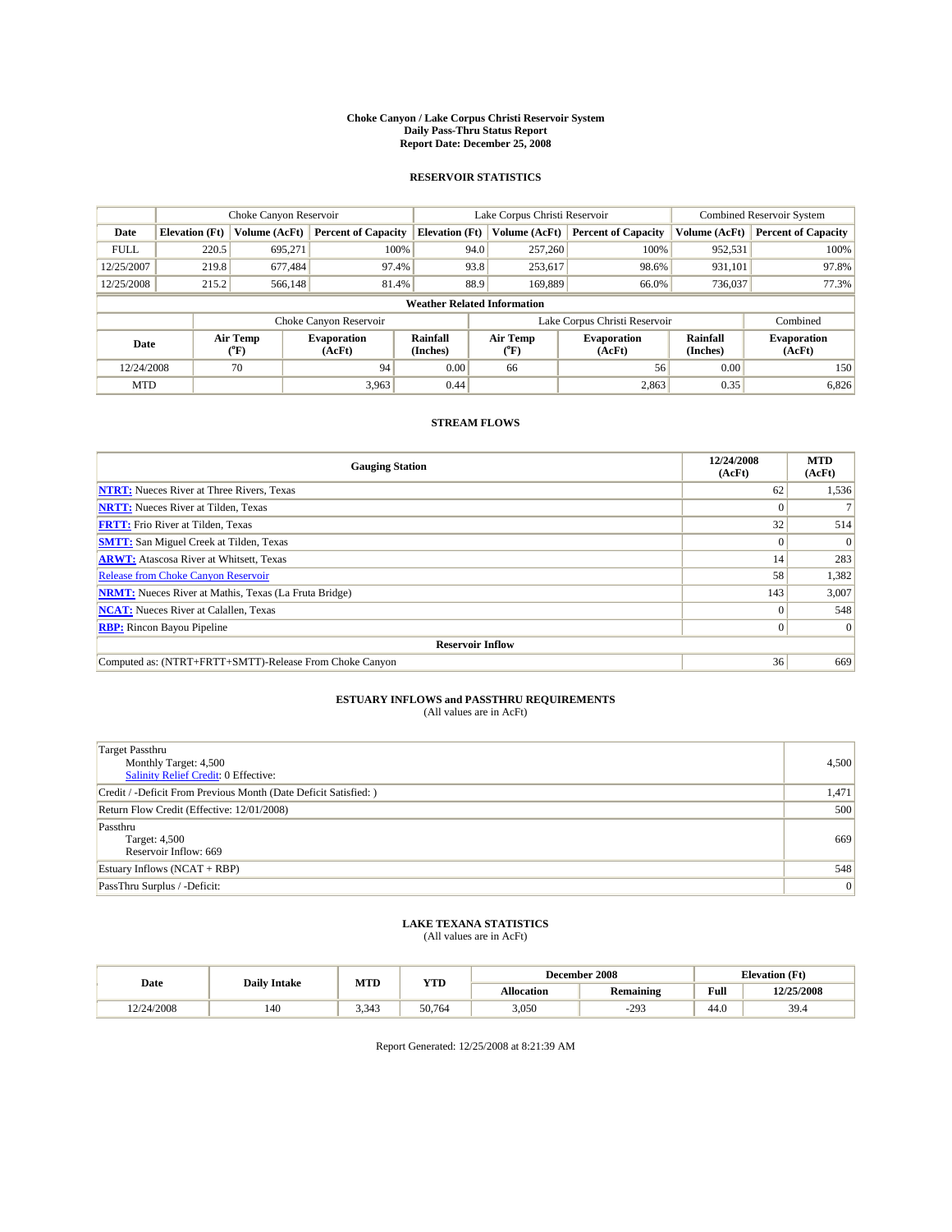#### **Choke Canyon / Lake Corpus Christi Reservoir System Daily Pass-Thru Status Report Report Date: December 25, 2008**

### **RESERVOIR STATISTICS**

|             | Choke Canyon Reservoir             |                            |                              |                       | Lake Corpus Christi Reservoir |                                         |                               |                             | Combined Reservoir System    |  |
|-------------|------------------------------------|----------------------------|------------------------------|-----------------------|-------------------------------|-----------------------------------------|-------------------------------|-----------------------------|------------------------------|--|
| Date        | <b>Elevation</b> (Ft)              | Volume (AcFt)              | <b>Percent of Capacity</b>   | <b>Elevation (Ft)</b> |                               | Volume (AcFt)                           | <b>Percent of Capacity</b>    | Volume (AcFt)               | <b>Percent of Capacity</b>   |  |
| <b>FULL</b> | 220.5                              | 695,271                    | 100%                         |                       | 94.0                          | 257,260                                 | 100%                          | 952,531                     | 100%                         |  |
| 12/25/2007  | 219.8                              | 677,484                    | 97.4%                        |                       | 93.8                          | 253,617                                 | 98.6%                         | 931,101                     | 97.8%                        |  |
| 12/25/2008  | 215.2                              | 566,148                    | 81.4%                        |                       | 88.9                          | 169.889                                 | 66.0%                         | 736,037                     | 77.3%                        |  |
|             | <b>Weather Related Information</b> |                            |                              |                       |                               |                                         |                               |                             |                              |  |
|             |                                    |                            | Choke Canyon Reservoir       |                       |                               |                                         | Lake Corpus Christi Reservoir |                             | Combined                     |  |
| Date        |                                    | Air Temp<br>${}^{\circ}F)$ | <b>Evaporation</b><br>(AcFt) | Rainfall<br>(Inches)  |                               | Air Temp<br>$(^{\mathrm{o}}\mathrm{F})$ | <b>Evaporation</b><br>(AcFt)  | <b>Rainfall</b><br>(Inches) | <b>Evaporation</b><br>(AcFt) |  |
| 12/24/2008  |                                    | 70                         | 94                           | 0.00                  |                               | 66                                      | 56                            | 0.00                        | 150                          |  |
| <b>MTD</b>  |                                    |                            | 3,963                        | 0.44                  |                               |                                         | 2,863                         | 0.35                        | 6,826                        |  |

## **STREAM FLOWS**

| <b>Gauging Station</b>                                       | 12/24/2008<br>(AcFt) | <b>MTD</b><br>(AcFt) |  |  |  |  |
|--------------------------------------------------------------|----------------------|----------------------|--|--|--|--|
| <b>NTRT:</b> Nueces River at Three Rivers, Texas             | 62                   | 1,536                |  |  |  |  |
| <b>NRTT:</b> Nueces River at Tilden, Texas                   |                      |                      |  |  |  |  |
| <b>FRTT:</b> Frio River at Tilden, Texas                     | 32                   | 514                  |  |  |  |  |
| <b>SMTT:</b> San Miguel Creek at Tilden, Texas               |                      | $\Omega$             |  |  |  |  |
| <b>ARWT:</b> Atascosa River at Whitsett, Texas               | 14                   | 283                  |  |  |  |  |
| <b>Release from Choke Canyon Reservoir</b>                   | 58                   | 1,382                |  |  |  |  |
| <b>NRMT:</b> Nueces River at Mathis, Texas (La Fruta Bridge) | 143                  | 3,007                |  |  |  |  |
| <b>NCAT:</b> Nueces River at Calallen, Texas                 |                      | 548                  |  |  |  |  |
| <b>RBP:</b> Rincon Bayou Pipeline                            | 0                    | $\Omega$             |  |  |  |  |
| <b>Reservoir Inflow</b>                                      |                      |                      |  |  |  |  |
| Computed as: (NTRT+FRTT+SMTT)-Release From Choke Canyon      | 36                   | 669                  |  |  |  |  |

# **ESTUARY INFLOWS and PASSTHRU REQUIREMENTS**<br>(All values are in AcFt)

| <b>Target Passthru</b><br>Monthly Target: 4,500<br>Salinity Relief Credit: 0 Effective: | 4,500 |
|-----------------------------------------------------------------------------------------|-------|
| Credit / -Deficit From Previous Month (Date Deficit Satisfied: )                        | 1,471 |
| Return Flow Credit (Effective: 12/01/2008)                                              | 500   |
| Passthru<br>Target: 4,500<br>Reservoir Inflow: 669                                      | 669   |
| Estuary Inflows $(NCAT + RBP)$                                                          | 548   |
| PassThru Surplus / -Deficit:                                                            | 0     |

## **LAKE TEXANA STATISTICS** (All values are in AcFt)

|            | <b>Daily Intake</b> | MTD   | <b>YTD</b> |            | December 2008    |                                             | <b>Elevation</b> (Ft) |
|------------|---------------------|-------|------------|------------|------------------|---------------------------------------------|-----------------------|
| Date       |                     |       |            | Allocation | <b>Remaining</b> | Full<br>the contract of the contract of the | 12/25/2008            |
| 12/24/2008 | 140                 | 3.343 | 50.764     | 3,050      | $-29.2$          | 44.0                                        | 39.4                  |

Report Generated: 12/25/2008 at 8:21:39 AM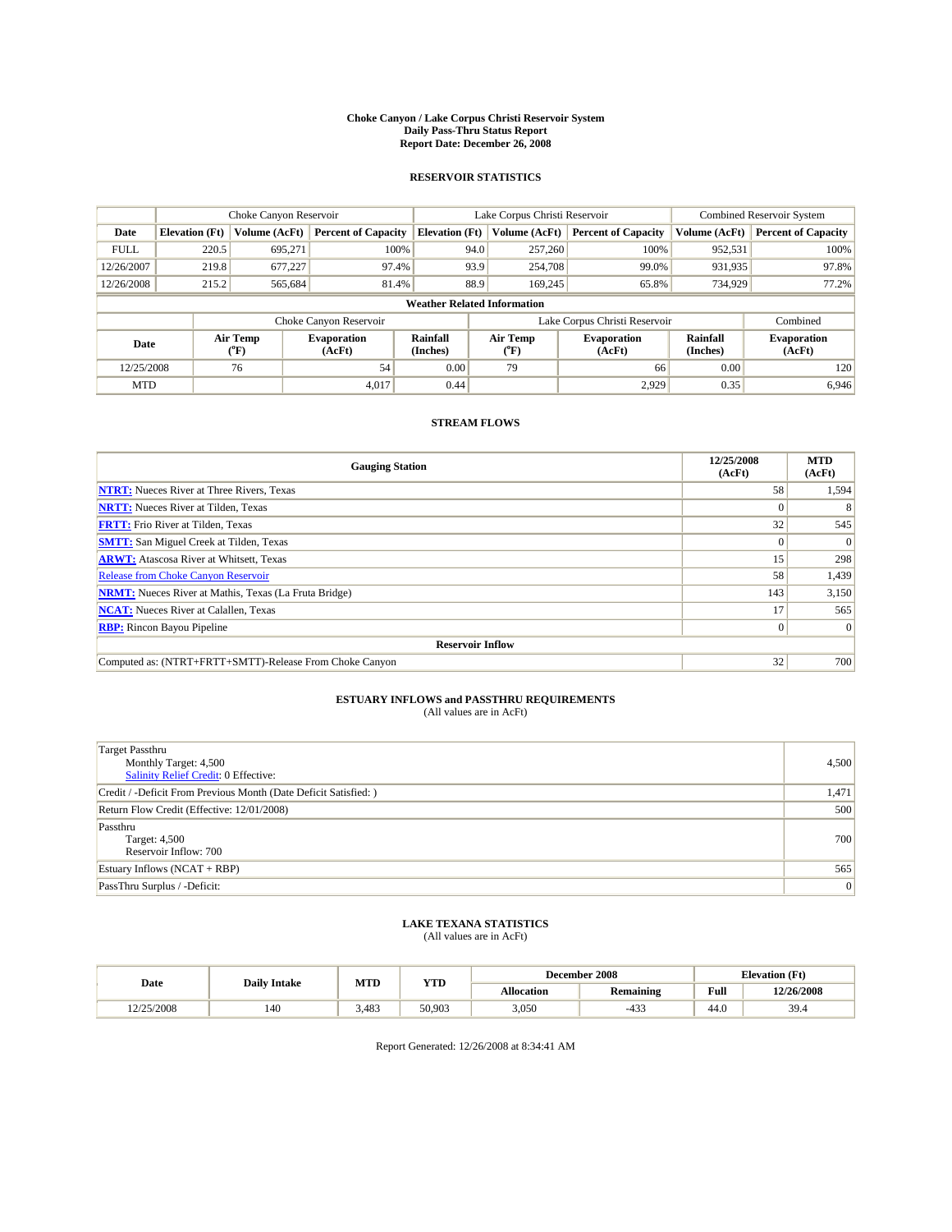#### **Choke Canyon / Lake Corpus Christi Reservoir System Daily Pass-Thru Status Report Report Date: December 26, 2008**

### **RESERVOIR STATISTICS**

|             | Choke Canyon Reservoir             |                          |                              |                       | Lake Corpus Christi Reservoir | <b>Combined Reservoir System</b> |                      |                              |  |
|-------------|------------------------------------|--------------------------|------------------------------|-----------------------|-------------------------------|----------------------------------|----------------------|------------------------------|--|
| Date        | <b>Elevation</b> (Ft)              | Volume (AcFt)            | <b>Percent of Capacity</b>   | <b>Elevation</b> (Ft) | Volume (AcFt)                 | <b>Percent of Capacity</b>       | Volume (AcFt)        | <b>Percent of Capacity</b>   |  |
| <b>FULL</b> | 220.5                              | 695,271                  | 100%                         | 94.0                  | 257,260                       | 100%                             | 952,531              | 100%                         |  |
| 12/26/2007  | 219.8                              | 677,227                  | 97.4%                        |                       | 93.9<br>254,708               | 99.0%                            | 931,935              | 97.8%                        |  |
| 12/26/2008  | 215.2                              | 565,684                  | 81.4%                        | 88.9                  | 169.245                       | 65.8%                            | 734,929              | 77.2%                        |  |
|             | <b>Weather Related Information</b> |                          |                              |                       |                               |                                  |                      |                              |  |
|             |                                    |                          | Choke Canyon Reservoir       |                       |                               | Lake Corpus Christi Reservoir    |                      | Combined                     |  |
| Date        |                                    | Air Temp<br>$\rm ^{o}F)$ | <b>Evaporation</b><br>(AcFt) | Rainfall<br>(Inches)  | Air Temp<br>("F)              | <b>Evaporation</b><br>(AcFt)     | Rainfall<br>(Inches) | <b>Evaporation</b><br>(AcFt) |  |
| 12/25/2008  |                                    | 76                       | 54                           | 0.00                  | 79                            | 66                               | 0.00                 | 120                          |  |
| <b>MTD</b>  |                                    |                          | 4,017                        | 0.44                  |                               | 2,929                            | 0.35                 | 6,946                        |  |

## **STREAM FLOWS**

| <b>Gauging Station</b>                                       | 12/25/2008<br>(AcFt) | <b>MTD</b><br>(AcFt) |
|--------------------------------------------------------------|----------------------|----------------------|
| <b>NTRT:</b> Nueces River at Three Rivers, Texas             | 58                   | 1,594                |
| <b>NRTT:</b> Nueces River at Tilden, Texas                   |                      |                      |
| <b>FRTT:</b> Frio River at Tilden, Texas                     | 32                   | 545                  |
| <b>SMTT:</b> San Miguel Creek at Tilden, Texas               | $\theta$             | $\Omega$             |
| <b>ARWT:</b> Atascosa River at Whitsett, Texas               | 15                   | 298                  |
| <b>Release from Choke Canyon Reservoir</b>                   | 58                   | 1,439                |
| <b>NRMT:</b> Nueces River at Mathis, Texas (La Fruta Bridge) | 143                  | 3,150                |
| <b>NCAT:</b> Nueces River at Calallen, Texas                 | 17                   | 565                  |
| <b>RBP:</b> Rincon Bayou Pipeline                            | $\overline{0}$       | $\Omega$             |
| <b>Reservoir Inflow</b>                                      |                      |                      |
| Computed as: (NTRT+FRTT+SMTT)-Release From Choke Canyon      | 32                   | 700                  |

# **ESTUARY INFLOWS and PASSTHRU REQUIREMENTS**<br>(All values are in AcFt)

| <b>Target Passthru</b><br>Monthly Target: 4,500<br><b>Salinity Relief Credit: 0 Effective:</b> | 4,500 |
|------------------------------------------------------------------------------------------------|-------|
| Credit / -Deficit From Previous Month (Date Deficit Satisfied: )                               | 1,471 |
| Return Flow Credit (Effective: 12/01/2008)                                                     | 500   |
| Passthru<br>Target: 4,500<br>Reservoir Inflow: 700                                             | 700   |
| Estuary Inflows (NCAT + RBP)                                                                   | 565   |
| PassThru Surplus / -Deficit:                                                                   | 0     |

## **LAKE TEXANA STATISTICS** (All values are in AcFt)

|            | <b>Daily Intake</b> | MTD   | <b>YTD</b> |            | December 2008    | <b>Elevation</b> (Ft)                       |            |
|------------|---------------------|-------|------------|------------|------------------|---------------------------------------------|------------|
| Date       |                     |       |            | Allocation | <b>Remaining</b> | Full<br>the contract of the contract of the | 12/26/2008 |
| 12/25/2008 | 140                 | 3.483 | 50.903     | 3,050      | $-433$           | 44.0                                        | 39.4       |

Report Generated: 12/26/2008 at 8:34:41 AM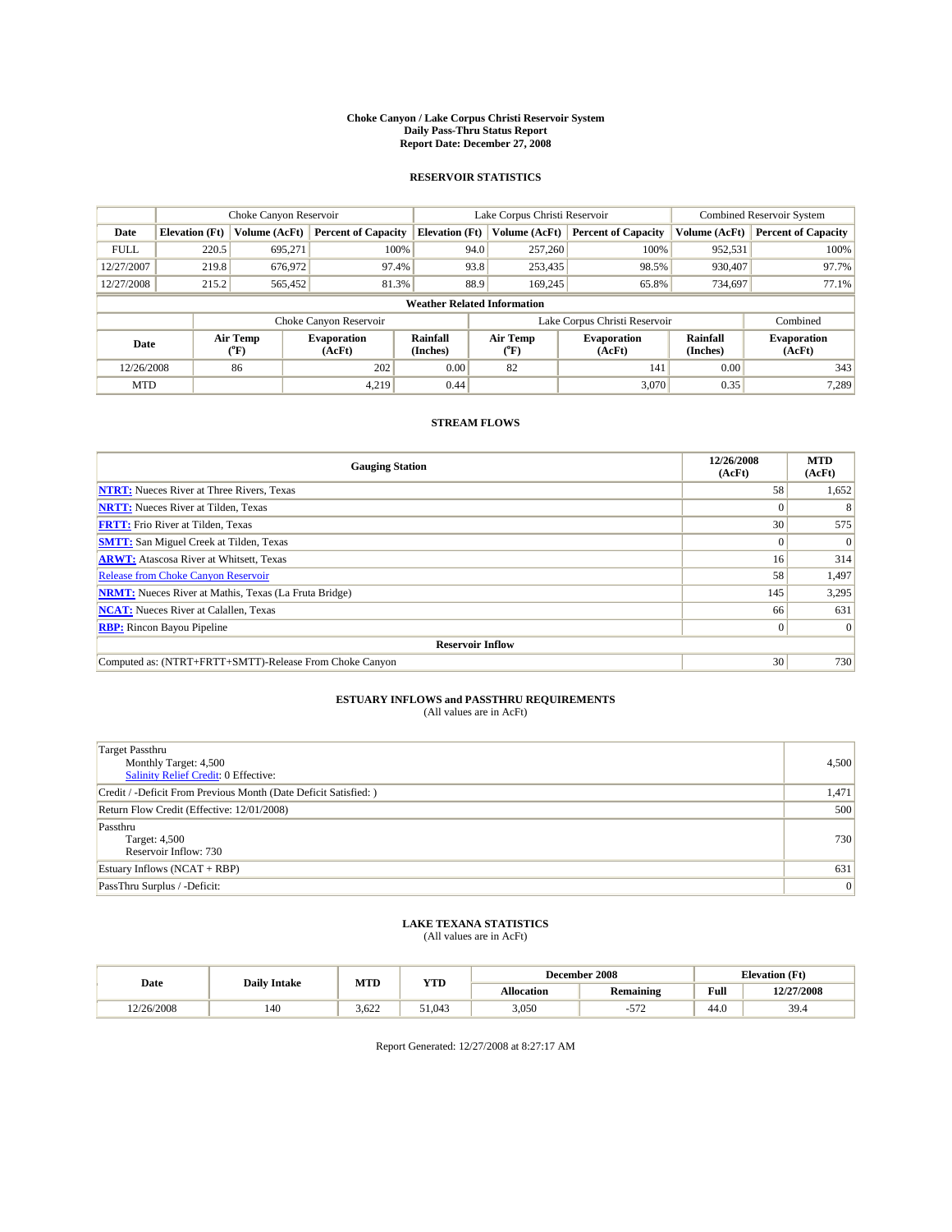#### **Choke Canyon / Lake Corpus Christi Reservoir System Daily Pass-Thru Status Report Report Date: December 27, 2008**

### **RESERVOIR STATISTICS**

|             | Choke Canyon Reservoir             |                            |                              |                       | Lake Corpus Christi Reservoir |                                         |                               |                             | Combined Reservoir System    |  |
|-------------|------------------------------------|----------------------------|------------------------------|-----------------------|-------------------------------|-----------------------------------------|-------------------------------|-----------------------------|------------------------------|--|
| Date        | <b>Elevation</b> (Ft)              | Volume (AcFt)              | <b>Percent of Capacity</b>   | <b>Elevation (Ft)</b> |                               | Volume (AcFt)                           | <b>Percent of Capacity</b>    | Volume (AcFt)               | <b>Percent of Capacity</b>   |  |
| <b>FULL</b> | 220.5                              | 695,271                    | 100%                         |                       | 94.0                          | 257,260                                 | 100%                          | 952,531                     | 100%                         |  |
| 12/27/2007  | 219.8                              | 676,972                    | 97.4%                        |                       | 93.8                          | 253,435                                 | 98.5%                         | 930.407                     | 97.7%                        |  |
| 12/27/2008  | 215.2                              | 565,452                    | 81.3%                        |                       | 88.9                          | 169.245                                 | 65.8%                         | 734,697                     | 77.1%                        |  |
|             | <b>Weather Related Information</b> |                            |                              |                       |                               |                                         |                               |                             |                              |  |
|             |                                    |                            | Choke Canyon Reservoir       |                       |                               |                                         | Lake Corpus Christi Reservoir |                             | Combined                     |  |
| Date        |                                    | Air Temp<br>${}^{\circ}F)$ | <b>Evaporation</b><br>(AcFt) | Rainfall<br>(Inches)  |                               | Air Temp<br>$(^{\mathrm{o}}\mathrm{F})$ | <b>Evaporation</b><br>(AcFt)  | <b>Rainfall</b><br>(Inches) | <b>Evaporation</b><br>(AcFt) |  |
| 12/26/2008  |                                    | 86                         | 202                          | 0.00                  |                               | 82                                      | 141                           | 0.00                        | 343                          |  |
| <b>MTD</b>  |                                    |                            | 4,219                        | 0.44                  |                               |                                         | 3,070                         | 0.35                        | 7,289                        |  |

## **STREAM FLOWS**

| <b>Gauging Station</b>                                       | 12/26/2008<br>(AcFt) | <b>MTD</b><br>(AcFt) |
|--------------------------------------------------------------|----------------------|----------------------|
| <b>NTRT:</b> Nueces River at Three Rivers, Texas             | 58                   | 1,652                |
| <b>NRTT:</b> Nueces River at Tilden, Texas                   | $\Omega$             |                      |
| <b>FRTT:</b> Frio River at Tilden, Texas                     | 30                   | 575                  |
| <b>SMTT:</b> San Miguel Creek at Tilden, Texas               | $\Omega$             | $\Omega$             |
| <b>ARWT:</b> Atascosa River at Whitsett, Texas               | 16 <sup>1</sup>      | 314                  |
| <b>Release from Choke Canyon Reservoir</b>                   | 58                   | 1,497                |
| <b>NRMT:</b> Nueces River at Mathis, Texas (La Fruta Bridge) | 145                  | 3,295                |
| <b>NCAT:</b> Nueces River at Calallen, Texas                 | 66                   | 631                  |
| <b>RBP:</b> Rincon Bayou Pipeline                            | $\overline{0}$       | $\Omega$             |
| <b>Reservoir Inflow</b>                                      |                      |                      |
| Computed as: (NTRT+FRTT+SMTT)-Release From Choke Canyon      | 30                   | 730                  |

# **ESTUARY INFLOWS and PASSTHRU REQUIREMENTS**<br>(All values are in AcFt)

| <b>Target Passthru</b><br>Monthly Target: 4,500<br>Salinity Relief Credit: 0 Effective: | 4,500 |
|-----------------------------------------------------------------------------------------|-------|
| Credit / -Deficit From Previous Month (Date Deficit Satisfied: )                        | 1,471 |
| Return Flow Credit (Effective: 12/01/2008)                                              | 500   |
| Passthru<br>Target: 4,500<br>Reservoir Inflow: 730                                      | 730   |
| Estuary Inflows $(NCAT + RBP)$                                                          | 631   |
| PassThru Surplus / -Deficit:                                                            | 0     |

## **LAKE TEXANA STATISTICS** (All values are in AcFt)

|            | <b>Daily Intake</b> | MTD   | <b>YTD</b>   |                   | December 2008    | <b>Elevation</b> (Ft)                       |            |
|------------|---------------------|-------|--------------|-------------------|------------------|---------------------------------------------|------------|
| Date       |                     |       |              | <b>Allocation</b> | <b>Remaining</b> | Full<br>the contract of the contract of the | 12/27/2008 |
| 12/26/2008 | 140                 | 3.622 | 51.043<br>51 | 3,050             | $\tau$ $\tau$    | 44.0                                        | 39.4       |

Report Generated: 12/27/2008 at 8:27:17 AM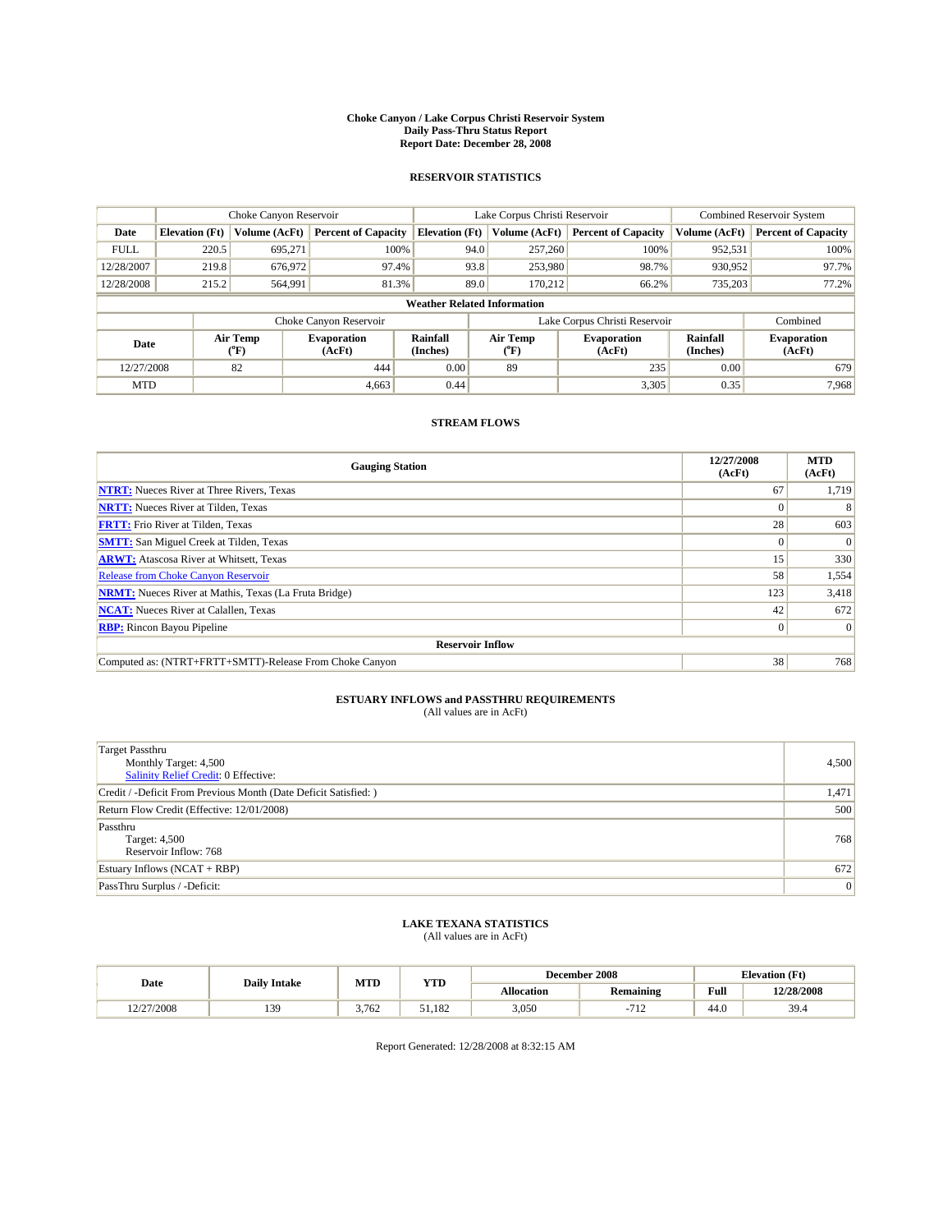#### **Choke Canyon / Lake Corpus Christi Reservoir System Daily Pass-Thru Status Report Report Date: December 28, 2008**

### **RESERVOIR STATISTICS**

|             |                                    | Choke Canyon Reservoir |                              |                       | Lake Corpus Christi Reservoir | <b>Combined Reservoir System</b> |                      |                              |  |  |
|-------------|------------------------------------|------------------------|------------------------------|-----------------------|-------------------------------|----------------------------------|----------------------|------------------------------|--|--|
| Date        | <b>Elevation</b> (Ft)              | Volume (AcFt)          | <b>Percent of Capacity</b>   | <b>Elevation</b> (Ft) | Volume (AcFt)                 | <b>Percent of Capacity</b>       | Volume (AcFt)        | <b>Percent of Capacity</b>   |  |  |
| <b>FULL</b> | 220.5                              | 695,271                | 100%                         | 94.0                  | 257,260                       | 100%                             | 952,531              | 100%                         |  |  |
| 12/28/2007  | 219.8                              | 676,972                | 97.4%                        | 93.8                  | 253,980                       | 98.7%                            | 930,952              | 97.7%                        |  |  |
| 12/28/2008  | 215.2                              | 564,991                | 81.3%                        | 89.0                  | 170,212                       | 66.2%                            | 735,203              | 77.2%                        |  |  |
|             | <b>Weather Related Information</b> |                        |                              |                       |                               |                                  |                      |                              |  |  |
|             |                                    |                        | Choke Canyon Reservoir       |                       |                               | Lake Corpus Christi Reservoir    |                      | Combined                     |  |  |
| Date        |                                    | Air Temp<br>(°F)       | <b>Evaporation</b><br>(AcFt) | Rainfall<br>(Inches)  | Air Temp<br>(°F)              | <b>Evaporation</b><br>(AcFt)     | Rainfall<br>(Inches) | <b>Evaporation</b><br>(AcFt) |  |  |
| 12/27/2008  |                                    | 82                     | 444                          | 0.00                  | 89                            | 235                              | 0.00                 | 679                          |  |  |
| <b>MTD</b>  |                                    |                        | 4.663                        | 0.44                  |                               | 3,305                            | 0.35                 | 7.968                        |  |  |

## **STREAM FLOWS**

| <b>Gauging Station</b>                                       | 12/27/2008<br>(AcFt) | <b>MTD</b><br>(AcFt) |  |  |  |  |
|--------------------------------------------------------------|----------------------|----------------------|--|--|--|--|
| <b>NTRT:</b> Nueces River at Three Rivers, Texas             | 67                   | 1,719                |  |  |  |  |
| <b>NRTT:</b> Nueces River at Tilden, Texas                   | $\Omega$             |                      |  |  |  |  |
| <b>FRTT:</b> Frio River at Tilden, Texas                     | 28                   | 603                  |  |  |  |  |
| <b>SMTT:</b> San Miguel Creek at Tilden, Texas               | $\Omega$             | $\Omega$             |  |  |  |  |
| <b>ARWT:</b> Atascosa River at Whitsett, Texas               | 15                   | 330                  |  |  |  |  |
| <b>Release from Choke Canyon Reservoir</b>                   | 58                   | 1,554                |  |  |  |  |
| <b>NRMT:</b> Nueces River at Mathis, Texas (La Fruta Bridge) | 123                  | 3,418                |  |  |  |  |
| <b>NCAT:</b> Nueces River at Calallen, Texas                 | 42                   | 672                  |  |  |  |  |
| <b>RBP:</b> Rincon Bayou Pipeline                            | $\overline{0}$       | $\Omega$             |  |  |  |  |
| <b>Reservoir Inflow</b>                                      |                      |                      |  |  |  |  |
| Computed as: (NTRT+FRTT+SMTT)-Release From Choke Canyon      | 38                   | 768                  |  |  |  |  |

# **ESTUARY INFLOWS and PASSTHRU REQUIREMENTS**<br>(All values are in AcFt)

| <b>Target Passthru</b><br>Monthly Target: 4,500<br>Salinity Relief Credit: 0 Effective: | 4,500 |
|-----------------------------------------------------------------------------------------|-------|
| Credit / -Deficit From Previous Month (Date Deficit Satisfied: )                        | 1,471 |
| Return Flow Credit (Effective: 12/01/2008)                                              | 500   |
| Passthru<br>Target: 4,500<br>Reservoir Inflow: 768                                      | 768   |
| Estuary Inflows $(NCAT + RBP)$                                                          | 672   |
| PassThru Surplus / -Deficit:                                                            | 0     |

# **LAKE TEXANA STATISTICS** (All values are in AcFt)

|           | <b>Daily Intake</b> | MTD   | <b>YTD</b> |            | December 2008            | <b>Elevation</b> (Ft)                       |            |
|-----------|---------------------|-------|------------|------------|--------------------------|---------------------------------------------|------------|
| Date      |                     |       |            | Allocation | <b>Remaining</b>         | Full<br>the contract of the contract of the | 12/28/2008 |
| 2/27/2008 | 139                 | 3.762 | 51.182     | 3,050      | 71 <sup>7</sup><br>1 L Z | 44.0                                        | 39.4       |

Report Generated: 12/28/2008 at 8:32:15 AM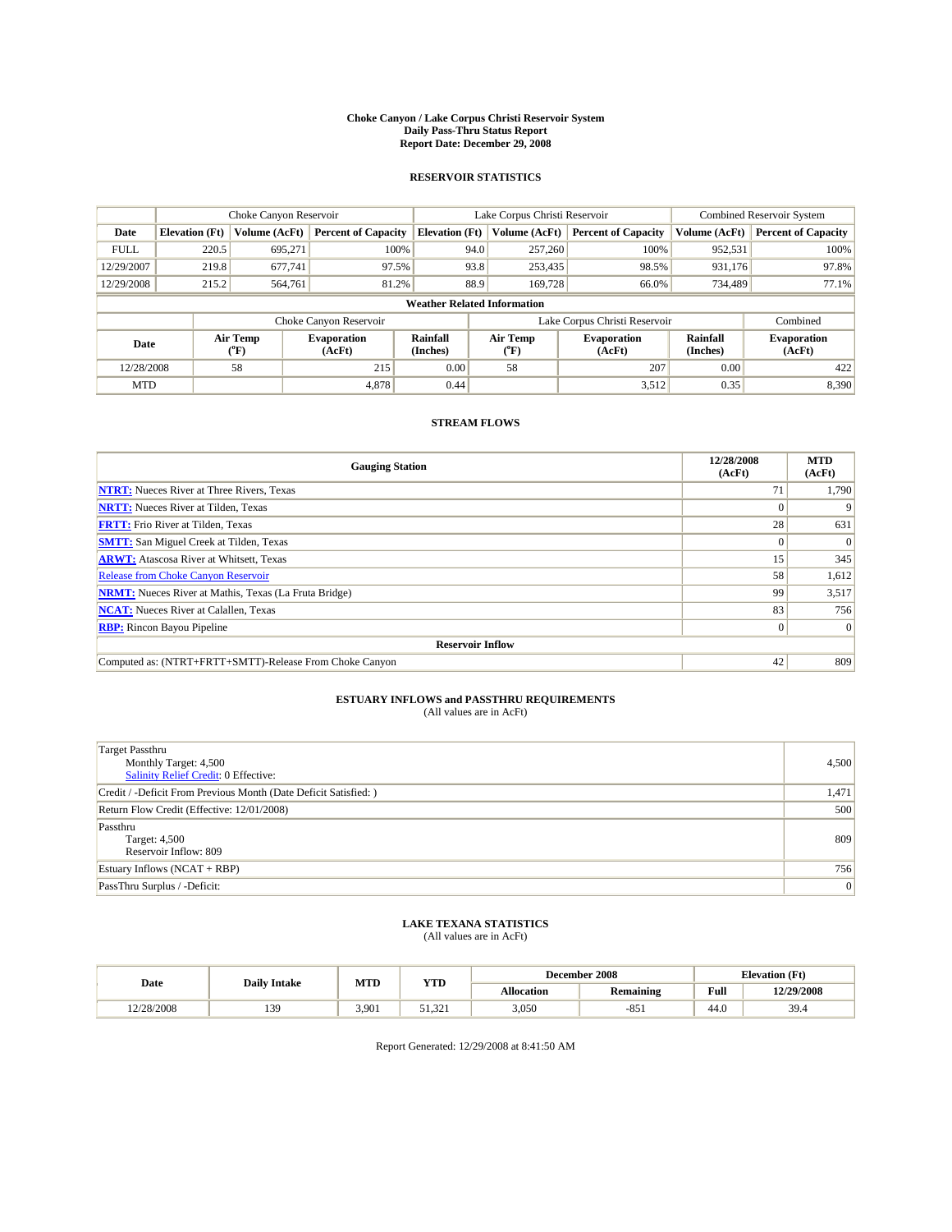#### **Choke Canyon / Lake Corpus Christi Reservoir System Daily Pass-Thru Status Report Report Date: December 29, 2008**

### **RESERVOIR STATISTICS**

|             | Choke Canyon Reservoir             |                  |                              |                       | Lake Corpus Christi Reservoir | <b>Combined Reservoir System</b> |                             |                              |  |  |
|-------------|------------------------------------|------------------|------------------------------|-----------------------|-------------------------------|----------------------------------|-----------------------------|------------------------------|--|--|
| Date        | <b>Elevation</b> (Ft)              | Volume (AcFt)    | <b>Percent of Capacity</b>   | <b>Elevation</b> (Ft) | Volume (AcFt)                 | <b>Percent of Capacity</b>       | Volume (AcFt)               | <b>Percent of Capacity</b>   |  |  |
| <b>FULL</b> | 220.5                              | 695,271          | 100%                         | 94.0                  | 257,260                       | 100%                             | 952,531                     | 100%                         |  |  |
| 12/29/2007  | 219.8                              | 677,741          | 97.5%                        | 93.8                  | 253,435                       | 98.5%                            | 931,176                     | 97.8%                        |  |  |
| 12/29/2008  | 215.2                              | 564,761          | 81.2%                        | 88.9                  | 169,728                       | 66.0%                            | 734,489                     | 77.1%                        |  |  |
|             | <b>Weather Related Information</b> |                  |                              |                       |                               |                                  |                             |                              |  |  |
|             |                                    |                  | Choke Canyon Reservoir       |                       |                               | Lake Corpus Christi Reservoir    |                             | Combined                     |  |  |
| Date        |                                    | Air Temp<br>(°F) | <b>Evaporation</b><br>(AcFt) | Rainfall<br>(Inches)  | Air Temp<br>(°F)              | <b>Evaporation</b><br>(AcFt)     | <b>Rainfall</b><br>(Inches) | <b>Evaporation</b><br>(AcFt) |  |  |
| 12/28/2008  |                                    | 58               | 215                          | 0.00                  | 58                            | 207                              | 0.00                        | 422                          |  |  |
| <b>MTD</b>  |                                    |                  | 4.878                        | 0.44                  |                               | 3,512                            | 0.35                        | 8,390                        |  |  |

## **STREAM FLOWS**

| <b>Gauging Station</b>                                       | 12/28/2008<br>(AcFt) | <b>MTD</b><br>(AcFt) |  |  |  |  |  |
|--------------------------------------------------------------|----------------------|----------------------|--|--|--|--|--|
| <b>NTRT:</b> Nueces River at Three Rivers, Texas             | 71                   | 1,790                |  |  |  |  |  |
| <b>NRTT:</b> Nueces River at Tilden, Texas                   |                      |                      |  |  |  |  |  |
| <b>FRTT:</b> Frio River at Tilden, Texas                     | 28                   | 631                  |  |  |  |  |  |
| <b>SMTT:</b> San Miguel Creek at Tilden, Texas               | $\theta$             | $\Omega$             |  |  |  |  |  |
| <b>ARWT:</b> Atascosa River at Whitsett, Texas               | 15                   | 345                  |  |  |  |  |  |
| <b>Release from Choke Canyon Reservoir</b>                   | 58                   | 1,612                |  |  |  |  |  |
| <b>NRMT:</b> Nueces River at Mathis, Texas (La Fruta Bridge) | 99                   | 3,517                |  |  |  |  |  |
| <b>NCAT:</b> Nueces River at Calallen, Texas                 | 83                   | 756                  |  |  |  |  |  |
| <b>RBP:</b> Rincon Bayou Pipeline                            | $\overline{0}$       | $\Omega$             |  |  |  |  |  |
| <b>Reservoir Inflow</b>                                      |                      |                      |  |  |  |  |  |
| Computed as: (NTRT+FRTT+SMTT)-Release From Choke Canyon      | 42                   | 809                  |  |  |  |  |  |

# **ESTUARY INFLOWS and PASSTHRU REQUIREMENTS**<br>(All values are in AcFt)

| <b>Target Passthru</b><br>Monthly Target: 4,500<br>Salinity Relief Credit: 0 Effective: | 4,500 |
|-----------------------------------------------------------------------------------------|-------|
| Credit / -Deficit From Previous Month (Date Deficit Satisfied: )                        | 1,471 |
| Return Flow Credit (Effective: 12/01/2008)                                              | 500   |
| Passthru<br>Target: 4,500<br>Reservoir Inflow: 809                                      | 809   |
| Estuary Inflows $(NCAT + RBP)$                                                          | 756   |
| PassThru Surplus / -Deficit:                                                            | 0     |

## **LAKE TEXANA STATISTICS** (All values are in AcFt)

|            | <b>Daily Intake</b> | MTD   | <b>YTD</b>                  |            | December 2008    | <b>Elevation</b> (Ft)                       |            |
|------------|---------------------|-------|-----------------------------|------------|------------------|---------------------------------------------|------------|
| Date       |                     |       |                             | Allocation | <b>Remaining</b> | Full<br>the contract of the contract of the | 12/29/2008 |
| 12/28/2008 | 139                 | 3.901 | 221<br>$\epsilon$ 1<br>1521 | 3,050      | oς<br>$-0.31$    | 44.0                                        | 39.4       |

Report Generated: 12/29/2008 at 8:41:50 AM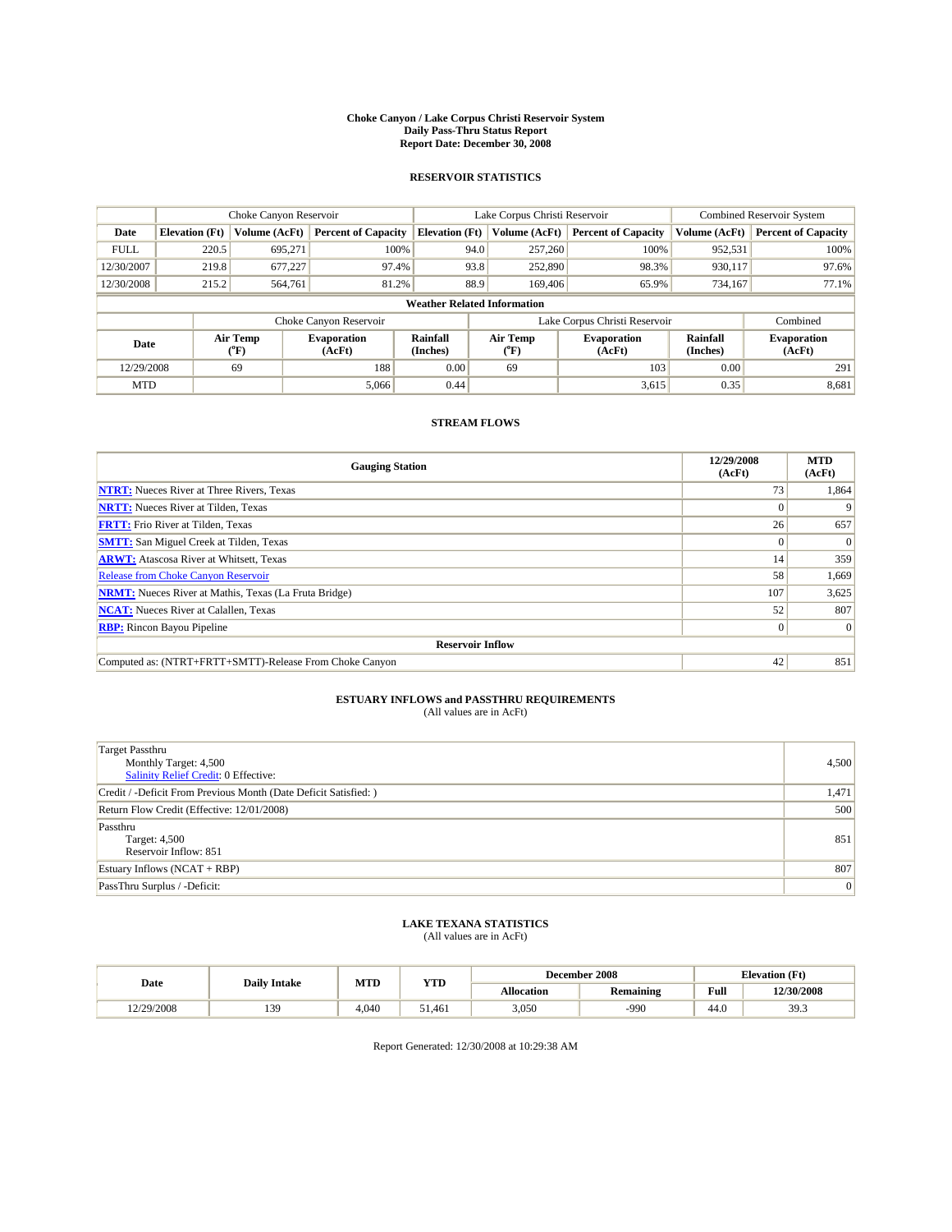#### **Choke Canyon / Lake Corpus Christi Reservoir System Daily Pass-Thru Status Report Report Date: December 30, 2008**

### **RESERVOIR STATISTICS**

|                                    | Choke Canyon Reservoir |                  |                              |                       | Lake Corpus Christi Reservoir |  |                               |                             | <b>Combined Reservoir System</b> |  |
|------------------------------------|------------------------|------------------|------------------------------|-----------------------|-------------------------------|--|-------------------------------|-----------------------------|----------------------------------|--|
| Date                               | <b>Elevation</b> (Ft)  | Volume (AcFt)    | <b>Percent of Capacity</b>   | <b>Elevation</b> (Ft) | Volume (AcFt)                 |  | <b>Percent of Capacity</b>    | Volume (AcFt)               | <b>Percent of Capacity</b>       |  |
| <b>FULL</b>                        | 220.5                  | 695,271          | 100%                         |                       | 94.0<br>257,260               |  | 100%                          | 952,531                     | 100%                             |  |
| 12/30/2007                         | 219.8                  | 677.227          | 97.4%                        |                       | 93.8<br>252,890               |  | 98.3%                         | 930,117                     | 97.6%                            |  |
| 12/30/2008                         | 215.2                  | 564,761          | 81.2%                        |                       | 88.9<br>169,406               |  | 65.9%                         | 734,167                     | 77.1%                            |  |
| <b>Weather Related Information</b> |                        |                  |                              |                       |                               |  |                               |                             |                                  |  |
|                                    |                        |                  | Choke Canyon Reservoir       |                       |                               |  | Lake Corpus Christi Reservoir |                             | Combined                         |  |
| Date                               |                        | Air Temp<br>(°F) | <b>Evaporation</b><br>(AcFt) | Rainfall<br>(Inches)  | Air Temp<br>("F)              |  | <b>Evaporation</b><br>(AcFt)  | <b>Rainfall</b><br>(Inches) | <b>Evaporation</b><br>(AcFt)     |  |
| 12/29/2008                         |                        | 69               | 188                          | 0.00                  | 69                            |  | 103                           | 0.00                        | 291                              |  |
| <b>MTD</b>                         |                        |                  | 5,066                        | 0.44                  |                               |  | 3,615                         | 0.35                        | 8,681                            |  |

## **STREAM FLOWS**

| <b>Gauging Station</b>                                       | 12/29/2008<br>(AcFt) | <b>MTD</b><br>(AcFt) |  |  |  |  |
|--------------------------------------------------------------|----------------------|----------------------|--|--|--|--|
| <b>NTRT:</b> Nueces River at Three Rivers, Texas             | 73                   | 1,864                |  |  |  |  |
| <b>NRTT:</b> Nueces River at Tilden, Texas                   |                      |                      |  |  |  |  |
| <b>FRTT:</b> Frio River at Tilden, Texas                     | 26                   | 657                  |  |  |  |  |
| <b>SMTT:</b> San Miguel Creek at Tilden, Texas               | $\Omega$             | $\Omega$             |  |  |  |  |
| <b>ARWT:</b> Atascosa River at Whitsett, Texas               | 14                   | 359                  |  |  |  |  |
| <b>Release from Choke Canyon Reservoir</b>                   | 58                   | 1,669                |  |  |  |  |
| <b>NRMT:</b> Nueces River at Mathis, Texas (La Fruta Bridge) | 107                  | 3,625                |  |  |  |  |
| <b>NCAT:</b> Nueces River at Calallen, Texas                 | 52                   | 807                  |  |  |  |  |
| <b>RBP:</b> Rincon Bayou Pipeline                            | $\overline{0}$       | $\Omega$             |  |  |  |  |
| <b>Reservoir Inflow</b>                                      |                      |                      |  |  |  |  |
| Computed as: (NTRT+FRTT+SMTT)-Release From Choke Canyon      | 42                   | 851                  |  |  |  |  |

# **ESTUARY INFLOWS and PASSTHRU REQUIREMENTS**<br>(All values are in AcFt)

| <b>Target Passthru</b><br>Monthly Target: 4,500<br>Salinity Relief Credit: 0 Effective: | 4,500 |
|-----------------------------------------------------------------------------------------|-------|
| Credit / -Deficit From Previous Month (Date Deficit Satisfied: )                        | 1,471 |
| Return Flow Credit (Effective: 12/01/2008)                                              | 500   |
| Passthru<br>Target: 4,500<br>Reservoir Inflow: 851                                      | 851   |
| Estuary Inflows $(NCAT + RBP)$                                                          | 807   |
| PassThru Surplus / -Deficit:                                                            | 0     |

## **LAKE TEXANA STATISTICS** (All values are in AcFt)

|           | <b>Daily Intake</b> | MTD   | <b>YTD</b>   |            | December 2008    | <b>Elevation</b> (Ft)                       |            |
|-----------|---------------------|-------|--------------|------------|------------------|---------------------------------------------|------------|
| Date      |                     |       |              | Allocation | <b>Remaining</b> | Full<br>the contract of the contract of the | 12/30/2008 |
| 2/29/2008 | 139                 | 4.040 | 51.461<br>51 | 3,050      | $-990$           | 44.0                                        | 39.3       |

Report Generated: 12/30/2008 at 10:29:38 AM